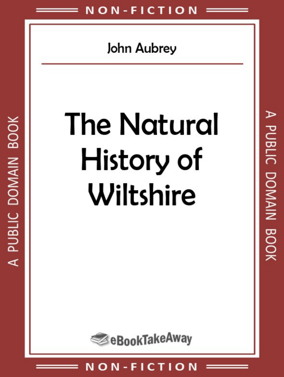# John Aubrey

# **The Natural** History of Wiltshire

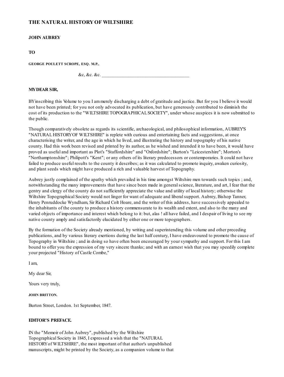# **THE NATURAL HISTORYOF WILTSHIRE**

#### **JOHN AUBREY**

#### **TO**

**GEORGE POULETT SCROPE, ESQ. M.P.,**

 $\&c, \&c. \&c.$ 

#### **MYDEAR SIR,**

BYinscribing this Volume to you I ammerely discharging a debt of gratitude and justice. But for you I believe it would not have been printed; for you not only advocated its publication, but have generously contributed to diminish the cost of its production to the "WILTSHIRE TOPOGRAPHICALSOCIETY", under whose auspices it is now submitted to the public.

Though comparatively obsolete as regards its scientific, archaeological, and philosophical information, AUBREY'S "NATURAL HISTORYOF WILTSHIRE" is replete with curious and entertaining facts and suggestions, at once characterising the writer, and the age in which he lived, and illustrating the history and topography of his native county. Had this work been revised and printed by its author, as he wished and intended it to have been, it would have proved as useful and important as Plot's "Staffordshire" and "Oxfordshire"; Burton's "Leicestershire"; Morton's "Northamptonshire"; Philipott's "Kent"; or any others of its literary predecessors or contemporaries. It could not have failed to produce useful results to the county it describes; as it was calculated to promote inquiry, awaken curiosity, and plant seeds which might have produced a rich and valuable harvest of Topography.

Aubrey justly complained of the apathy which prevailed in his time amongst Wiltshire men towards such topics ; and, notwithstanding the many improvements that have since been made in generalscience, literature, and art, I fear that the gentry and clergy of the county do not sufficiently appreciate the value and utility of local history; otherwise the Wiltshire Topographical Society would not linger for want of adequate and liberalsupport. Aubrey, Bishop Tanner, Henry Penruddocke Wyndham, Sir Richard Colt Hoare, and the writer of this address, have successively appealed to the inhabitants of the county to produce a history commensurate to its wealth and extent, and also to the many and varied objects of importance and interest which belong to it: but, alas ! all have failed, and I despair of living to see my native county amply and satisfactorily elucidated by either one or more topographers.

By the formation of the Society already mentioned, by writing and superintending this volume and other preceding publications, and by various literary exertions during the last half century, I have endeavoured to promote the cause of Topography in Wiltshire ; and in doing so have often been encouraged by your sympathy and support. For this I am bound to offer you the expression of my very sincere thanks; and with an earnest wish that you may speedily complete your projected "History of Castle Combe,"

I am,

My dear Sir,

Yours very truly,

**JOHN BRITTON.**

Burton Street, London. 1st September, 1847.

#### **EDITOR'S PREFACE.**

IN the "Memoir of John Aubrey", published by the Wiltshire Topographical Society in 1845, I expressed a wish that the "NATURAL HISTORYof WILTSHIRE", the most important of that author's unpublished manuscripts, might be printed by the Society, as a companion volume to that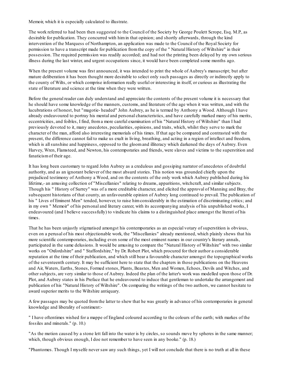Memoir, which it is especially calculated to illustrate.

The work referred to had been then suggested to the Council of the Society by George Poulett Scrope, Esq. M.P., as desirable for publication. They concurred with himin that opinion; and shortly afterwards, through the kind intervention of the Marquess of Northampton, an application was made to the Council of the Royal Society for permission to have a transcript made for publication fromthe copy of the " Natural History of Wiltshire" in their possession. The required permission was readily accorded; and had not the printing been delayed by my own serious illness during the last winter, and urgent occupations since, it would have been completed some months ago.

When the present volume was first announced, it was intended to print the whole of Aubrey's manuscript; but after mature deliberation it has been thought more desirable to select only such passages as directly or indirectly apply to the county of Wilts, or which comprise information really useful or interesting in itself, or curious as illustrating the state of literature and science at the time when they were written.

Before the general reader can duly understand and appreciate the contents of the present volume it is necessary that he should have some knowledge of the manners, customs, and literature of the age when it was written, and with the lucubrations of honest, but "magotie- headed" John Aubrey, as he is termed by Anthony a Wood. Although I have already endeavoured to portray his mental and personal characteristics, and have carefully marked many of his merits, eccentricities, and foibles, I find, froma more careful examination of his "Natural History of Wiltshire" than I had previously devoted to it, many anecdotes, peculiarities, opinions, and traits, which, whilst they serve to mark the character of the man, afford also interesting memorials of his times. If that age be compared and contrasted with the present, the difference cannot fail to make us exult in living, breathing, and acting in a region of intellect and freedom, which is allsunshine and happiness, opposed to the gloomand illiteracy which darkened the days of Aubrey. Even Harvey, Wren, Flamsteed, and Newton, his contemporaries and friends, were slaves and victims to the superstition and fanaticismof their age.

It has long been customary to regard John Aubrey as a credulous and gossiping narrator of anecdotes of doubtful authority, and as an ignorant believer of the most absurd stories. This notion was grounded chiefly upon the prejudiced testimony of Anthony a Wood, and on the contents of the only work which Aubrey published during his lifetime,- an amusing collection of "Miscellanies" relating to dreams, apparitions, witchcraft, and similar subjects. Though his " History of Surrey" was of a more creditable character, and elicited the approval of Manning and Bray, the subsequent historians of that county, an unfavourable opinion of Aubrey long continued to prevail. The publication of his " Lives of Eminent Men" tended, however, to raise himconsiderably in the estimation of discriminating critics; and in my own " Memoir" of his personal and literary career, with its accompanying analysis of his unpublished works, I endeavoured (and I believe successfully) to vindicate his claims to a distinguished place amongst the literati of his times.

That he has been unjustly stigmatised amongst his contemporaries as an especial votary of superstition is obvious, even on a perusal of his most objectionable work, the "Miscellanies" already mentioned, which plainly shews that his more scientific contemporaries, including even some of the most eminent names in our country's literary annals, participated in the same delusions. It would be amusing to compare the "Natural History of Wiltshire" with two similar works on "Oxfordshire" and " Staffordshire," by Dr. Robert Plot, which procured for their author a considerable reputation at the time of their publication, and which still bear a favourable character amongst the topographical works of the seventeenth century. It may be sufficient here to state that the chapters in those publications on the Heavens and Air, Waters, Earths, Stones, Formed stones, Plants, Beastes, Men and Women, Echoes, Devils and Witches, and other subjects, are very similar to those of Aubrey. Indeed the plan of the latter's work was modelled upon those of Dr. Plot, and Aubrey states in his Preface that he endeavoured to induce that gentleman to undertake the arrangement and publication of his "Natural History of Wiltshire". On comparing the writings of the two authors, we cannot hesitate to award superior merits to the Wiltshire antiquary.

A few passages may be quoted fromthe latter to shew that he was greatly in advance of his contemporaries in general knowledge and liberality of sentiment:-

" I have oftentimes wished for a mappe of England coloured according to the colours of the earth; with markes of the fossiles and minerals." (p. 10.)

"As the motion caused by a stone lett fall into the water is by circles, so sounds move by spheres in the same manner; which, though obvious enough, I doe not remember to have seen in any booke." (p. 18.)

"Phantomes. Though I myselfe never saw any such things, yet I will not conclude that there is no truth at all in these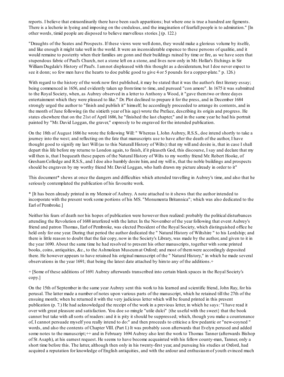reports. I believe that extraordinarily there have been such apparitions; but where one is true a hundred are figments. There is a lecherie in lyeing and imposing on the credulous, and the imagination of fearfull people is to admiration." [In other words, timid people are disposed to believe marvellous stories.] (p. 122.)

"Draughts of the Seates and Prospects. If these views were well donn, they would make a glorious volume by itselfe, and like enough it might take well in the world. It were an inconsiderable expence to these persons of qualitie, and it would remaine to posterity when their families are gonn and their buildings ruined by time or fire, as we have seen that stupendous fabric of Paul's Church, not a stone left on a stone, and lives now only in Mr. Hollar's Etchings in Sir WilliamDugdale's History of Paul's. I amnot displeased with this thought as a desideratum, but I doe never expect to see it donn; so few men have the hearts to doe public good to give 4 or 5 pounds for a copper-plate." p. 126.)

With regard to the history of the work now first published, it may be stated that it was the author's first literary essay; being commenced in 1656, and evidently taken up fromtime to time, and pursued "con amore". In 1675 it was submitted to the Royal Society, when, as Aubrey observed in a letter to Anthony a Wood, it "gave themtwo or three dayes entertainment which they were pleased to like." Dr. Plot declined to prepare it for the press, and in December 1684 strongly urged the author to "finish and publish it" himself; he accordingly proceeded to arrange its contents, and in the month of June following (in the sixtieth year of his age) wrote the Preface, describing its origin and progress. He states elsewhere that on the 21st of April 1686, he "finished the last chapter," and in the same year he had his portrait painted by "Mr. David Loggan, the graver," expressly to be engraved for the intended publication.

On the 18th of August 1686 he wrote the following Will: " Whereas I, John Aubrey, R.S.S., doe intend shortly to take a journey into the west; and reflecting on the fate that manuscripts use to have after the death of the author, I have thought good to signify my last Will (as to this Naturall History of Wilts): that my will and desire is, that in case I shall depart this life before my returne to London again, to finish, if it pleaseth God, this discourse, I say and declare that my will then is, that I bequeath these papers of the Natural History of Wilts to my worthy friend Mr. Robert Hooke, of GreshamColledge and R.S.S., and I doe also humbly desire him, and my will is, that the noble buildings and prospects should be engraven by my worthy friend Mr. David Loggan, who hath drawn my picture already in order to it"

This document\* shews at once the dangers and difficulties which attended travelling in Aubrey's time, and also that he seriously contemplated the publication of his favourite work.

\* [It has been already printed in my Memoir of Aubrey. A note attached to it shews that the author intended to incorporate with the present work some portions of his MS. "Monumenta Britannica"; which was also dedicated to the Earl of Pembroke.]

Neither his fears of death nor his hopes of publication were however then realized: probably the political disturbances attending the Revolution of 1688 interfered with the latter. In the November of the year following that event Aubrey's friend and patron Thomas, Earl of Pembroke, was elected President of the Royal Society, which distinguished office he held only for one year. During that period the author dedicated the " Natural History of Wiltshire " to his Lordship; and there is little reason to doubt that the fair copy, now in the Society's Library, was made by the author, and given to it in the year 1690. About the same time he had resolved to present his other manuscripts, together with some printed books, coins, antiquities, &c., to the Ashmolean Museumat Oxford; and most of themwere accordingly deposited there. He however appears to have retained his original manuscript of the " Natural History," in which he made several observations in the year 1691; that being the latest date attached by himto any of the additions.+

+ [Some of these additions of 1691 Aubrey afterwards transcribed into certain blank spaces in the Royal Society's copy.]

On the 15th of September in the same year Aubrey sent this work to his learned and scientific friend, John Ray, for his perusal. The latter made a number of notes upon various parts of the manuscript, which he retained till the 27th of the ensuing month; when he returned it with the very judicious letter which will be found printed in this present publication (p. 7.) He had acknowledged the receipt of the work in a previous letter, in which he says: "I have read it over with great pleasure and satisfaction. You doe so mingle "utile dulci" {the useful with the sweet} that the book cannot but take with allsorts of readers: and it is pity it should be suppressed; which, though you make a countenance of, I cannot persuade myself you really intend to do:" and then proceeds to criticise a few pedantic or "new-coyned " words, and also the contents of Chapter VIII. (Part I.) It was probably soon afterwards that Evelyn perused and added some notes to the manuscript; ++ and in February 1694 Aubrey also lent the work to Thomas Tanner (afterwards Bishop of St Asaph), at his earnest request. He seems to have become acquainted with his fellow county-man, Tanner, only a short time before this. The latter, although then only in his twenty-first year, and pursuing his studies at Oxford, had acquired a reputation for knowledge of English antiquities, and with the ardour and enthusiasmof youth evinced much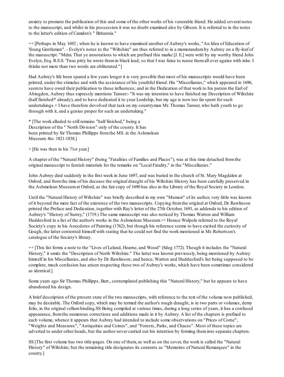anxiety to promote the publication of this and some of the other works of his venerable friend. He added several notes to the manuscript, and whilst in his possession it was no doubt examined also by Gibson. It is referred to in the notes to the latter's edition of Camden's " Britannia."

++ [Perhaps in May 1692 ; when he is known to have examined another of Aubrey's works, "An Idea of Education of Young Gentlemen". - Evelyn's notes to the "Wiltshire" are thus referred to in a memorandumby Aubrey on a fly-leaf of the manuscript: "Mdm. That ye annotations to which are prefixed this marke [J. E.] were writt by my worthy friend John Evelyn, Esq. R.S.S. 'Twas pitty he wrote themin black lead; so that I was faine to runne themall over againe with inke. I thinke not more than two words are obliterated."]

Had Aubrey's life been spared a few years longer it is very possible that most of his manuscripts would have been printed, under the stimulus and with the assistance of his youthful friend. His "Miscellanies," which appeared in 1696, seemto have owed their publication to these influences; and in the Dedication of that work to his patron the Earl of Abingdon, Aubrey thus expressly mentions Tanner:- "It was my intention to have finished my Description of Wiltshire (half finished\* already), and to have dedicated it to your Lordship, but my age is now too far spent for such undertakings.+ I have therefore devolved that task on my countryman Mr. Thomas Tanner, who hath youth to go through with it, and a genius proper for such an undertaking."

\* [The work alluded to still remains "half finished," being a Description of the " North Division" only of the county. It has been printed by Sir Thomas Phillipps fromthe MS. in the Ashmolean Museum. 4to. 1821-1838.]

+ [He was then in his 71st year.]

A chapter of the "Natural History" (being "Fatalities of Families and Places"), was at this time detached fromthe original manuscript to furnish materials for the remarks on "Local Fatality," in the "Miscellanies."

John Aubrey died suddenly in the first week in June 1697, and was buried in the church of St. Mary Magdalen at Oxford, and fromthe time of his decease the original draught of his Wiltshire History has been carefully preserved in the Ashmolean Museumat Oxford, as the fair copy of 1690 has also in the Library of the Royal Society in London.

Until the "Natural History of Wiltshire" was briefly described in my own "Memoir" of its author, very little was known of it beyond the mere fact of the existence of the two manuscripts. Copying fromthe original at Oxford, Dr. Rawlinson printed the Preface and Dedication, together with Ray's letter of the 27th October, 1691, as addenda to his edition of Aubrey's "History of Surrey," (1719.) The same manuscript was also noticed by Thomas Warton and William Huddesford in a list of the author's works in the Ashmolean Museum.<sup>++</sup> Horace Walpole referred to the Royal Society's copy in his Anecdotes of Painting (1762); but though his reference seems to have excited the curiosity of Gough, the latter contented himself with stating that he could not find the work mentioned in Mr. Robertson's catalogue of the Society's library.

++ [This list forms a note to the "Lives of Leland, Hearne, and Wood" (8deg 1772). Though it includes the "Natural History," it omits the "Description of North Wiltshire." The latter was known previously, being mentioned by Aubrey himself in his Miscellanies, and also by Dr. Rawlinson; and hence, Warton and Huddesford's list being supposed to be complete, much confusion has arisen respecting these two of Aubrey's works, which have been sometimes considered as identical.]

Some years ago Sir Thomas Phillipps, Bart., contemplated publishing this "Natural History," but he appears to have abandoned his design.

A brief description of the present state of the two manuscripts, with reference to the text of the volume now published, may be desirable. The Oxford copy, which may be termed the author's rough draught, is in two parts or volumes, demy folio, in the original vellumbinding.SS Being compiled at various times, during a long series of years, it has a confused appearance, fromthe numerous corrections and additions made in it by Aubrey. A list of the chapters is prefixed to each volume, whence it appears that Aubrey had intended to include some observations on "Prices of Corne", "Weights and Measures", "Antiquities and Coines", and "Forests, Parks, and Chaces". Most of these topics are adverted to under other heads, but the author never carried out his intention by forming theminto separate chapters.

SS [The first volume has two title-pages. On one of them, as well as on the cover, the work is called the "Natural History" of Wiltshire; but the remaining title designates its contents as "Memoires of Natural Remarques" in the county.]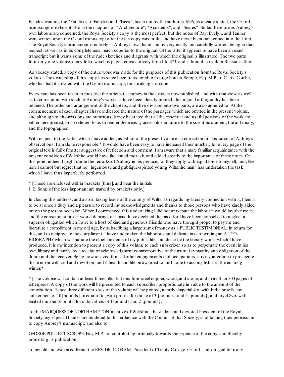Besides wanting the "Fatalities of Families and Places", taken out by the author in 1696, as already stated, the Oxford manuscript is deficient also in the chapters on "Architecture", "Accidents", and "Seates". So far therefore as Aubrey's own labours are concerned, the Royal Society's copy is the most perfect; but the notes of Ray, Evelyn, and Tanner were written upon the Oxford manuscript after the fair copy was made, and have never been transcribed into the latter. The Royal Society's manuscript is entirely in Aubrey's own hand, and is very neatly and carefully written, being in that respect, as well as in its completeness, much superior to the original. Of the latter it appears to have been an exact transcript; but it wants some of the rude sketches and diagrams with which the original is illustrated. The two parts formonly one volume, demy folio, which is paged consecutively from1 to 373, and is bound in modern Russia leather.

As already stated, a copy of the entire work was made for the purposes of this publication fromthe Royal Society's volume. The ownership of this copy has since been transferred to George Poulett Scrope, Esq. M.P., of Castle Combe, who has had it collated with the Oxford manuscript, thus making it unique.

Every care has been taken to preserve the strictest accuracy in the extracts now published, and with that view, as well as to correspond with such of Aubrey's works as have been already printed, the original orthography has been retained. The order and arrangement of the chapters, and their division into two parts, are also adhered to. At the commencement of each chapter I have indicated the nature of the passages which are omitted in the present volume, and although such omissions are numerous, it may be stated that all the essential and useful portions of the work are either here printed, or so referred to as to render themeasily accessible in future to the scientific student, the antiquary, and the topographer.

With respect to the Notes which I have added, as Editor of the present volume, in correction or illustration of Aubrey's observations, I amalone responsible.\* It would have been easy to have increased their number; for every page of the original text is full of matter suggestive of reflection and comment. I amaware that a more familiar acquaintance with the present condition of Wiltshire would have facilitated my task, and added greatly to the importance of these notes. On this point indeed I might quote the remarks of Aubrey in his preface, for they apply with equal force to myself; and, like him, I cannot but regret that no "ingeniouse and publique-spirited young Wiltshire man" has undertaken the task which I have thus imperfectly performed.

- \* [These are enclosed within brackets [thus], and bear the initials
- J. B. Some of the less important are marked by brackets only.]

In closing this address, and also in taking leave of the county of Wilts, as regards my literary connection with it, I feel it to be at once a duty and a pleasure to record my acknowledgments and thanks to those persons who have kindly aided me on the present occasion. When I commenced this undertaking I did not anticipate the labour it would involve me in, and the consequent time it would demand, or I must have declined the task; for I have been compelled to neglect a superior obligation which I owe to a host of kind and generous friends who have thought proper to pay me and literature a compliment in my old age, by subscribing a large sumof money as a PUBLIC TESTIMONIAL. In return for this, and to reciprocate the compliment, I have undertaken the laborious and delicate task of writing an AUTO-BIOGRAPHYwhich will narrate the chief incidents of my public life, and describe the literary works which I have produced. It is my intention to present a copy of this volume to each subscriber, so as to perpetuate the event in his own library and family, by a receipt or acknowledgment commemorative of the mutualsympathy and obligation of the donor and the receiver. Being now relieved fromall other engagements and occupations, it is my intention to prosecute this memoir with zeal and devotion; and if health and life be awarded to me I hope to accomplish it in the ensuing winter.\*

\* [The volume will contain at least fifteen illustrations fromsteel copper, wood, and stone, and more than 300 pages of letterpress. A copy of the work will be presented to each subscriber, proportionate in value to the amount of the contribution. Hence three different sizes of the volume will be printed, namely: imperial 4to, with India proofs, fur subscribers of 10 [pounds}; medium 4to, with proofs, for those of 3 {pounds} and 5 {pounds}; and royal 8vo, with a limited number of prints, for subscribers of 1{pound} and 2 {pounds}.]

To the MARQUESS OF NORTHAMPTON, a native of Wiltshire, the zealous and devoted President of the Royal Society, my especial thanks are tendered for his influence with the Council of that Society, in obtaining their permission to copy Aubrey's manuscript; and also to

GEORGE POULETT SCROPE, Esq. M.P., for contributing materially towards the expense of the copy, and thereby promoting its publication.

To my old and esteemed friend the REV. DR. INGRAM, President of Trinity College, Oxford, I amobliged for many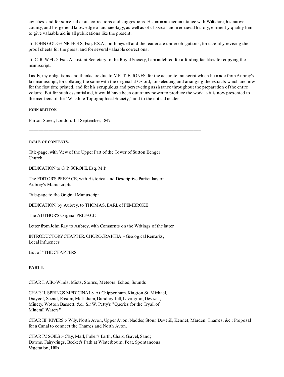civilities, and for some judicious corrections and suggestions. His intimate acquaintance with Wiltshire, his native county, and his general knowledge of archaeology, as well as of classical and mediaeval history, eminently qualify him to give valuable aid in all publications like the present.

To JOHN GOUGH NICHOLS, Esq. F.S.A., both myself and the reader are under obligations, for carefully revising the proof sheets for the press, and for several valuable corrections.

To C. R. WELD, Esq. Assistant Secretary to the Royal Society, I amindebted for affording facilities for copying the manuscript.

Lastly, my obligations and thanks are due to MR. T. E. JONES, for the accurate transcript which he made fromAubrey's fair manuscript, for collating the same with the original at Oxford, for selecting and arranging the extracts which are now for the first time printed, and for his scrupulous and persevering assistance throughout the preparation of the entire volume. But for such essential aid, it would have been out of my power to produce the work as it is now presented to the members of the "Wiltshire Topographical Society," and to the critical reader.

#### **JOHN BRITTON.**

Burton Street, London. 1st September, 1847.

#### **TABLE OF CONTENTS.**

Title-page, with View of the Upper Part of the Tower of Sutton Benger Church.

=====================================================================

DEDICATION to G. P. SCROPE, Esq. M.P.

The EDITOR'S PREFACE; with Historical and Descriptive Particulars of Aubrey's Manuscripts

Title-page to the Original Manuscript

DEDICATION, by Aubrey, to THOMAS, EARLof PEMBROKE

The AUTHOR'S Original PREFACE.

Letter fromJohn Ray to Aubrey, with Comments on the Writings of the latter.

INTRODUCTORYCHAPTER. CHOROGRAPHIA :- Geological Remarks, Local Influences

List of "THECHAPTERS"

#### **PART I.**

CHAP. I. AIR:-Winds, Mists, Storms, Meteors, Echos, Sounds

CHAP. II. SPRINGS MEDICINAL:- At Chippenham, Kington St. Michael, Draycot, Seend, Epsom, Melksham, Dundery-hill, Lavington, Devizes, Minety, Wotton Bassett, &c.; Sir W. Petty's "Queries for the Tryall of Minerall Waters"

CHAP. III. RIVERS :- Wily, North Avon, Upper Avon, Nadder, Stour, Deverill, Kennet, Marden, Thames, &c.; Proposal for a Canal to connect the Thames and North Avon.

CHAP. IV. SOILS :- Clay, Marl, Fuller's Earth, Chalk, Gravel, Sand; Downs, Fairy-rings, Becket's Path at Winterbourn, Peat, Spontaneous Vegetation, Hills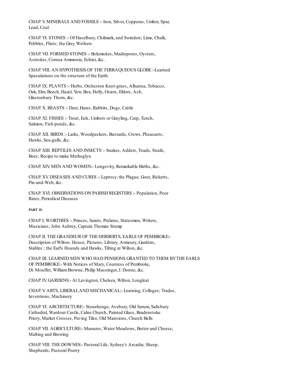CHAP. V. MINERALS AND FOSSILS :- Iron, Silver, Copperas, Umber, Spar, Lead, Coal.

CHAP. VI. STONES :- Of Haselbury, Chilmark, and Swindon; Lime, Chalk, Pebbles, Flints; the Grey Wethers

CHAP. VII. FORMED STONES :- Belemnites, Madrepores, Oysters, Astroites, Cornua Ammonia, Echini, &c.

CHAP. VIII. AN HYPOTHESIS OF THE TERRAQUEOUS GLOBE :-Learned Speculations on the structure of the Earth.

CHAP. IX. PLANTS :- Herbs, Orcheston Knot-grass, Alhanna, Tobacco, Oak, Elm, Beech, Hazel, Yew, Box, Holly, Osiers, Elders, Ash, Glastonbury Thorn, &c.

CHAP. X. BEASTS :- Deer, Hares, Rabbits, Dogs, Cattle

CHAP. XI. FISHES :- Trout, Eels, Umbers or Grayling, Carp, Tench, Salmon; Fish-ponds, &c.

CHAP. XII. BIRDS :- Larks, Woodpeckers, Bustards, Crows, Pheasants, Hawks, Sea-gulls, &c.

CHAP. XIII. REPTILES AND INSECTS :- Snakes, Adders, Toads, Snails, Bees; Recipe to make Metheglyn

CHAP. XIV. MEN AND WOMEN:- Longevity, Remarkable Births, &c..

CHAP. XV. DISEASES AND CURES :- Leprosy, the Plague, Gout, Ricketts, Pin-and-Web, &c.

CHAP. XVI. OBSERVATIONS ON PARISH REGISTERS :- Population, Poor Rates, Periodical Diseases

#### **PART II.**

CHAP. I. WORTHIES :- Princes, Saints, Prelates, Statesmen, Writers, Musicians; John Aubrey, Captain Thomas Stump

CHAP. II. THE GRANDEUR OF THE HERBERTS, EARLS OF PEMBROKE:- Description of Wilton. House; Pictures, Library, Armoury, Gardens, Stables ; the Earl's Hounds and Hawks, Tilting at Wilton, &c.

CHAP. III. LEARNED MEN WHO HAD PENSIONS GRANTED TO THEM BYTHE EARLS OF PEMBROKE:- With Notices of Mary, Countess of Pembroke, Dr. Mouffet, WilliamBrowne, Philip Massinger, J. Donne, &c.

CHAP. IV. GARDENS:- At Lavington, Chelsea, Wilton, Longleat

CHAP. V. ARTS, LIBERALAND MECHANICAL:- Learning, Colleges; Trades, Inventions, Machinery

CHAP. VI. ARCHITECTURE:- Stonehenge, Avebury, Old Sarum, Salisbury Cathedral, Wardour Castle, Calne Church, Painted Glass, Bradenstoke Priory, Market Crosses, Paving Tiles, Old Mansions, Church Bells

CHAP. VII. AGRICULTURE:- Manures, Water Meadows, Butter and Cheese, Malting and Brewing

CHAP. VIII. THE DOWNES:- Pastoral Life, Sydney's Arcadia; Sheep, Shepherds, Pastoral Poetry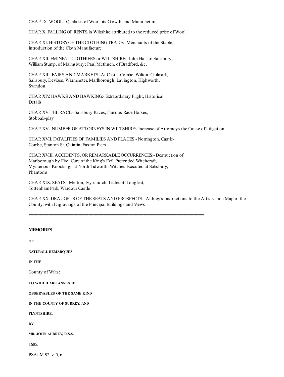CHAP. IX. WOOL:- Qualities of Wool; its Growth, and Manufacture

CHAP. X. FALLINGOF RENTS in Wiltshire attributed to the reduced price of Wool

CHAP. XI. HISTORYOF THECLOTHINGTRADE:- Merchants of the Staple; Introduction of the Cloth Manufacture

CHAP. XII. EMINENT CLOTHIERS or WILTSHIRE:- John Hall, of Salisbury; WilliamStump, of Malmsbury; Paul Methuen, of Bradford, &c.

CHAP. XIII. FAIRS AND MARKETS:-At Castle-Combe, Wilton, Chilmark, Salisbury, Devizes, Warminster, Marlborough, Lavington, Highworth, Swindon

CHAP. XIV. HAWKS AND HAWKING:- Extraordinary Flight, Historical Details

CHAP. XV. THE RACE: - Salisbury Races, Famous Race Horses, Stobball-play

CHAP. XVI. NUMBER OF ATTORNEYS IN WILTSHIRE:- Increase of Attorneys the Cause of Litigation

CHAP. XVII. FATALITIES OF FAMILIES AND PLACES:- Norrington, Castle-Combe, Stanton St. Quintin, Easton Piers

CHAP. XVIII. ACCIDENTS, OR REMARKABLE OCCURRENCES:- Destruction of Marlborough by Fire; Cure of the King's Evil, Pretended Witchcraft, Mysterious Knockings at North Tidworth, Witches Executed at Salisbury, Phantoms

======================================================================

CHAP. XIX. SEATS:- Merton, Ivy-church, Littlecot, Longleat, TottenhamPark, Wardour Castle

CHAP. XX. DRAUGHTS OF THE SEATS AND PROSPECTS:- Aubrey's Instructions to the Artists for a Map of the County, with Engravings of the Principal Buildings and Views

# **MEMOIRES**

**OF NATURALL REMARQUES IN THE** County of Wilts: **TO WHICH ARE ANNEXED, OBSERVABLES OF THE SAME KIND IN THE COUNTY OF SURREY, AND FLYNTSHIRE. BY MR. JOHN AUBREY, R.S.S.**

1685.

PSALM 92, v. 5, 6.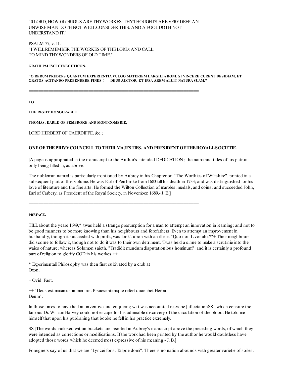"0 LORD, HOW GLORIOUS ARE THYWORKES: THYTHOUGHTS ARE VERYDEEP. AN UNWISE MAN DOTH NOT WELLCONSIDER THIS: AND A FOOLDOTH NOT UNDERSTAND IT."

====================================================================

====================================================================

PSALM 77, v. 11. "I WILLREMEMBER THE WORKES OF THE LORD: AND CALL TO MIND THYWONDERS OF OLD TIME."

**GRATII PALISCI CYNEGETICON.**

**"O RERUM PRUDENS QUANTUM EXPERIENTIA VULGO MATERIEM LARGILIA BONI, SI VINCERE CURENT DESIDIAM, ET GRATOS AGITANDO PREBENDERE FINES ! ---- DEUS AUCTOR, ET IPSA AREM ALUIT NATURA SUAM."**

**TO**

**THE RIGHT HONOURABLE**

**THOMAS, EARLE OF PEMBROKE AND MONTGOMERIE,**

LORD HERBERT OF CAERDIFFE, &c.;

#### **ONEOFTHEPRIVYCOUNCELLTO THEIR MAJESTIES, AND PRESIDENT OFTHEROYALLSOCIETIE.**

[A page is appropriated in the manuscript to the Author's intended DEDICATION ; the name and titles of his patron only being filled in, as above.

The nobleman named is particularly mentioned by Aubrey in his Chapter on "The Worthies of Wiltshire", printed in a subsequent part of this volume. He was Earl of Pembroke from1683 till his death in 1733; and was distinguished for his love of literature and the fine arts. He formed the Wilton Collection of marbles, medals, and coins; and succeeded John, Earl of Carbery, as President of the Royal Society, in November, 1689.- J. B.]

#### **PREFACE.**

TILLabout the yeare 1649,\* 'twas held a strange presumption for a man to attempt an innovation in learning; and not to be good manners to be more knowing than his neighbours and forefathers. Even to attempt an improvement in husbandry, though it succeeded with profit, was look't upon with an ill eie. "Quo non Livor abit?"+ Their neighbours did scorne to follow it, though not to do it was to their own detriment. 'Twas held a sinne to make a scrutinie into the waies of nature; whereas Solomon saieth, "Tradidit mundum disputationibus hominum": and it is certainly a profound part of religion to glorify GOD in his workes.++

\* Experimentall Philosophy was then first cultivated by a club at Oxon.

+ Ovid. Fast.

++ "Deus est maximus in minimis. Prsaesentemque refert quaelibet Herba Deum".

In those times to have had an inventive and enquiring witt was accounted resverie [affectationSS], which censure the famous Dr. WilliamHarvey could not escape for his admirable discovery of the circulation of the blood. He told me himself that upon his publishing that booke he fell in his practice extremely.

SS [The words inclosed within brackets are inserted in Aubrey's manuscript above the preceding words, of which they were intended as corrections or modifications. If the work had been printed by the author he would doubtless have adopted those words which he deemed most expressive of his meaning.- J. B.]

Foreigners say of us that we are "Lyncei foris, Talpoe domi". There is no nation abounds with greater varietie of soiles,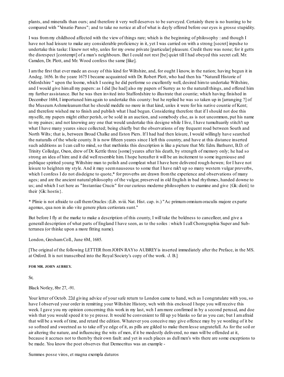plants, and mineralls than ours; and therefore it very well deserves to be surveyed. Certainly there is no hunting to be compared with "Venatio Panos"; and to take no notice at all of what is dayly offered before our eyes is grosse stupidity.

I was frommy childhood affected with the view of things rare; which is the beginning of philosophy : and though I have not had leisure to make any considerable proficiency in it, yet I was carried on with a strong [secret] inpulse to undertake this taske: I knew not why, unles for my owne private [particular] pleasure. Credit there was none; for it getts the disrespect [contempt] of a man's neighbours. But I could not rest [be] quiet till I had obeyed this secret call. Mr. Camden, Dr. Plott, and Mr. Wood confess the same [like].

I amthe first that ever made an essay of this kind for Wiltshire, and, for ought I know, in the nation; having begun it in Andeg. 1656. In the yeare 1675 I became acquainted with Dr. Robert Plott, who had then his "Naturall Historie of Oxfordshire " upon the loome, which I seeing he did performe so excellently well, desired himto undertake Wiltshire, and I would give himall my papers: as I did [he had] also my papers of Surrey as to the naturall things, and offered him my further assistance. But he was then invited into Staffordshire to illustrate that countie; which having finished in December 1684, I importuned himagain to undertake this county: but he replied he was so taken up in [arranging ?] of the MuseumAshmoleanumthat he should meddle no more in that kind, unles it were for his native countie of Kent; and therefore wished me to finish and publish what I had begun. Considering therefore that if I should not doe this myselfe, my papers might either perish, or be sold in an auction, and somebody else, as is not uncommon, put his name to my paines; and not knowing any one that would undertake this designe while I live, I have tumultuarily stitch't up what I have many yeares since collected; being chiefly but the observations of my frequent road between South and North Wilts; that is, between Broad Chalke and Eston Piers. If I had had then leisure, I would willingly have searched the naturalls of the whole county. It is now fifteen yeares since I left this country, and have at this distance inserted such additions as I can call to mind, so that methinks this description is like a picture that Mr. Edm. Bathurst, B.D. of Trinity Colledge, Oxon, drew of Dr. Kettle three [some] yeares after his death, by strength of memory only; he had so strong an idea of him: and it did well resemble him. I hope hereafter it will be an incitement to some ingeniouse and publique spirited young Wiltshire man to polish and compleat what I have here delivered rough-hewen; for I have not leisure to heighten my style. And it may seemnauseous to some that I have rak't up so many western vulgar proverbs, which I confess I do not disdeigne to quote,\* for proverbs are drawn from the experience and observations of many ages; and are the ancient natural philosophy of the vulgar, preserved in old English in bad rhythmes, handed downe to us; and which I set here as "Instantiae Crucis" for our curious moderne philosophers to examine and give {Gk: dioti} to their {Gk: hostis}.

\* Plinie is not afraide to call themOracles: (Lib. xviii. Nat. Hist. cap. iv.) "Ac primumomniumoraculis majore exparte agemus, qua non in alio vite genere plura certiorara sunt."

But before I fly at the marke to make a description of this county, I will take the boldness to cancelleer, and give a generall description of what parts of England I have seen, as to the soiles : which I call Chorographia Super and Subterranea (or thinke upon a more fitting name).

London, GreshamColl., June 6M, 1685.

[The original of the following LETTER fromJOHN RAYto AUBREYis inserted immediately after the Preface, in the MS. at Oxford. It is not transcribed into the Royal Society's copy of the work. -J. B.]

**FOR MR. JOHN AUBREY.**

Sr,

Black Notley, 8br 27, -91.

Your letter of Octob. 22d giving advice of your safe return to London came to hand, wch as I congratulate with you, so have I observed your order in remitting your Wiltshire History, wch with this enclosed I hope you will receive this week. I gave you my opinion concerning this work in my last, wch I ammore confirmed in by a second perusal, and doe wish that you would speed it to ye presse. It would be convenient to fill up ye blanks so far as you can; but I amafraid that will be a work of time, and retard the edition. Whatever you conceive may give offence may by ye wording of it be so softned and sweetned as to take off ye edge of it, as pills are gilded to make themlesse ungratefull. As for the soil or air altering the nature, and influencing the wits of men, if it be modestly delivered, no man will be offended at it, because it accrues not to themby their own fault: and yet in such places as dull men's wits there are some exceptions to be made. You know the poet observes that Democritus was an example -

Summos posse viros, et magna exempla daturos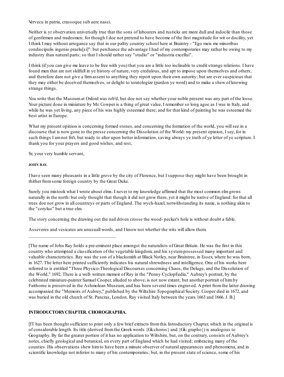Vervecu in patria, crassoque sub aere nasci.

Neither is yr observation universally true that the sons of labourers and rusticks are more dull and indocile than those of gentlemen and tradesmen; for though I doe not pretend to have become of the first magnitude for wit or docility, yet I think I may without arrogance say that in our paltry country school here at Braintry - "Ego meis me minoribus condiscipulis ingenio praelu[si]": but perchance the advantage I had of my contemporaries may rather be owing to my industry than natural parts; so that I should rather say "studio" or "industria excellui".

I think (if you can give me leave to be free with you) that you are a little too inclinable to credit strange relations. I have found men that are not skilfull in ye history of nature, very credulous, and apt to impose upon themselves and others, and therefore dare not give a firmassent to anything they report upon their own autority; but are ever suspicious that they may either be deceived themselves, or delight to teratologize (pardon ye word) and to make a shew of knowing strange things.

You write that the Museumat Oxford was rob'd, but doe not say whether your noble present was any part of the losse. Your picture done in miniature by Mr. Cowper is a thing of great value, I remember so long agoe as I was in Italy, and while he was yet living, any piece of his was highly esteemed there; and for that kind of painting he was esteemed the best artist in Europe.

What my present opinion is concerning formed stones, and concerning the formation of the world, you will see in a discourse that is now gone to the presse concerning the Dissolution of the World: my present opinion, I say, for in such things I amnot fix't, but ready to alter upon better information, saving always ye truth of ye letter of ye scripture. I thank you for your prayers and good wishes, and rest,

Sr, your very humble servant,

#### **JOHN RAY.**

I have seen many pheasants in a little grove by the city of Florence, but I suppose they might have been brought in thither fromsome foreign country by the Great Duke.

Surely you mistook what I wrote about elms. I never to my knowledge affirmed that the most common elmgrows naturally in the north: but only thought that though it did not grow there, yet it might be native of England: for that all trees doe not grow in all countreys or parts of England. The wych-hazel, notwithstanding its name, is nothing akin to the "corylus" but a true elm.

The story concerning the drawing out the nail driven crosse the wood- pecker's hole is without doubt a fable.

Asseveres and vesicates are unusuall words, and I know not whether the wits will allow them.

[The name of John Ray holds a pre-eminent place amongst the naturalists of Great Britain. He was the first in this country who attempted a classification of the vegetable kingdom, and his systempossessed many important and valuable characteristics. Ray was the son of a blacksmith at Black Notley, near Braintree, in Essex, where he was born, in 1627. The letter here printed sufficiently indicates his natural shrewdness and intelligence. One of his works here referred to is entitled "Three Physico-Theological Discourses concerning Chaos, the Deluge, and the Dissolution of the World," 1692. There is a well- written memoir of Ray in the "Penny CyclopEedia," Aubrey's portrait, by the celebrated miniature-painter Samuel Cooper, alluded to above, is not now extant; but another portrait of himby Faithorne is preserved in the Ashmolean Museum, and has been several times engraved. A print fromthe latter drawing accompanied the "Memoirs of Aubrey," published by the Wiltshire Topographical Society. Cooper died in 1672, and was buried in the old church of St. Pancras, London. Ray visited Italy between the years 1663 and 1666. J. B.]

#### **INTRODUCTORYCHAPTER. CHOROGRAPHIA.**

\_\_\_\_\_\_\_\_\_\_\_\_\_\_\_\_\_\_\_\_\_\_\_\_\_\_\_\_\_\_\_\_\_\_\_

[IT has been thought sufficient to print only a few brief extracts fromthis Introductory Chapter, which in the original is of considerable length. Its title (derived fromthe Greek words {Gk:choros} and {Gk: grapho}) is analogous to Geography. By far the greater portion of it has no application to Wiltshire, but, on the contrary, consists of Aubrey's notes, chiefly geological and botanical, on every part of England which he had visited; embracing many of the counties. His observations shew himto have been a minute observer of natural appearances and phenomena, and in scientific knowledge not inferior to many of his contemporaries; but, in the present state of science, some of his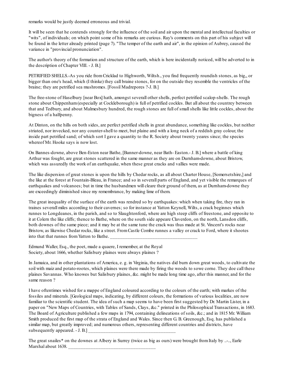remarks would be justly deemed erroneous and trivial.

It will be seen that he contends strongly for the influence of the soil and air upon the mental and intellectual faculties or "wits", of individuals; on which point some of his remarks are curious. Ray's comments on this part of his subject will be found in the letter already printed (page 7). "The temper of the earth and air", in the opinion of Aubrey, caused the variance in "provincial pronunciation".

The author's theory of the formation and structure of the earth, which is here incidentally noticed, will be adverted to in the description of Chapter VIII. - J. B.]

PETRIFIED SHELLS.-As you ride fromCricklad to Highworth, Wiltsh., you find frequently roundish stones, as big,, or bigger than one's head, which (I thinke) they call braine stones, for on the outside they resemble the ventricles of the braine; they are petrified sea mushromes. [Fossil Madrepores ?-J. B.]

The free-stone of Haselbury [near Box] hath, amongst severall other shells, perfect petrified scalop-shells. The rough stone about Chippenham(especially at Cockleborough) is full of petrified cockles. But all about the countrey between that and Tedbury, and about Malmesbury hundred, the rough stones are full of smallshells like little cockles, about the bigness of a halfpenny.

At Dinton, on the hills on both sides, are perfect petrified shells in great abundance, something like cockles, but neither striated, nor invecked, nor any counter-shell to meet, but plaine and with a long neck of a reddish gray colour, the inside part petrified sand; of which sort I gave a quantity to the R. Society about twenty yeares since; the species whereof Mr. Hooke says is now lost.

On Bannes-downe, above Ben-Eston near Bathe, [Banner-downe, near Bath- Easton.- J. B.] where a battle of king Arthur was fought, are great stones scattered in the same manner as they are on Durnham-downe, about Bristow, which was assuredly the work of an earthquake, when these great cracks and vallies were made.

The like dispersion of great stones is upon the hills by Chedar rocks, as all about Charter House, [Somersetshire,] and the like at the forest at Fountain-Bleau, in France; and so in severall parts of England, and yet visible the remarques of earthquakes and volcanoes; but in time the husbandmen will cleare their ground of them, as at Durnham-downe they are exceedingly diminished since my remembrance, by making lime of them.

The great inequality of the surface of the earth was rendred so by earthquakes: which when taking fire, they ran in traines severall miles according to their cavernes; so for instance at Yatton Keynell, Wilts, a crack beginnes which runnes to Longdeanes, in the parish, and so to Slaughtonford, where are high steep cliffs of freestone, and opposite to it at Colern the like cliffs; thence to Bathe, where on the south side appeare Claverdon, on the north, Lansdon cliffs, both downes of the same piece; and it may be at the same tune the crack was thus made at St. Vincent's rocks near Bristow, as likewise Chedar rocks, like a street. FromCastle Combe runnes a valley or crack to Ford, where it shootes into that that runnes from Yatton to Bathe.

Edmund Waller, Esq., the poet, made a quaere, I remember, at the Royal Society, about 1666, whether Salisbury plaines were always plaines ?

In Jamaica, and in other plantations of America, e. g. in Virginia, the natives did burn down great woods, to cultivate the soil with maiz and potato-rootes, which plaines were there made by firing the woods to sowe corne. They doe call these plaines Savannas. Who knowes but Salisbury plaines, &c. might be made long time ago, after this manner, and for the same reason ?

I have oftentimes wished for a mappe of England coloured according to the colours of the earth; with markes of the fossiles and minerals. [Geological maps, indicating, by different colours, the formations of various localities, are now familiar to the scientific student. The idea of such a map seems to have been first suggested by Dr. Martin Lister, in a paper on "New Maps of Countries, with Tables of Sands, Clays, &c." printed in the Philosophical Transactions, in 1683. The Board of Agriculture published a few maps in 1794, containing delineations of soils, &c.; and in 1815 Mr. William Smith produced the first map of the strata of England and Wales. Since then G. B. Greenough, Esq. has published a similar map, but greatly improved; and numerous others, representing different countries and districts, have subsequently appeared.  $-$  J. B.]

The great snailes\* on the downes at Albery in Surrey (twice as big as ours) were brought fromItaly by ..-.., Earle Marshal about 1638.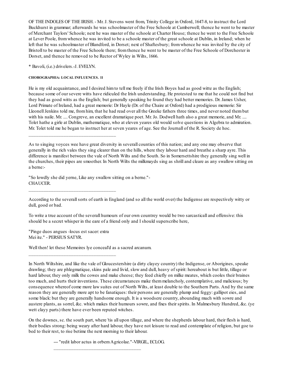OF THE INDOLES OF THE IRISH. - Mr. J. Stevens went from, Trinity College in Oxford, 1647-8, to instruct the Lord Buckhurst in grammar; afterwards he was schoolmaster of the Free Schoole at Camberwell; thence he went to be master of Merchant Taylors' Schoole; next he was master of the schoole at Charter House; thence he went to the Free Schoole at Lever Poole, fromwhence he was invited to be a schoole master of the great schoole at Dublin, in Ireland; when he left that he was schoolmaster of Blandford, in Dorset; next of Shaftesbury; fromwhence he was invited by the city of Bristoll to be master of the Free Schoole there; fromthence he went to be master of the Free Schoole of Dorchester in Dorset, and thence he removed to be Rector of Wyley in Wilts, 1666.

\* Bavoli, (i.e.) drivelers.-J. EVELYN.

#### **CHOROGRAPHIA: LOCAL INFLUENCES. 11**

\_\_\_\_\_\_\_\_\_\_\_\_\_\_\_\_\_\_\_\_\_\_\_\_\_\_\_\_\_\_\_\_\_\_\_

\_\_\_\_\_\_\_\_\_\_\_\_\_\_\_\_\_\_\_\_\_\_\_\_\_\_\_\_\_\_\_\_\_\_\_

He is my old acquaintance, and I desired himto tell me freely if the Irish Boyes had as good witte as the English; because some of our severe witts have ridiculed the Irish understanding. He protested to me that he could not find but they had as good witts as the English; but generally speaking he found they had better memories. Dr. James Usher, Lord Primate of Ireland, had a great memorie: Dr Hayle (Dr. of the Chaire at Oxford) had a prodigious memorie: Sir Lleonell Jenkins told me, from him, that he had read over all the Greeke fathers three times, and never noted them but with his naile. Mr. .... Congreve, an excellent dramatique poet. Mr. Jo. Dodwell hath also a great memorie, and Mr. .... Tolet hathe a girle at Dublin, mathematique, who at eleven yeares old would solve questions in Algebra to admiration. Mr. Tolet told me he began to instruct her at seven yeares of age. See the Journall of the R. Society de hoc.

"So lowdly she did yerne, Like any swallow sitting on a berne."- CHAUCER.

According to the severallsorts of earth in England (and so all the world over) the Indigense are respectively witty or dull, good or bad.

To write a true account of the severall humours of our own countrey would be two sarcasticall and offensive: this should be a secret whisper in the eare of a friend only and I should superscribe here,

"Pinge duos angues -locus est sacer: extra Mei ite." - PERSIUS SATYR.

\_\_\_\_\_\_\_\_\_\_\_\_\_\_\_\_\_\_\_\_\_\_\_\_\_\_\_\_\_\_\_\_\_\_\_

Well then! let these Memoires lye conceal'd as a sacred arcanum.

In North Wiltshire, and like the vale of Gloucestershire (a dirty clayey country) the Indigense, or Aborigines, speake drawling; they are phlegmatique, skins pale and livid, slow and dull, heavy of spirit: hereabout is but little, tillage or hard labour, they only milk the cowes and make cheese; they feed chiefly on milke meates, which cooles their braines too much, and hurts their inventions. These circumstances make themmelancholy, contemplative, and malicious; by consequence whereof come more law suites out of North Wilts, at least double to the Southern Parts. And by the same reason they are generally more apt to be fanatiques: their persons are generally plump and feggy: gallipot eies, and some black: but they are generally handsome enough. It is a woodsere country, abounding much with sowre and austere plants, as sorrel, &c. which makes their humours sowre, and fixes their spirits. In Malmesbury Hundred, &c. (ye wett clayy parts) there have ever been reputed witches.

On the downes, sc. the south part, where 'tis all upon tillage, and where the shepherds labour hard, their flesh is hard, their bodies strong: being weary after hard labour, they have not leisure to read and contemplate of religion, but goe to bed to their rest, to rise betime the next morning to their labour.

--- "redit labor actus in orbemAgricolae."-VIRGIL, ECLOG.

\_\_\_\_\_\_\_\_\_\_\_\_\_\_\_\_\_\_\_\_\_\_\_\_\_\_\_\_\_\_\_\_\_\_\_

As to singing voyces wee have great diversity in severall counties of this nation; and any one may observe that generally in the rich vales they sing clearer than on the hills, where they labour hard and breathe a sharp ayre. This difference is manifest between the vale of North Wilts and the South. So in Somersettshire they generally sing well in the churches, their pipes are smoother. In North Wilts the milkmayds sing as shrill and cleare as any swallow sitting on a berne:-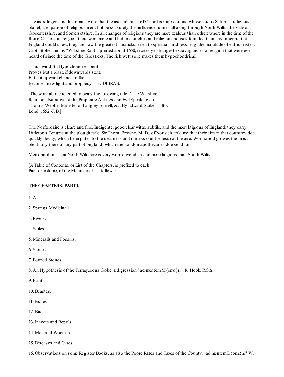The astrologers and historians write that the ascendant as of Oxford is Capricornus, whose lord is Saturn, a religious planet, and patron of religious men. If it be so, surely this influence runnes all along through North Wilts, the vale of Glocestershire, and Somersetshire. In all changes of religions they are more zealous than other; where in the time of the Rome-Catholique religion there were more and better churches and religious houses founded than any other part of England could shew, they are now the greatest fanaticks, even to spirituall madness: e. g. the multitude of enthusiastes. Capt. Stokes, in his "Wiltshire Rant, "printed about 1650, recites ye strangest extravagancies of religion that were ever heard of since the time of the Gnosticks. The rich wett soile makes themhypochondricall.

"Thus wind i'th Hypochondries pent, Proves but a blast, if downwards sent; But if it upward chance to flie Becomes new light and prophecy."-HUDIBRAS.

\_\_\_\_\_\_\_\_\_\_\_\_\_\_\_\_\_\_\_\_\_\_\_\_\_\_\_\_\_\_\_\_\_\_\_

[The work above referred to bears the following title: "The Wiltshire Rant, or a Narrative of the Prophane Actings and Evil Speakings of Thomas Webbe, Minister of Langley Burrell, &c. By Edward Stokes. "4to. Lond. 1652.-J. B.]

The Norfolk aire is cleare and fine. Indigente, good clear witts, subtile, and the most litigious of England: they carry Littleton's Tenures at the plough taile. Sir Thorn. Browne, M. D., of Norwich, told me that their eies in that countrey doe quickly decay; which he imputes to the clearness and driness (subtileness) of the aire. Wormwood growes the most plentifully there of any part of England; which the London apothecaries doe send for.

Memorandum.-That North Wiltshire is very worme-woodish and more litigious than South Wilts,

[A Table of Contents, or List of the Chapters, is prefixed to each Part, or Volume, of the Manuscript, as follows:-]

#### **THECHAPTERS. PART I.**

1. Air.

2. Springs Medicinall.

3. Rivers.

4. Soiles.

- 5. Mineralls and Fossills.
- 6. Stones.
- 7. Formed Stones.

8. An Hypothesis of the Terraqueous Globe: a digression "ad mentemM{emo}ri", R. Hook, R.S.S.

9. Plants.

- 10. Beastes.
- 11. Fishes.
- 12. Birds.
- 13. Insects and Reptils.
- 14. Men and Woemen.
- 15. Diseases and Cures.

16. Observations on some Register Books, as also the Poore Rates and Taxes of the County, "ad mentemD{omi}ni" W.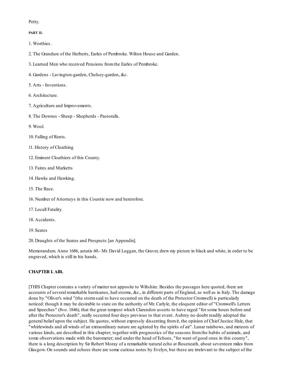#### Petty.

#### **PART II.**

1. Worthies.

- 2. The Grandure of the Herberts, Earles of Pembroke. Wilton House and Garden.
- 3. Learned Men who received Pensions fromthe Earles of Pembroke.
- 4. Gardens Lavington-garden, Chelsey-garden, &c.
- 5. Arts Inventions.
- 6. Architecture.
- 7. Agriculture and Improvements.
- 8. The Downes Sheep Shepherds Pastoralls.

9. Wool.

- 10. Falling of Rents.
- 11. History of Cloathing
- 12. Eminent Cloathiers of this County.
- 13. Faires and Marketts
- 14. Hawks and Hawking.
- 15. The Race.
- 16. Number of Attorneys in this Countie now and heretofore.
- 17. Locall Fatality.
- 18. Accidents.
- 19. Seates

20. Draughts of the Seates and Prospects [an Appendix].

Memorandum. Anno 1686, aetatis 60.- Mr. David Loggan, the Graver, drew my picture in black and white, in order to be engraved, which is still in his hands.

## **CHAPTER I. AIR.**

[THIS Chapter contains a variety of matter not apposite to Wiltshire. Besides the passages here quoted, there are accounts of several remarkable hurricanes, hailstorms, &c., in different parts of England, as well as in Italy. The damage done by "Oliver's wind "(the stormsaid to have occurred on the death of the Protector Cromwell) is particularly noticed: though it may be desirable to state on the authority of Mr. Carlyle, the eloquent editor of "Cromwell's Letters and Speeches" (8vo. 1846), that the great tempest which Clarendon asserts to have raged "for some hours before and after the Protector's death", really occurred four days previous to that event. Aubrey no doubt readily adopted the general belief upon the subject. He quotes, without expressly dissenting fromit, the opinion of Chief Justice Hale, that "whirlewinds and all winds of an extraordinary nature are agitated by the spirits of air". Lunar rainbows, and meteors of various kinds, are described in this chapter; together with prognostics of the seasons fromthe habits of animals, and some observations made with the barometer; and under the head of Echoes, "for want of good ones in this county", there is a long description by Sir Robert Moray of a remarkable natural echo at Roseneath, about seventeen miles from Glasgow. On sounds and echoes there are some curious notes by Evelyn, but these are irrelevant to the subject of the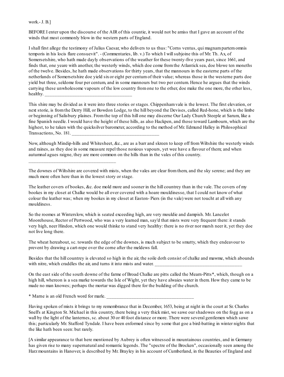work.- J. B.]

BEFORE I enter upon the discourse of the AIR of this countie, it would not be amiss that I gave an account of the winds that most commonly blow in the western parts of England.

I shall first allege the testimony of Julius Caesar, who delivers to us thus: "Corns ventus, qui magnampartemomnis temporis in his locis flare consuevit". - (Commentaries, lib. v.) To which I willsubjoine this of Mr. Th. Ax, of Somersetshire, who hath made dayly observations of the weather for these twenty-five years past, since 1661, and finds that, one yeare with another, the westerly winds, which doe come fromthe Atlantick sea, doe blowe ten moneths of the twelve. Besides, he hath made observations for thirty years, that the mannours in the easterne parts of the netherlands of Somersetshire doe yield sixor eight per centumof their value; whereas those in the westerne parts doe yield but three, seldome four per centum, and in some mannours but two per centum. Hence he argues that the winds carrying these unwholesome vapours of the low country fromone to the other, doe make the one more, the other less, healthy.

This shire may be divided as it were into three stories or stages. Chippenhamvale is the lowest. The first elevation, or next storie, is fromthe Derry Hill, or Bowdon Lodge, to the hill beyond the Devises, called Red-hone, which is the limbe or beginning of Salisbury plaines. Fromthe top of this hill one may discerne Our Lady Church Steeple at Sarum, like a fine Spanish needle. I would have the height of these hills, as also Hackpen, and those toward Lambourn, which are the highest, to he taken with the quicksilver barometer, according to the method of Mr. Edmund Halley in Philosophical Transactions, No. 181.

Now, although Mindip-hills and Whitesheet, &c., are as a barr and skreen to keep off fromWiltshire the westerly winds and raines, as they doe in some measure repel those noxious vapours, yet wee have a flavour of them; and when autumnal agues raigne, they are more common on the hills than in the vales of this country.

The downes of Wiltshire are covered with mists, when the vales are clear fromthem, and the sky serene; and they are much more often here than in the lowest story or stage.

The leather covers of bookes, &c. doe mold more and sooner in the hill countrey than in the vale. The covers of my bookes in my closet at Chalke would be all over covered with a hoare mouldinesse, that I could not know of what colour the leather was; when my bookes in my closet at Easton- Piers (in the vale) were not toucht at all with any mouldiness.

So the roomes at Winterslow, which is seated exceeding high, are very mouldie and dampish. Mr. Lancelot Moorehouse, Rector of Pertwood, who was a very learned man, say'd that mists were very frequent there: it stands very high, neer Hindon, which one would thinke to stand very healthy: there is no river nor marsh neer it, yet they doe not live long there.

The wheat hereabout, sc. towards the edge of the downes, is much subject to be smutty, which they endeavour to prevent by drawing a cart-rope over the corne after the meldews fall.

Besides that the hill countrey is elevated so high in the air, the soile doth consist of chalke and mawme, which abounds with nitre, which craddles the air, and turns it into mists and water.

On the east side of the south downe of the farme of Broad Chalke are pitts called the Mearn-Pitts\*, which, though on a high hill, whereon is a sea marke towards the Isle of Wight, yet they have alwaies water in them. How they came to be made no man knowes; perhaps the mortar was digged there for the building of the church.

\* Marne is an old French word for marle. \_\_\_\_\_\_\_\_\_\_\_\_\_\_\_\_\_\_\_\_\_\_\_\_\_\_\_\_\_\_\_\_\_\_\_

\_\_\_\_\_\_\_\_\_\_\_\_\_\_\_\_\_\_\_\_\_\_\_\_\_\_\_\_\_\_\_\_\_\_\_

Having spoken of mists it brings to my remembrance that in December, 1653, being at night in the court at Sr. Charles Snell's at Kington St. Michael in this country, there being a very thick mist, we sawe our shadowes on the fogg as on a wall by the light of the lanternes, sc. about 30 or 40 foot distance or more. There were several gentlemen which sawe this; particularly Mr. Stafford Tyndale. I have been enformed since by some that goe a bird-batting in winter nights that the like hath been seen: but rarely.

[A similar appearance to that here mentioned by Aubrey is often witnessed in mountainous countries, and in Germany has given rise to many supernatural and romantic legends. The "spectre of the Brocken", occasionally seen among the Harz mountains in Hanover, is described by Mr. Brayley in his account of Cumberland, in the Beauties of England and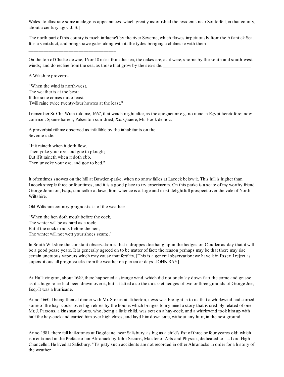Wales, to illustrate some analogous appearances, which greatly astonished the residents near Souterfell, in that county, about a century ago. - J. B.]

The north part of this county is much influenc't by the river Severne, which flowes impetuously fromthe Atlantick Sea. It is a ventiduct, and brings rawe gales along with it: the tydes bringing a chilnesse with them.

On the top of Chalke-downe, 16 or 18 miles fromthe sea, the oakes are, as it were, shorne by the south and south-west winds; and do recline from the sea, as those that grow by the sea-side.

A Wiltshire proverb:-

"When the wind is north-west, The weather is at the best: If the raine comes out of east 'Twill raine twice twenty-four howres at the least."

\_\_\_\_\_\_\_\_\_\_\_\_\_\_\_\_\_\_\_\_\_\_\_\_\_\_\_\_\_\_\_\_\_\_\_

I remember Sr. Chr. Wren told me, 1667, that winds might alter, as the apogaeum: e.g. no raine in Egypt heretofore; now common: Spaine barren; Palseston sun-dried, &c. Quaere, Mr. Hook de hoc.

A proverbial rithme observed as infallible by the inhabitants on the Severne-side:-

"If it raineth when it doth flow, Then yoke your oxe, and goe to plough; But if it raineth when it doth ebb, Then unyoke your oxe, and goe to bed."

\_\_\_\_\_\_\_\_\_\_\_\_\_\_\_\_\_\_\_\_\_\_\_\_\_\_\_\_\_\_\_\_\_\_\_

It oftentimes snowes on the hill at Bowden-parke, when no snow falles at Lacock below it. This hill is higher than Lacock steeple three or four times, and it is a good place to try experiments. On this parke is a seate of my worthy friend George Johnson, Esqr., councillor at lawe, fromwhence is a large and most delightfull prospect over the vale of North Wiltshire.

Old Wiltshire country prognosticks of the weather:-

"When the hen doth moult before the cock, The winter will be as hard as a rock; But if the cock moults before the hen, The winter will not wett your shoes seame."

\_\_\_\_\_\_\_\_\_\_\_\_\_\_\_\_\_\_\_\_\_\_\_\_\_\_\_\_\_\_\_\_\_\_\_

\_\_\_\_\_\_\_\_\_\_\_\_\_\_\_\_\_\_\_\_\_\_\_\_\_\_\_\_\_\_\_\_\_\_\_

In South Wiltshire the constant observation is that if droppes doe hang upon the hedges on Candlemas-day that it will be a good pease yeare. It is generally agreed on to be matter of fact; the reason perhaps may be that there may rise certain unctuous vapours which may cause that fertility. [This is a general observation: we have it in Essex. I reject as superstitious all prognosticks fromthe weather on particular days.-JOHN RAY.]

Anno 1660, I being then at dinner with Mr. Stokes at Titherton, news was brought in to us that a whirlewind had carried some of the hay- cocks over high elmes by the house: which bringes to my mind a story that is credibly related of one Mr. J. Parsons, a kinsman of ours, who, being a little child, was sett on a hay-cock, and a whirlewind took himup with half the hay-cock and carried himover high elmes, and layd himdown safe, without any hurt, in the next ground.

Anno 1581, there fell hail-stones at Dogdeane, near Salisbury, as big as a child's fist of three or four yeares old; which is mentioned in the Preface of an Almanack by John Securis, Maister of Arts and Physick, dedicated to ..... Lord High Chancellor. He lived at Salisbury. "Tis pitty such accidents are not recorded in other Almanacks in order for a history of the weather.

At Hullavington, about 1649, there happened a strange wind, which did not onely lay down flatt the corne and grasse as if a huge roller had been drawn over it, but it flatted also the quickset hedges of two or three grounds of George Joe, Esq.-It was a hurricane.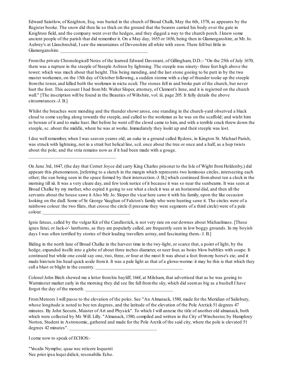Edward Saintlow, of Knighton, Esq. was buried in the church of Broad Chalk, May the 6th, 1578, as appeares by the Register booke. The snow did then lie so thick on the ground that the bearers carried his body over the gate in Knighton field, and the company went over the hedges, and they digged a way to the church porch. I knew some ancient people of the parish that did remember it. On a May day, 1655 or 1656, being then in Glamorganshire, at Mr. Jo. Aubrey's at Llanchrechid, I saw the mountaines of Devonshire all white with snow. There fell but little in Glamorganshire.

Fromthe private Chronologicall Notes of the learned Edward Davenant, of Gillingham, D.D.:- "On the 25th of July 1670, there was a rupture in the steeple of Steeple Ashton by lightning. The steeple was ninety- three feet high above the tower; which was much about that height. This being mending, and the last stone goeing to be putt in by the two master workemen, on the 15th day of October following, a sudden storme with a clap of thunder tooke up the steeple fromthe tower, and killed both the workmen in nictu oculi. The stones fell in and broke part of the church, but never hurt the font. This account I had from Mr. Walter Sloper, attorney, of Clement's Inne, and it is registred on the church wall." [The inscription will be found in the Beauties of Wiltshire, vol. iii. page 205. It fully details the above circumstances.-J. B.]

Whilst the breaches were mending and the thunder showr arose, one standing in the church-yard observed a black cloud to come sayling along towards the steeple, and called to the workman as he was on the scaffold; and wisht him to beware of it and to make hast. But before he went off the clowd came to him, and with a terrible crack threw down the steeple, sc. about the middle, where he was at worke. Immediately they lookt up and their steeple was lost.

I doe well remember, when I was seaven yeares old, an oake in a ground called Rydens, in Kington St. Michael Parish, was struck with lightning, not in a strait but helical line, scil. once about the tree or once and a half, as a hop twists about the pole; and the stria remains now as if it had been made with a gouge.

On June 3rd, 1647, (the day that Cornet Joyce did carry King Charles prisoner to the Isle of Wight fromHoldenby,) did appeare this phenomenon, [referring to a sketch in the margin which represents two luminous circles, intersecting each other; the sun being seen in the space formed by their intersection.-J. B.] which continued fromabout ten a clock in the morning till xii. It was a very cleare day, and few took notice of it because it was so near the sunbeams. It was seen at Broad Chalke by my mother, who espied it going to see what a clock it was at an horizontal dial, and then all the servants about the house sawe it Also Mr. Jo. Sloper the vicar here sawe it with his family, upon the like occasion looking on the diall. Some of Sr. George Vaughan of Falston's family who were hunting sawe it. The circles were of a rainbowe colour: the two filats, that crosse the circle (I presume they were segments of a third circle) were of a pale

colour. \_\_\_\_\_\_\_\_\_\_\_\_\_\_\_\_\_\_\_\_\_\_\_\_\_\_\_\_\_\_\_\_\_\_\_

\_\_\_\_\_\_\_\_\_\_\_\_\_\_\_\_\_\_\_\_\_\_\_\_\_\_\_\_\_\_\_\_\_\_\_

Ignis fatuus, called by the vulgar Kit of the Candlestick, is not very rare on our downes about Michaelmass. [These ignes fatui, or Jack-o'- lanthorns, as they are popularly called, are frequently seen in low boggy grounds. In my boyish days I was often terrified by stories of their leading travellers astray, and fascinating them.- J. B.]

Biding in the north lane of Broad Chalke in the harvest time in the twy-light, or scarce that, a point of light, by the hedge, expanded itselfe into a globe of about three inches diameter, or neer four, as boies blow bubbles with soape. It continued but while one could say one, two, three, or four at the most It was about a foot frommy horse's eie; and it made himturn his head quick aside fromit. It was a pale light as that of a glowe-worme: it may be this is that which they call a blast or blight in the country.

Colonel John Birch shewed me a letter from his bayliff, 166f, at Milsham, that advertised that as he was goeing to Warminster market early in the morning they did see fire fall fromthe sky, which did seemas big as a bushell I have forgot the day of the moneth.

FromMeteors I will passe to the elevation of the poles. See "An Almanack, 1580, made for the Meridian of Salisbury, whose longitude is noted to bee ten degrees, and the latitude of the elevation of the Pole Arctick 51 degrees 47 minutes. By John Securis, Maister of Art and Physick". To which I will annexe the title of another old almanack, both which were collected by Mr. Will. Lilly. "Almanack, 1580, compiled and written in the City of Winchester, by Humphrey Norton, Student in Astronomic, gathered and made for the Pole Arctik of the said city, where the pole is elevated 51 degrees 42 minutes".

I come now to speak of ECHOS:-

"Vocalis Nymphe; quae nec reticere loquenti Nec prior ipsa loqui didicit, resonabilis Echo.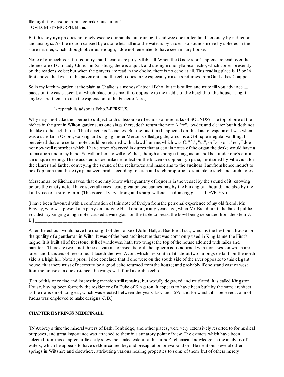Ille fugit; fugiensque manus complexibus aufert." - OVID, METAMORPH. lib. iii.

But this coy nymph does not onely escape our hands, but our sight, and wee doe understand her onely by induction and analogic. As the motion caused by a stone lett fall into the water is by circles, so sounds move by spheres in the same manner, which, though obvious enough, I doe not remember to have seen in any booke.

None of our ecchos in this country that I hear of are polysyllabicall. When the Gospels or Chapters are read over the choire dore of Our Lady Church in Salisbury, there is a quick and strong monosyllabicall echo, which comes presently on the reader's voice: but when the prayers are read in the choire, there is no echo at all. This reading place is 15 or 16 foot above the levell of the pavement: and the echo does more especially make its returnes fromOur Ladies ChappelL

So in my kitchin-garden at the plain at Chalke is a monosyllabicall Echo; but it is sullen and mute till you advance .... paces on the easie ascent, at which place one's mouth is opposite to the middle of the heighth of the house at right angles; and then, - to use the expression of the Emperor Nero,-

"- reparabilis adsonat Echo."-PERSIUS.

Why may I not take the libertie to subject to this discourse of echos some remarks of SOUNDS? The top of one of the niches in the grot in Wilton gardens, as one sings there, doth return the note A "re", lowder, and clearer, but it doth not the like to the eighth of it. The diameter is 22 inches. But the first time I happened on this kind of experiment was when I was a scholar in Oxford, walking and singing under Merton-Colledge gate, which is a Gothique irregular vaulting, I perceived that one certain note could be returned with a lowd humme, which was C. "fa", "ut", or D. "sol", "re"; I doe not now well remember which. I have often observed in quires that at certain notes of the organ the deske would have a tremulation under my hand. So will timber; so will one's hat, though a spongie thing, as one holds it under one's armat a musique meeting. These accidents doe make me reflect on the brazen or copper Tympana, mentioned by Vitruvius, for the clearer and farther conveying the sound of the recitatores and musicians to the auditors. I amfromhence induc't to be of opinion that these tympana were made according to such and such proportions, suitable to such and such notes.

Mersennus, or Kircher, sayes, that one may know what quantity of liquor is in the vessel by the sound of it, knowing before the empty note. I have severall times heard great brasse pannes ring by the barking of a hound; and also by the loud voice of a strong man.-(The voice, if very strong and sharp, will crack a drinking glass.- J. EVELYN.)

[I have been favoured with a confirmation of this note of Evelyn fromthe personal experience of my old friend. Mr. Brayley, who was present at a party on Ludgate Hill, London, many years ago, when Mr. Broadhurst, the famed public vocalist, by singing a high note, caused a wine glass on the table to break, the bowl being separated fromthe stem.-J. B.] \_\_\_\_\_\_\_\_\_\_\_\_\_\_\_\_\_\_\_\_\_\_\_\_\_\_\_\_\_\_\_\_\_\_\_

After the echos I would have the draught of the house of John Hall, at Bradford, Esq., which is the best built house for the quality of a gentleman in Wilts. It was of the best architecture that was commonly used in King James the First's raigne. It is built all of freestone, full of windowes, hath two wings: the top of the house adorned with railes and baristers. There are two if not three elevations or ascents to it: the uppermost is adorned with terrasses, on which are railes and baristers of freestone. It faceth the river Avon, which lies south of it, about two furlongs distant: on the north side is a high hill. Now, a priori, I doe conclude that if one were on the south side of the river opposite to this elegant house, that there must of necessity be a good echo returned fromthe house; and probably if one stand east or west fromthe house at a due distance, the wings will afford a double echo.

[Part of this once fine and interesting mansion still remains, but wofully degraded and mutilated. It is called Kingston House, having been formerly the residence of a Duke of Kingston. It appears to have been built by the same architect as the mansion of Longleat, which was erected between the years 1567 and 1579, and for which, it is believed, John of Padua was employed to make designs.-J. B.]

## **CHAPTER II SPRINGS MEDICINALL.**

[IN Aubrey's time the mineral waters of Bath, Tonbridge, and other places, were very extensively resorted to for medical purposes, and great importance was attached to themin a sanatory point of view. The extracts which have been selected fromthis chapter sufficiently shew the limited extent of the author's chemical knowledge, in the analysis of waters; which he appears to have seldom carried beyond precipitation or evaporation. He mentions several other springs in Wiltshire and elsewhere, attributing various healing properties to some of them; but of others merely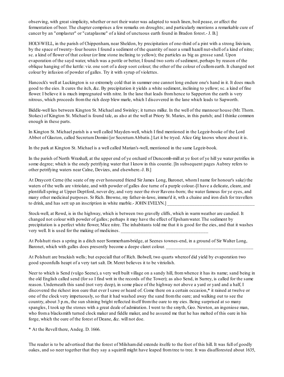observing, with great simplicity, whether or not their water was adapted to wash linen, boil pease, or affect the fermentation of beer. The chapter comprises a few remarks on droughts; and particularly mentions a remarkable cure of cancer by an "emplaster" or "cataplasme" of a kind of unctuous earth found in Bradon forest.- J. B.]

HOLY-WELL, in the parish of Chippenham, near Sheldon, by precipitation of one-third of a pint with a strong lixivium, by the space of twenty- four houres I found a sediment of the quantity of neer a small hazell nut-shell of a kind of nitre; sc. a kind of flower of that colour (or lime stone inclining to yellow); the particles as big as grosse sand. Upon evaporation of the sayd water, which was a pottle or better, I found two sorts of sediment, perhaps by reason of the oblique hanging of the kettle: viz. one sort of a deep soot colour; the other of the colour of cullomearth. It changed not colour by infusion of powder of galles. Try it with syrup of violettes.

Hancock's well at Luckington is so extremely cold that in summer one cannot long endure one's hand in it. It does much good to the eies. It cures the itch, &c. By precipitation it yields a white sediment, inclining to yellow; sc. a kind of fine flower. I believe it is much impregnated with nitre. In the lane that leads from hence to Sapperton the earth is very nitrous, which proceeds fromthe rich deep blew marle, which I discovered in the lane which leads to Sapworth.

Biddle-well lies between Kington St. Michael and Swinley; it turnes milke. In the well of the mannour house (Mr. Thorn. Stokes) of Kington St. Michael is found talc, as also at the well at Priory St. Maries, in this parish; and I thinke common enough in these parts.

In Kington St. Michael parish is a well called Mayden-well, which I find mentioned in the Legeir-booke of the Lord Abbot of Glaston, called Secretum Domini [or Secretum Abbatis.] Let it be tryed. Alice Grig knows where about it is.

In the park at Kington St. Michael is a well called Marian's-well, mentioned in the same Legeir-book.

In the parish of North Wraxhall, at the upper end of ye orchard of Duncomb-mill at ye foot of ye hill ye water petrifies in some degree; which is the onely petrifying water that I know in this countie. [In subsequent pages Aubrey refers to other petrifying waters near Calne, Devizes, and elsewhere.-J. B.]

At Draycott Cerne (the seate of my ever honoured friend Sir James Long, Baronet, whomI name for honour's sake) the waters of the wells are vitriolate, and with powder of galles doe turne of a purple colour.-[I have a delicate, cleare, and plentifullspring at Upper Deptford, never dry, and very neer the river Ravens-born; the water famous for ye eyes, and many other medicinal purposes. Sr Rich. Browne, my father-in-lawe, immur'd it, wth a chaine and iron dish for travellers to drink, and has sett up an inscription in white marble.- JOHN EVELYN.]

Stock-well, at Rowd, is in the highway, which is between two gravelly cliffs, which in warmweather are candied. It changed not colour with powder of galles; perhaps it may have the effect of Epshamwater. The sediment by precipitation is a perfect white flower, Mice nitre. The inhabitants told me that it is good for the eies, and that it washes very well. It is used for the making of medicines.

At Polshutt rises a spring in a ditch neer Sommerham-bridge, at Seenes townes-end, in a ground of Sir Walter Long, Baronet, which with galles does presently become a deepe claret colour.

At Polshutt are brackish wells; but especiall that of Rich. Bolwell, two quarts whereof did yield by evaporation two good spoonfulls heapt of a very tart salt. Dr. Meret believes it to be vitriolish.

Neer to which is Send (vulgo Seene), a very well built village on a sandy hill, fromwhence it has its name; sand being in the old English called send (for so I find writ in the records of the Tower); as also Send, in Surrey, is called for the same reason. Underneath this sand (not very deep), in some place of the highway not above a yard or yard and a half, I discovered the richest iron oare that ever I sawe or heard of. Come there on a certain occasion,\* it rained at twelve or one of the clock very impetuously, so that it had washed away the sand fromthe oare; and walking out to see the country, about 3 p.m., the sun shining bright reflected itself fromthe oare to my eies. Being surprised at so many spangles, I took up the stones with a great deale of admiration. I went to the smyth, Geo. Newton, an ingeniose man, who froma blacksmith turned clock maker and fiddle maker, and he assured me that he has melted of this oare in his forge, which the oare of the forest of Deane, &c. will not doe.

\* At the Revell there, Andeg. D. 1666.

The reader is to be advertised that the forest of Milshamdid extende itselfe to the foot of this hill. It was full of goodly oakes, and so neer together that they say a squirrill might have leaped fromtree to tree. It was disafforested about 1635,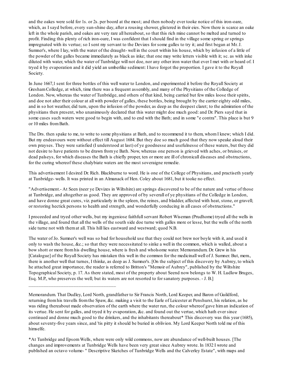and the oakes were sold for 1s. or 2s. per boord at the most; and then nobody ever tooke notice of this iron-oare, which, as I sayd before, every sun-shine day, after a rousing shower, glistered in their eies. Now there is scarce an oake left in the whole parish, and oakes are very rare all hereabout, so that this rich mine cannot be melted and turned to profit. Finding this plenty of rich iron-oare, I was confident that I should find in the village some spring or springs impregnated with its vertue; so I sent my servant to the Devizes for some galles to try it; and first began at Mr. J. Sumner's, where I lay, with the water of the draught- well in the court within his house, which by infusion of a little of the powder of the galles became immediately as black as inke; that one may write letters visible with it; sc. as with inke diluted with water, which the water of Tunbridge will not doe, nor any other iron water that ever I met with or heard of. I tryed it by evaporation and it did yield an umberlike sediment: I have forgot the proportion. I gave it to the Royall Society.

In June 1667,1 sent for three bottles of this well water to London, and experimented it before the Royall Society at GreshamColledge, at which, time there was a frequent assembly, and many of the Physitians of the Colledge of London. Now, whereas the water of Tunbridge, and others of that kind, being carried but few miles loose their spirits, and doe not alter their colour at all with powder of galles, these bottles, being brought by the carrier eighty odd miles, and in so hot weather, did turn, upon the infusion of the powder, as deep as the deepest claret; to the admiration of the physitians then present, who unanimously declared that this water might doe much good: and Dr. Piers sayd that in some cases such waters were good to begin with, and to end with the Bath; and in some "e contra". This place is but 9 or 10 miles fromBath.

The Drs. then spake to me, to write to some physitians at Bath, and to recommend it to them, whomI knew; which I did. But my endeavours were without effect till August 1684. But they doe so much good that they now speake aloud their own prayses. They were satisfied (I understood at last) of ye goodnesse and usefulnesse of these waters, but they did not desire to have patients to be drawn fromye Bath. Now, whereas one person is grieved with aches, or bruises, or dead palseys, for which diseases the Bath is chiefly proper, ten or more are ill of chronicall diseases and obstructions, for the curing whereof these chalybiate waters are the most soveraigne remedie.

This advertisement I desired Dr. Rich. Blackburne to word. He is one of the College of Physitians, and practiseth yearly at Tunbridge- wells. It was printed in an Almanack of Hen. Coley about 1681, but it tooke no effect.

"Advertisement.- At Seen (neer ye Devizes in Wiltshire) are springs discovered to be of the nature and vertue of those at Tunbridge, and altogether as good. They are approved of by severall of ye physitians of the Colledge in London, and have donne great cures, viz. particularly in the spleen, the reines, and bladder, affected with heat, stone, or gravell; or restoring hectick persons to health and strength, and wonderfully conducing in all cases of obstructions."

I proceeded and tryed other wells, but my ingeniose faithfullservant Robert Wiseman (Prudhome) tryed all the wells in the village, and found that all the wells of the south side doe turne with galles more or lesse, but the wells of the north side turne not with themat all. This hill lies eastward and westward; quod N.B.

The water of Jo. Sumner's well was so bad for household use that they could not brew nor boyle with it, and used it only to wash the house, &c.; so that they were necessitated to sinke a well in the common, which is walled, about a bow shott or more fromhis dwelling house, where is fresh and wholsome water. Memorandum. Dr. Grew in his [Catalogue] of the Royall Society has mistaken this well in the common for the medicinall well of J. Sumner. But, mem., there is another well that turnes, I thinke, as deep as J. Sumner's. [On the subject of this discovery by Aubrey, to which he attached great importance, the reader is referred to Britton's "Memoir of Aubrey", published by the Wiltshire Topographical Society, p. 17. As there stated, most of the property about Seend now belongs to W. H. Ludlow Bruges, Esq. M.P., who preserves the well; but its waters are not resorted to for sanatory purposes. - J. B.]

\_\_\_\_\_\_\_\_\_\_\_\_\_\_\_\_\_\_\_\_\_\_\_\_\_\_\_\_\_\_\_\_\_\_\_

Memorandum. That Dudley, Lord North, grandfather to Sir Francis North, Lord Keeper, and Baron of Guildford, returning fromhis travells fromthe Spaw, &c. making a visit to the Earle of Leicester at Penshurst, his relation, as he was riding thereabout made observation of the earth where the water run, the colour whereof gave himan indication of its vertue. He sent for galles, and tryed it by evaporation, &c. and found out the vertue, which hath ever since continued and donne much good to the drinkers, and the inhabitants thereabout\* This discovery was this year (1685), about seventy-five years since, and 'tis pitty it should be buried in oblivion. My Lord Keeper North told me of this himselfe.

\*At Tunbridge and EpsomWells, where were only wild commons, now are abundance of well-built houses. [The changes and improvements at Tunbridge Wells have been very great since Aubrey wrote. In 1832 I wrote and published an octavo volume- " Descriptive Sketches of Tunbridge Wells and the Calverley Estate", with maps and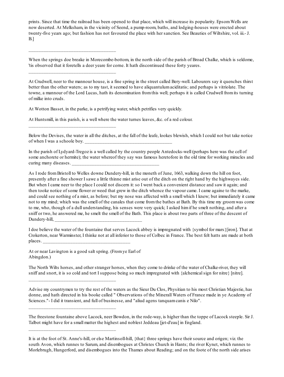prints. Since that time the railroad has been opened to that place, which will increase its popularity. EpsomWells are now deserted. At Melksham, in the vicinity of Seend, a pump-room, baths, and lodging-houses were erected about twenty-five years ago; but fashion has not favoured the place with her sanction. See Beauties of Wiltshire, vol. iii.- J. B.]

When the springs doe breake in Morecombe-bottom, in the north side of the parish of Broad Chalke, which is seldome, 'tis observed that it foretells a deer yeare for corne. It hath discontinued these forty yeares.

At Crudwell, neer to the mannour house, is a fine spring in the street called Bery-well. Labourers say it quenches thirst better than the other waters; as to my tast, it seemed to have aliquantulumaciditatis; and perhaps is vitriolate. The towne, a mannour of the Lord Lucas, hath its denomination fromthis well; perhaps it is called Crudwell fromits turning of milke into cruds.

At Wotton Basset, in the parke, is a petrifying water, which petrifies very quickly.

\_\_\_\_\_\_\_\_\_\_\_\_\_\_\_\_\_\_\_\_\_\_\_\_\_\_\_\_\_\_\_\_\_\_\_

\_\_\_\_\_\_\_\_\_\_\_\_\_\_\_\_\_\_\_\_\_\_\_\_\_\_\_\_\_\_\_\_\_\_\_

\_\_\_\_\_\_\_\_\_\_\_\_\_\_\_\_\_\_\_\_\_\_\_\_\_\_\_\_\_\_\_\_\_\_\_

At Huntsmill, in this parish, is a well where the water turnes leaves, &c. of a red colour.

Below the Devises, the water in all the ditches, at the fall of the leafe, lookes blewish, which I could not but take notice of when I was a schoole boy.

In the parish of Lydyard-Tregoz is a well called by the country people Antedocks-well (perhaps here was the cell of some anchorete or hermite); the water whereof they say was famous heretofore in the old time for working miracles and curing many diseases.

As I rode fromBristoll to Welles downe Dundery-hill, in the moneth of June, 1663, walking down the hill on foot, presently after a fine shower I sawe a little thinne mist arise out of the ditch on the right hand by the highwayes side. But when I came neer to the place I could not discern it: so I went back a convenient distance and saw it again; and then tooke notice of some flower or weed that grew in the ditch whence the vapour came. I came againe to the marke, and could see nothing of a mist, as before; but my nose was affected with a smell which I knew; but immediately it came not to my mind; which was the smell of the canales that come fromthe bathes at Bath. By this time my groomwas come to me, who, though of a dull understanding, his senses were very quick; I asked himif he smelt nothing, and after a sniff or two, he answered me, he smelt the smell of the Bath. This place is about two parts of three of the descent of Dundery-hill,

I doe believe the water of the fountaine that serves Lacock abbey is impregnated with {symbol for mars}[iron]. That at Crokerton, near Warminster, I thinke not at all inferior to those of Colbec in France. The best felt hatts are made at both  $_{\text{places.}}$ 

At or near Lavington is a good salt spring. (Fromye Earl of Abingdon.)

\_\_\_\_\_\_\_\_\_\_\_\_\_\_\_\_\_\_\_\_\_\_\_\_\_\_\_\_\_\_\_\_\_\_\_

\_\_\_\_\_\_\_\_\_\_\_\_\_\_\_\_\_\_\_\_\_\_\_\_\_\_\_\_\_\_\_\_\_\_\_

\_\_\_\_\_\_\_\_\_\_\_\_\_\_\_\_\_\_\_\_\_\_\_\_\_\_\_\_\_\_\_\_\_\_\_

The North Wilts horses, and other stranger horses, when they come to drinke of the water of Chalke-river, they will sniff and snort, it is so cold and tort I suppose being so much impregnated with {alchemical sign for nitre} [nitre].

Advise my countrymen to try the rest of the waters as the Sieur Du Clos, Physitian to his most Christian Majestie, has donne, and hath directed in his booke called " Observations of the Minerall Waters of France made in ye Academy of Sciences."- I did it transient, and full of businesse, and "aliud agens tanquamcanis e Nilo".

The freestone fountaine above Lacock, neer Bowdon, in the rode-way, is higher than the toppe of Lacock steeple. Sir J. Talbot might have for a small matter the highest and noblest Jeddeau [jet-d'eau] in England.

It is at the foot of St. Anne's-hill, or else Martinsoll-hill, {that} three springs have their source and origen; viz. the south Avon, which runnes to Sarum, and disembogues at Christes Church in Hants; the river Kynet, which runnes to Morlebrugh, Hungerford, and disembogues into the Thames about Reading; and on the foote of the north side arises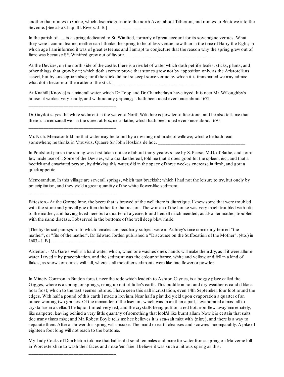another that runnes to Calne, which disembogues into the north Avon about Titherton, and runnes to Bristowe into the Severne. [See also Chap. III. Rivers.-J. B.]

In the parish of....... is a spring dedicated to St. Winifred, formerly of great account for its soveraigne vertues. What they were I cannot learne; neither can I thinke the spring to be of less vertue now than in the time of Harry the Eight; in which age I am informed it was of great esteeme: and I am apt to conjecture that the reason why the spring grew out of fame was because  $S^*$ . Winifred grew out of favour.

At the Devizes, on the north side of the castle, there is a rivulet of water which doth petrifie leafes, sticks, plants, and other things that grow by it; which doth seemto prove that stones grow not by apposition only, as the Aristotelians assert, but by susception also; for if the stick did not suscept some vertue by which it is transmuted we may admire what doth become of the matter of the stick

At Knahill [Knoyle] is a minerall water, which Dr. Toop and Dr. Chamberlayn have tryed. It is neer Mr. Willoughby's house: it workes very kindly, and without any gripeing; it hath been used ever since about 1672.

Dr. Guydot sayes the white sediment in the water of North Wiltshire is powder of freestone; and he also tells me that there is a medicinall well in the street at Box, near Bathe, which hath been used ever since about 1670.

Mr. Nich. Mercator told me that water may be found by a divining rod made of willowe; whiche he hath read somewhere; he thinks in Vitruvius. Quaere Sir John Hoskins de hoc.

\_\_\_\_\_\_\_\_\_\_\_\_\_\_\_\_\_\_\_\_\_\_\_\_\_\_\_\_\_\_\_\_\_\_\_

\_\_\_\_\_\_\_\_\_\_\_\_\_\_\_\_\_\_\_\_\_\_\_\_\_\_\_\_\_\_\_\_\_\_\_

\_\_\_\_\_\_\_\_\_\_\_\_\_\_\_\_\_\_\_\_\_\_\_\_\_\_\_\_\_\_\_\_\_\_\_

\_\_\_\_\_\_\_\_\_\_\_\_\_\_\_\_\_\_\_\_\_\_\_\_\_\_\_\_\_\_\_\_\_\_\_

\_\_\_\_\_\_\_\_\_\_\_\_\_\_\_\_\_\_\_\_\_\_\_\_\_\_\_\_\_\_\_\_\_\_\_

In Poulshott parish the spring was first taken notice of about thirty yeares since by S. Pierse, M.D. of Bathe, and some few made use of it Some of the Devises, who dranke thereof, told me that it does good for the spleen, &c., and that a hectick and emaciated person, by drinking this water, did in the space of three weekes encrease in flesh, and gott a quick appetite.

Memorandum. In this village are severall springs, which tast brackish; which I had not the leisure to try, but onely by praecipitation, and they yield a great quantity of the white flower-like sediment.

Bitteston.- At the George Inne, the beere that is brewed of the well there is diuretique. I knew some that were troubled with the stone and gravell goe often thither for that reason. The woman of the house was very much troubled with fitts of the mother; and having lived here but a quarter of a yeare, found herself much mended; as also her mother, troubled with the same disease. I observed in the bottome of the well deep blew marle.

[The hysterical paroxysms to which females are peculiarly subject were in Aubrey's time commonly termed "the mother", or "fits of the mother". Dr. Edward Jorden published a "Discourse on the Suffocation of the Mother", (4to.) in  $1603 - J. B.$ ]

Alderton. - Mr. Gore's well is a hard water, which, when one washes one's hands will make themdry, as if it were allume water. I tryed it by praecipitation, and the sediment was the colour of barme, white and yellow, and fell in a kind of flakes, as snow sometimes will fall, whereas all the other sediments were like fine flower or powder.

In Minety Common in Bradon forest, neer the rode which leadeth to Ashton Caynes, is a boggy place called the Gogges, where is a spring, or springs, rising up out of fuller's earth. This puddle in hot and dry weather is candid like a hoar frost; which to the tast seemes nitrous. I have seen this salt incrustation, even 14th September, four foot round the edges. With half a pound of this earth I made a lixivium. Near half a pint did yield upon evaporation a quarter of an ounce wanting two graines. Of the remainder of the lixivium, which was more than a pint, I evaporated almost all to crystallize in a cellar. The liquor turned very red, and the crystalls being putt on a red hott iron flew away immediately, like saltpetre, leaving behind a very little quantity of something that look'd like burnt allum. Now it is certain that salts doe many times mixe; and Mr. Robert Boyle tells me hee believes it is sea-salt mix't with {nitre}, and there is a way to separate them. After a shower this spring willsmoake. The mudd or earth cleanses and scowres incomparably. A pike of eighteen foot long will not reach to the bottome.

My Lady Cocks of Dumbleton told me that ladies did send ten miles and more for water froma spring on Malverne hill in Worcestershire to wash their faces and make 'emfaire. I believe it was such a nitrous spring as this.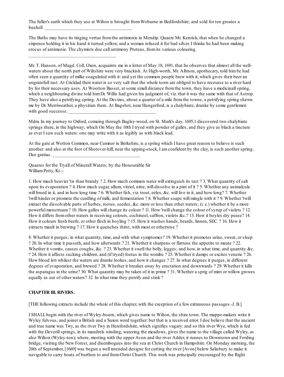The fuller's earth which they use at Wilton is brought fromWoburne in Bedfordshire; and sold for ten groates a bushell.

The Baths may have its tinging vertue fromthe antimonie in Mendip. Quaere Mr. Kenrick, that when he changed a sixpence holding it in his hand it turned yellow, and a woman refused it for bad silver. I thinke he had been making crocus of antimonie. The chymists doe call antimony Proteus, fromits various colouring.

\_\_\_\_\_\_\_\_\_\_\_\_\_\_\_\_\_\_\_\_\_\_\_\_\_\_\_\_\_\_\_\_\_\_\_

Mr. T. Hanson, of Magd. Coll. Oxon, acquaints me in a letter of May 18, 1691, that he observes that almost all the wellwaters about the north part of Wiltshire were very brackish. At High-worth, Mr. Alhnon, apothecary, told himhe had often seen a quantity of milke coagulated with it: and yet the common people brew with it, which gives their beer an ungratefull tast. At Cricklad their water is so very salt that the whole town are obliged to have recourse to a river hard by for their necessary uses. At Wootton Basset, at some small distance from the town, they have a medicinall spring, which a neighbouring divine told himDr. Willis had given his judgment of, viz. that it was the same with that of Astrop. They have also a petrifying spring. At the Devizes, about a quarter of a mile fromthe towne, a petrifying spring shewn me by Dr. Merriweather, a physitian there. At Bagshot, near Hungerford, is a chalybiate, dranke by some gentlemen with good successe.

Mdm. In my journey to Oxford, comeing through Bagley-wood, on St. Mark's day, 1695,1 discovered two chalybiate springs there, in the highway; which On May the 10th I tryed with powder of galles, and they give as black a tincture as ever I saw such waters: one may write with it as legibly as with black lead.

At the gate at Wotton Common, near Cumnor in Berkshire, is a spring which I have great reason to believe is such another: and also at the foot of Shotover-hill, near the upping-stock, I amconfident by the clay, is such another spring. Deo gratias.

Quaeres for the Tryall of Minerall Waters; by the Honourable Sir William Petty, Kt.:-

1. How much heavier 'tis than brandy ? 2. How much common water will extinguish its tast ? 3. What quantity of salt upon its evaporation ? 4. How much sugar, allum, vitriol, nitre, will dissolve in a pint of it ? 5. Whether any animalcule will breed in it, and in how long time ? 6. Whether fish, viz. trout, eeles, &c. will live in it, and how long? 7. Whether 'twill hinder or promote the curdling of milk, and fermentation ? 8. Whether soape will mingle with it ? 9. Whether 'twill extract the dissolvable parts of herbes, rootes, seedes, &c. more or less than other waters; (i. e.) whether it be a more powerful menstruum? 10. How galles will change its colour ? 11. How 'twill change the colour of syrup of violets ? 12. How it differs fromother waters in receiving colours, cochineel, saffron, violets &c.? 13. How it boyles dry pease? 14. How it colours fresh beefe, or other flesh in boyling ? 15. How it washes hands, beards, linnen, SEC. ? 16. How it extracts mault in brewing ? 17. How it quenches thirst, with meat or otherwise ?

8. Whether it purges; in what quantity, time, and with what symptomes? 19. Whether it promotes urine, sweat, or sleep ? 20. In what time it passeth, and how afterwards ? 21. Whether it sharpens or flattens the appetite to meate ? 22. Whether it vomits, causes coughs, &c. ? 23. Whether it swell the belly, legges; and how, in what time, and quantity &c. ? 24. How it affects sucking children, and (if tryed) foetus in the wombe ? 25. Whether it damps or excites venerie ? 26. How blood lett whilest the waters are dranke lookes, and how it changes ? 27. In what degrees it purges, in different degrees of evaporation, and brewed ? 28. Whether it breakes away by eructation and downwards ? 29. Whether it kills the asparagus in the urine? 30. What quantity may be taken of it in prime ? 31. Whether a sprig of mint or willow growes equally as out of other waters? 32. In what time they putrify and stink ?

#### **CHAPTER III. RIVERS.**

[THE following extracts include the whole of this chapter, with the exception of a few extraneous passages.-J. B.]

I SHALLbegin with the river of Wyley-bourn, which gives name to Wilton, the shire town. The mappe-makers write it Wyley fulvous, and joiner a British and a Saxon word together: but that is a received error. I doe believe that the ancient and true name was Twy, as the river Twy in Herefordshire, which signifies vagary: and so this river Wye, which is fed with the Deverill springs, in its mandrels winding, watering the meadows, gives the name to the village called Wyley, as also Wilton (Wyley-ton); where, meeting with the upper Avon and the river Adder, it runnes to Downtown and Fording bridge, visiting the New Forest, and disembogues into the sea at Christ Church in Hampshire. On Monday morning, the 20th of September, [1669] was begun a well intended designe for cutting the river [Avon] below Salisbury to make it navigable to carry boats of burthen to and fromChrist Church. This work was principally encouraged by the Right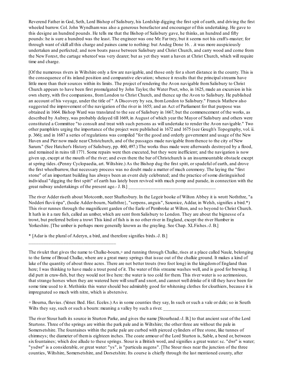Reverend Father in God, Seth, Lord Bishop of Salisbury, his Lordship digging the first spit of earth, and driving the first wheeled barrow. Col. John Wyndhamwas also a generous benefactor and encourager of this undertaking. He gave to this designe an hundred pounds. He tells me that the Bishop of Salisbury gave, he thinks, an hundred and fifty pounds: he is sure a hundred was the least. The engineer was one Mr. Far trey, but it seems not his craft's-master; for through want of skill all this charge and paines came to nothing: but Andeg Done 16. . .it was more auspiciously undertaken and perfected; and now boats passe between Salisbury and Christ Church, and carry wood and corne from the New Forest, the cartage whereof was very dearer; but as yet they want a haven at Christ Church, which will require time and charge.

[Of the numerous rivers in Wiltshire only a few are navigable, and those only for a short distance in the county. This is the consequence of its inland position and comparative elevation; whence it results that the principalstreams have little more than their sources within its limits. The project of rendering the Avon navigable fromSalisbury to Christ Church appears to have been first promulgated by John Taylor, the Water Poet, who, in 1625, made an excursion in his own sherry, with five companions, fromLondon to Christ Church, and thence up the Avon to Salisbury. He published an account of his voyage, under the title of " A Discovery by sea, fromLondon to Salisbury." Francis Mathew also suggested the improvement of the navigation of the river in 1655; and an Act of Parliament for that purpose was obtained in 1664. Bishop Ward was translated to the see of Salisbury in 1667, but the commencement of the works, as described by Aubrey, was probably delayed till 1669, in August of which year the Mayor of Salisbury and others were constituted a Committee "to consult and treat with such persons as will undertake to render the Avon navigable." Two other pamphlets urging the importance of the project were published in 1672 and 1675 (see Gough's Topography, vol. ii. p. 366); and in 1687 a series of regulations was compiled "for the good and orderly government and usage of the New Haven and Pier now made near Christchurch, and of the passages made navigable fromthence to the city of New Sarum." (See Hatcher's History of Salisbury, pp. 460, 497.) The works thus made were afterwards destroyed by a flood, and remained in ruins till 1771. Some repairs were then executed, but they were inefficient; and the navigation is now given up, except at the mouth of the river; and even there the bar of Christchurch is an insurmountable obstacle except at spring tides.-(Penny Cyclopaedia, art. Wiltshire.) As the Bishop dug the first spitt, or spadeful of earth, and drove the first wheelbarrow, that necessary process was no doubt made a matter of much ceremony. The laying the "first stone" of an important building has always been an event duly celebrated; and the practice of some distinguished individual "digging the first spitt" of earth has lately been revived with much pomp and parade, in connection with the great railway undertakings of the present age.- J. B.]

The river Adder riseth about Motcomb, neer Shaftesbury. In the Legeir booke of Wilton Abbey it is wrott Noththre, "a Nodderi fluvii ripa", (hodie Adder-bourn, Naththre}, "serpens, anguis", Saxonice, Addar, in Welsh, signifies a bird.\*) This river runnes through the magnificent garden of the Earle of Pembroke at Wilton, and so beyond to Christ Church. It hath in it a rare fish, called an umber, which are sent fromSalisbury to London. They are about the bignesse of a trowt, but preferred before a trowt This kind of fish is in no other river in England, except the river Humber in Yorkeshire. [The umber is perhaps more generally known as the grayling. See Chap. XLFishes.-J. B.]

\* [Adar is the plural of Aderyn, a bird, and therefore signifies birds.-J. B.]

\_\_\_\_\_\_\_\_\_\_\_\_\_\_\_\_\_\_\_\_\_\_\_\_\_\_\_\_\_\_\_\_\_\_\_

+ Bourna, fluvius. (Vener. Bed. Hist. Eceles.) As in some counties they say, In such or such a vale or dale; so in South Wilts they say, such or such a bourn: meaning a valley by such a river.

The river Stour hath its source in Sturton Parke, and gives the name [Stourhead.-J. B.] to that ancient seat of the Lord Sturtons. Three of the springs are within the park pale and in Wiltshire; the other three are without the pale in Somersetshire. The fountaines within the parke pale are curbed with pierced cylinders of free stone, like tunnes of chimneys; the diameter of themis eighteen inches. The coate armour of the Lord Sturton is, Sable, a bend or, between six fountaines; which doe allude to these springs. Stour is a British word, and signifies a great water: sc. "dwr" is water; "ysdwr" is a considerable, or great water: "ys", is "particula augens". [The Stour rises near the junction of the three counties, Wiltshire, Somersetshire, and Dorsetshire. Its course is chiefly through the last mentioned county, after

The rivulet that gives the name to Chalke-bourn,+ and running through Chalke, rises at a place called Naule, belonging to the farme of Broad Chalke, where are a great many springs that issue out of the chalkie ground. It makes a kind of lake of the quantity of about three acres. There are not better trouts (two foot long) in the kingdomof England than here; I was thinking to have made a trout pond of it. The water of this streame washes well, and is good for brewing. I did putt in craw-fish, but they would not live here: the water is too cold for them. This river water is so acrimonious, that strange horses when they are watered here willsnuff and snort, and cannot well drinke of it till they have been for some time used to it. Methinks this water should bee admirably good for whitening clothes for cloathiers, because it is impregnated so much with nitre, which is abstersive.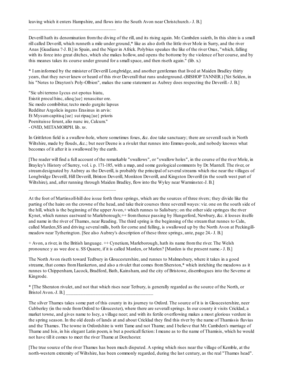Deverill hath its denomination fromthe diving of the rill, and its rising again. Mr. Cambden saieth, In this shire is a small rill called Deverill, which runneth a mile under ground,\* like as also doth the little river Mole in Surry, and the river Anas [Guadiana ?-J. B.] in Spain, and the Niger in Africk. Polybius speakes the like of the river Oxus, "which, falling with its force into great ditches, which she makes hollow, and opens the bottome by the violence of her course, and by this meanes takes its course under ground for a small space, and then riseth again." (lib.  $x$ )

\* I aminformed by the minister of Deverill Longbridge, and another gentleman that lived at Maiden Bradley thirty years, that they never knew or heard of this river Deverall that runs underground.-(BISHOP TANNER.) [Yet Selden, in his "Notes to Drayton's Poly-Olbion", makes the same statement as Aubrey does respecting the Deverill.- J. B.]

"Sic ubi terreno Lycus est epotus hiatu, Existit procul hinc, alioq{ue} renascitur ore. Sic modo combibitur, tecto modo gurgite lapsus Redditur Argolicis ingens Erasinus in arvis: Et Mysumcapitisq{ue} sui ripaq{ue} prioris Poenituisse ferunt, alio nunc ire, Calcum." - OVID, METAMORPH. lib. xv.

\_\_\_\_\_\_\_\_\_\_\_\_\_\_\_\_\_\_\_\_\_\_\_\_\_\_\_\_\_\_\_\_\_\_\_

\_\_\_\_\_\_\_\_\_\_\_\_\_\_\_\_\_\_\_\_\_\_\_\_\_\_\_\_\_\_\_\_\_\_\_

In Grittleton field is a swallow-hole, where sometimes foxes, &c. doe take sanctuary; there are severall such in North Wiltshire, made by flouds, &c.; but neer Deene is a rivulet that runnes into Emmes-poole, and nobody knowes what becomes of it after it is swallowed by the earth.

[The reader will find a full account of the remarkable "swallows", or "swallow holes", in the course of the river Mole, in Brayley's History of Surrey, vol. i. p. 171-185, with a map, and some geological comments by Dr. Mantell. The river, or streamdesignated by Aubrey as the Deverill, is probably the principal of severalstreams which rise near the villages of Longbridge Deverill, Hill Deverill, Brixton Deverill, Monkton Deverill, and Kingston Deverill (in the south west part of Wiltshire), and, after running through Maiden Bradley, flow into the Wyley near Warminster.-J. B.]

+ Avon, a river, in the British language. ++ Cynetium, Marleborough, hath its name from the river. The Welsh pronounce y as wee doe u. SS Quaere, if it is called Marden, or Marlen? [Marden is the present name.- J. B.]

The North Avon riseth toward Tedbury in Gloucestershire, and runnes to Malmesbury, where it takes in a good streame, that comes fromHankerton, and also a rivulet that comes fromSherston,\* which inriching the meadows as it runnes to Chippenham, Lacock, Bradford, Bath, Kainsham, and the city of Bristowe, disembogues into the Severne at Kingrode.

\* [The Sheraton rivulet, and not that which rises near Tetbury, is generally regarded as the source of the North, or Bristol Avon.-J. B.]

The silver Thames takes some part of this county in its journey to Oxford. The source of it is in Gloucestershire, neer Cubberley (in the rode fromOxford to Gloucester), where there are severallsprings. In our county it visits Cricklad, a market towne, and gives name to Isey, a village neer; and with its fertile overflowing makes a most glorious verdure in the spring season. In the old deeds of lands at and about Cricklad they find this river by the name of Thamissis fluvius and the Thames. The towne in Oxfordshire is writt Tame and not Thame; and I believe that Mr. Cambden's marriage of Thame and Isis, in his elegant Latin poem, is but a poeticall fiction: I meane as to the name of Thamisis, which he would not have till it comes to meet the river Thame at Dorchester.

[The true source of the river Thames has been much disputed. A spring which rises near the village of Kemble, at the north-western extremity of Wiltshire, has been commonly regarded, during the last century, as the real "Thames head".

At the foot of Martinsoll-hill doe issue forth three springs, which are the sources of three rivers; they divide like the parting of the haire on the crowne of the head, and take their courses three severall wayes: viz. one on the south side of the hill, which is the beginning of the upper Avon,+ which runnes to Salisbury; on the other side springes the river Kynet, which runnes eastward to Marleborough; ++ from thence passing by Hungerford, Newbury, &c. it looses itselfe and name in the river of Thames, near Reading. The third spring is the beginning of the streamthat runnes to Caln, called Marden,SS and driving several mills, both for corne and fulling, is swallowed up by the North Avon at Peckingillmeadow near Tytherington. [See also Aubrey's description of these three springs, ante, page 24.- J. B.]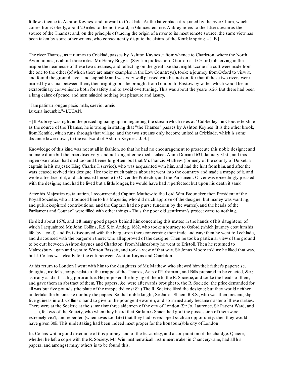It flows thence to Ashton Keynes, and onward to Cricklade. At the latter place it is joined by the river Churn, which comes fromCoberly, about 20 miles to the northward, in Gloucestershire. Aubrey refers to the latter streamas the source of the Thames; and, on the principle of tracing the origin of a river to its most remote source, the same view has been taken by some other writers, who consequently dispute the claims of the Kemble spring. - J. B.]

The river Thames, as it runnes to Cricklad, passes by Ashton Kaynes;+ fromwhence to Charleton, where the North Avon runnes, is about three miles. Mr. Henry Brigges (Savilian professor of Geometrie at Oxford) observing in the mappe the nearnesse of these two streames, and reflecting on the great use that might accrue if a cutt were made from the one to the other (of which there are many examples in the Low Countreys), tooke a journey fromOxford to view it, and found the ground levell and sappable and was very well pleased with his notion; for that if these two rivers were maried by a canal between them, then might goods be brought fromLondon to Bristow by water, which would be an extraordinary convenience both for safety and to avoid overturning. This was about the yeare 1626. But there had been a long calme of peace, and men minded nothing but pleasure and luxury.

"Jampatimur longae pacis mala, saevior armis Luxuria incumbit."- LUCAN.

\_\_\_\_\_\_\_\_\_\_\_\_\_\_\_\_\_\_\_\_\_\_\_\_\_\_\_\_\_\_\_\_\_\_\_

+ [If Aubrey was right in the preceding paragraph in regarding the streamwhich rises at "Cubberley" in Gloucestershire as the source of the Thames, he is wrong in stating that "the Thames" passes by Ashton Keynes. It is the other brook, fromKemble, which runs through that village; and the two streams only become united at Cricklade, which is some distance lower down, to the eastward of Ashton Keynes.- J. B.]

Knowledge of this kind was not at all in fashion, so that he had no encouragement to prosecute this noble designe: and no more done but the meer discovery: and not long after he died, scilicet Anno Domini 1631, January 31st.; and this ingeniose notion had died too and beene forgotten, but that Mr. Francis Mathew, (formerly of the county of Dorset, a captain in his majestie King Charles I. service), who was acquainted with him, and had the hint fromhim, and after the wars ceased revived this designe. Hee tooke much paines about it; went into the countrey and made a mappe of it, and wrote a treatise of it, and addressed himselfe to Oliver the Protector, and the Parliament. Oliver was exceedingly pleased with the designe; and, had he lived but a little longer, he would have had it perfected: but upon his death it sank.

After his Majesties restauration, I recommended Captain Mathew to the Lord Wm. Brouncker, then President of the Royall Societie, who introduced himto his Majestie; who did much approve of the designe; but money was wanting, and publick-spirited contributions; and the Captain had no purse (undonn by the warres), and the heads of the Parliament and Counsell were filled with other things.- Thus the poor old gentleman's project came to nothing.

He died about 1676, and left many good papers behind himconcerning this matter, in the hands of his daughters; of which I acquainted Mr. John Collins, R.S.S. in Andeg. 1682, who tooke a journey to Oxford (which journey cost himhis life, by a cold), and first discoursed with the barge-men there concerning their trade and way: then he went to Lechlade, and discoursed with the bargemen there; who all approved of the designe. Then he took a particular view of the ground to be cutt between Ashton-kaynes and Charleton. FromMalmesbury he went to Bristoll. Then he returned to Malmesbury again and went to Wotton Bassett, and took a view of that way. Sir Jonas Moore told me he liked that way, but J. Collins was clearly for the cutt between Ashton-Kayns and Charleton.

At his return to London I went with himto the daughters of Mr. Mathew, who shewed himtheir father's papers; sc. draughts, modells, copper-plate of the mappe of the Thames, Acts of Parliament, and Bills prepared to be enacted, &c.; as many as did fill a big portmantue. He proposed the buying of themto the R. Societie, and tooke the heads of them, and gave theman abstract of them. The papers, &c. were afterwards brought to. the R. Societie; the price demanded for all was but five pounds (the plate of the mappe did cost 8li.) The R. Societie liked the designe; but they would neither undertake the businesse nor buy the papers. So that noble knight, Sir James Shaen, R.S.S., who was then present, slipt five guineas into J. Collins's hand to give to the poor gentlewomen, and so immediately became master of these rarities. There were at the Societie at the same time three aldermen of the city of London (Sir Jo. Laurence, Sir Patient Ward, and .... ....), fellows of the Society, who when they heard that Sir James Shaen had gott the possession of themwere extremely vex't; and repented (when 'twas too late) that they had overslipped such an opportunity: then they would have given 30li. This undertaking had been indeed most proper for the hon{oura}ble city of London.

Jo. Collins writt a good discourse of this journey, and of the feazability, and a computation of the chardge. Quaere, whether he left a copie with the R. Society. Mr. Win, mathematicall instrument maker in Chancery-lane, had all his papers, and amongst many others is to be found this.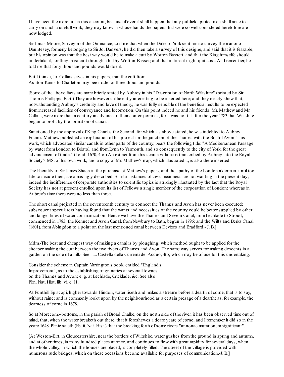I have been the more full in this account, because if ever it shall happen that any publick-spirited men shall arise to carry on such a usefull work, they may know in whose hands the papers that were so well considered heretofore are now lodged.

Sir Jonas Moore, Surveyor of the Ordinance, told me that when the Duke of York sent himto survey the manor of Dauntesey, formerly belonging to Sir Jo. Danvers, he did then take a survey of this designe, and said that it is feazable; but his opinion was that the best way would be to make a cutt by Wotton Bassett, and that the King himselfe should undertake it, for they must cutt through a hill by Wotton-Basset; and that in time it might quit cost. As I remember, he told me that forty thousand pounds would doe it.

But I thinke, Jo. Collins sayes in his papers, that the cutt from Ashton-Kains to Charleton may bee made for three thousand pounds.

[Some of the above facts are more briefly stated by Aubrey in his "Description of North Wiltshire" (printed by Sir Thomas Phillipps, Bart.) They are however sufficiently interesting to be inserted here; and they clearly shew that, notwithstanding Aubrey's credulity and love of theory, he was fully sensible of the beneficial results to be expected fromincreased facilities of conveyance and locomotion. On this point indeed he and his friends, Mr. Mathew and Mr. Collins, were more than a century in advance of their contemporaries, for it was not till after the year 1783 that Wiltshire began to profit by the formation of canals.

Sanctioned by the approval of King Charles the Second, for which, as above stated, he was indebted to Aubrey, Francis Mathew published an explanation of his project for the junction of the Thames with the Bristol Avon. This work, which advocated similar canals in other parts of the country, bears the following title: "A Mediterranean Passage by water fromLondon to Bristol, and fromLynn to Yarmouth, and so consequently to the city of York, for the great advancement of trade." (Lond. 1670, 4to.) An extract fromthis scarce volume is transcribed by Aubrey into the Royal Society's MS. of his own work; and a copy of Mr. Mathew's map, which illustrated it, is also there inserted.

The liberality of Sir James Shaen in the purchase of Mathew's papers, and the apathy of the London aldermen, until too late to secure them, are amusingly described. Similar instances of civic meanness are not wanting in the present day; indeed the indifference of corporate authorities to scientific topics is strikingly illustrated by the fact that the Royal Society has not at present enrolled upon its list of Fellows a single member of the corporation of London; whereas in Aubrey's time there were no less than three.

The short canal projected in the seventeenth century to connect the Thames and Avon has never been executed: subsequent speculators having found that the wants and necessities of the country could be better supplied by other and longer lines of water communication. Hence we have the Thames and Severn Canal, fromLechlade to Stroud, commenced in 1783; the Kennet and Avon Canal, fromNewbury to Bath, begun in 1796; and the Wilts and Berks Canal (1801), fromAbingdon to a point on the last mentioned canal between Devizes and Bradford.- J. B.]

Mdm.-The best and cheapest way of making a canal is by ploughing; which method ought to be applied for the cheaper making the cutt between the two rivers of Thames and Avon. The same way serves for making descents in a garden on the side of a hill.- See ...... Castello della Currenti del Acquo, 4to; which may be of use for this undertaking.

Consider the scheme in Captain Yarrington's book, entitled "England's Improvement", as to the establishing of granaries at severall townes on the Thames and Avon; e. g. at Lechlade, Cricklade, &c. See also Plin. Nat. Hist. lib. vi. c. 11.

\_\_\_\_\_\_\_\_\_\_\_\_\_\_\_\_\_\_\_\_\_\_\_\_\_\_\_\_\_\_\_\_\_\_\_

At Funthill Episcopi, higher towards Hindon, water riseth and makes a streame before a dearth of corne, that is to say, without raine; and is commonly look't upon by the neighbourhood as a certain presage of a dearth; as, for example, the dearness of corne in 1678.

So at Morecomb-bottome, in the parish of Broad Chalke, on the north side of the river, it has been observed time out of mind, that, when the water breaketh out there, that it foreshewes a deare yeare of corne; and I remember it did so in the yeare 1648. Plinie saieth (lib. ii. Nat. Hist.) that the breaking forth of some rivers "annonae mutationemsignificant".

[At Weston-Birt, in Gloucestershire, near the borders of Wiltshire, water gushes fromthe ground in spring and autumn, and at other times, in many hundred places at once, and continues to flow with great rapidity for several days, when the whole valley, in which the houses are placed, is completely filled. The street of the village is provided with numerous rude bridges, which on these occasions become available for purposes of communication.-J. B.]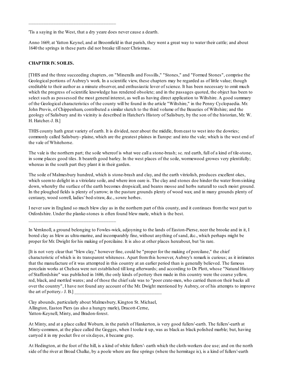'Tis a saying in the West, that a dry yeare does never cause a dearth.

\_\_\_\_\_\_\_\_\_\_\_\_\_\_\_\_\_\_\_\_\_\_\_\_\_\_\_\_\_\_\_\_\_\_\_

Anno 1669, at Yatton Keynel, and at Broomfield in that parish, they went a great way to water their cattle; and about 1640 the springs in these parts did not breake till neer Christmas.

#### **CHAPTER IV. SOILES.**

[THIS and the three succeeding chapters, on "Mineralls and Fossills," "Stones," and "Formed Stones", comprise the Geological portions of Aubrey's work. In a scientific view, these chapters may be regarded as of little value; though creditable to their author as a minute observer, and enthusiastic lover of science. It has been necessary to omit much which the progress of scientific knowledge has rendered obsolete; and in the passages quoted, the object has been to select such as possessed the most general interest, as well as having direct application to Wiltshire. A good summary of the Geological characteristics of the county will be found in the article "Wiltshire," in the Penny Cyclopaedia. Mr. John Provis, of Chippenham, contributed a similar sketch to the third volume of the Beauties of Wiltshire; and the geology of Salisbury and its vicinity is described in Hatcher's History of Salisbury, by the son of the historian, Mr. W. H. Hatcher.-J. B.]

THIS county hath great variety of earth. It is divided, neer about the middle, fromeast to west into the dowries; commonly called Salisbury- plaine, which are the greatest plaines in Europe: and into the vale; which is the west end of the vale of Whitehorse.

The vale is the northern part; the soile whereof is what wee call a stone-brash; sc. red earth, full of a kind of tile-stone, in some places good tiles. It beareth good barley. In the west places of the soile, wormewood growes very plentifully; whereas in the south part they plant it in their garden.

The soile of Malmesbury hundred, which is stone-brash and clay, and the earth vitriolish, produces excellent okes, which seem to delight in a vitriolate soile, and where iron oare is. The clay and stones doe hinder the water from sinking down, whereby the surface of the earth becomes dropsicall, and beares mosse and herbs naturall to such moist ground. In the ploughed fields is plenty of yarrow; in the pasture grounds plenty of wood wax; and in many grounds plenty of centaury, wood sorrell, ladies' bed-straw, &c., sowre herbes.

I never saw in England so much blew clay as in the northern part of this county, and it continues fromthe west part to Oxfordshire. Under the planke-stones is often found blew marle, which is the best.

In Vernknoll, a ground belonging to Fowles-wick, adjoyning to the lands of Easton-Pierse, neer the brooke and in it, I bored clay as blew as ultra-marine, and incomparably fine, without anything of sand, &c., which perhaps might be proper for Mr. Dwight for his making of porcilaine. It is also at other places hereabout, but 'tis rare.

[It is not very clear that "blew clay," however fine, could be "proper for the making of porcilane," the chief characteristic of which is its transparent whiteness. Apart fromthis however, Aubrey's remark is curious; as it intimates that the manufacture of it was attempted in this country at an earlier period than is generally believed. The famous porcelain works at Chelsea were not established till long afterwards; and according to Dr. Plott, whose "Natural History of Staffordshire" was published in 1686, the only kinds of pottery then made in this country were the coarse yellow, red, black, and mottled wares; and of those the chief sale was to "poor crate-men, who carried themon their backs all over the country", I have not found any account of the Mr. Dwight mentioned by Aubrey, or of his attempts to improve the art of pottery.-  $J. B.]$ 

Clay abounds, particularly about Malmesbury, Kington St. Michael, Allington, Easton Piers (as also a hungry marle), Dracott-Cerne, Yatton-Keynell, Minty, and Bradon-forest.

\_\_\_\_\_\_\_\_\_\_\_\_\_\_\_\_\_\_\_\_\_\_\_\_\_\_\_\_\_\_\_\_\_\_\_

At Minty, and at a place called Woburn, in the parish of Hankerton, is very good fullers'-earth. The fullers'-earth at Minty-common, at the place called the Gogges, when I tooke it up, was as black as black polished marble; but, having carryed it in my pocket five or sixdayes, it became gray.

At Hedington, at the foot of the hill, is a kind of white fullers'- earth which the cloth-workers doe use; and on the north side of the river at Broad Chalke, by a poole where are fine springs (where the hermitage is), is a kind of fullers'-earth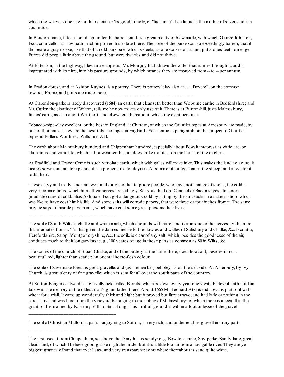which the weavers doe use for their chaines: 'tis good Tripoly, or "lac lunae". Lac lunae is the mother of silver, and is a cosmetick.

In Boudon-parke, fifteen foot deep under the barren sand, is a great plenty of blew marle, with which George Johnson, Esq., councellor-at- law, hath much improved his estate there. The soile of the parke was so exceedingly barren, that it did beare a gray mosse, like that of an old park pale, which skreeks as one walkes on it, and putts ones teeth on edge. Furzes did peep a little above the ground, but were dwarfes and did not thrive.

At Bitteston, in the highway, blew marle appears. Mr. Montjoy hath drawn the water that runnes through it, and is impregnated with its nitre, into his pasture grounds, by which meanes they are improved from-- to -- per annum.

In Bradon-forest, and at Ashton Kaynes, is a pottery. There is potters' clay also at . .. . Deverell, on the common towards Frome, and potts are made there.

At Clarendon-parke is lately discovered (1684) an earth that cleanseth better than Woburne earthe in Bedfordshire; and Mr. Cutler, the cloathier of Wilton, tells me he now makes only use of it. There is at Burton-hill, juxta Malmesbury, fullers' earth, as also about Westport, and elsewhere thereabout, which the cloathiers use.

Tobacco-pipe-clay excellent, or the best in England, at Chittern, of which the Gauntlet pipes at Amesbury are made, by one of that name. They are the best tobacco pipes in England. [See a curious paragraph on the subject of Gauntletpipes in Fuller's Worthies,- Wiltshire.-J. B.]

The earth about Malmesbury hundred and Chippenhamhundred, especially about Pewsham-forest, is vitriolate, or aluminous and vitriolate; which in hot weather the sun does make manifest on the banks of the ditches.

At Bradfield and Dracot Cerne is such vitriolate earth; which with galles will make inke. This makes the land so soure, it beares sowre and austere plants: it is a proper soile for dayries. At summer it hunger-banes the sheep; and in winter it rotts them.

These clayy and marly lands are wett and dirty; so that to poore people, who have not change of shoes, the cold is very incommodious, which hurts their nerves exceedingly. Salts, as the Lord Chancellor Bacon sayes, doe exert (irradiate) raies of cold. Elias Ashmole, Esq. got a dangerous cold by sitting by the salt sacks in a salter's shop, which was like to have cost himhis life. And some salts will corrode papers, that were three or four inches fromit. The same may be sayd of marble pavements, which have cost some great persons their lives.

\_\_\_\_\_\_\_\_\_\_\_\_\_\_\_\_\_\_\_\_\_\_\_\_\_\_\_\_\_\_\_\_\_\_\_

\_\_\_\_\_\_\_\_\_\_\_\_\_\_\_\_\_\_\_\_\_\_\_\_\_\_\_\_\_\_\_\_\_\_\_

\_\_\_\_\_\_\_\_\_\_\_\_\_\_\_\_\_\_\_\_\_\_\_\_\_\_\_\_\_\_\_\_\_\_\_

\_\_\_\_\_\_\_\_\_\_\_\_\_\_\_\_\_\_\_\_\_\_\_\_\_\_\_\_\_\_\_\_\_\_\_

The soil of South Wilts is chalke and white marle, which abounds with nitre; and is inimique to the nerves by the nitre that irradiates fromit. 'Tis that gives the dampishnesse to the flowres and walles of Salisbury and Chalke, &c. E contra, Herefordshire, Salop, Montgomeryshire, &c. the soile is clear of any salt; which, besides the goodnesse of the air, conduces much to their longaevitas: e. g., 100 yeares of age in those parts as common as 80 in Wilts, &c.

The walles of the church of Broad Chalke, and of the buttery at the farme there, doe shoot out, besides nitre, a beautifull red, lighter than scarlet; an oriental horse-flesh colour.

The soile of Savernake forest is great gravelle: and (as I remember) pebbley, as on the sea side. At Alderbury, by Ivy Church, is great plenty of fine gravelle; which is sent for all over the south parts of the countrey.

At Sutton Benger eastward is a gravelly field called Barrets, which is sown every year onely with barley: it hath not lain fallow in the memory of the oldest man's grandfather there. About 1665 Mr. Leonard Atkins did sow his part of it with wheat for a triall. It came up wonderfully thick and high; but it proved but faire strawe, and had little or nothing in the eare. This land was heretofore the vineyard belonging to the abbey of Malmesbury; of which there is a recitall in the grant of this manner by K. Henry VIII. to Sir -- Long. This fruitfull ground is within a foot or lesse of the gravell.

The soil of Christian Malford, a parish adjoyning to Sutton, is very rich, and underneath is gravell in many parts.

The first ascent fromChippenham, sc. above the Deny hill, is sandy: e. g. Bowdon-parke, Spy-parke, Sandy-lane, great clear sand, of which I believe good glasse might be made; but it is a little too far froma navigable river. They are ye biggest graines of sand that ever I saw, and very transparent: some where thereabout is sand quite white.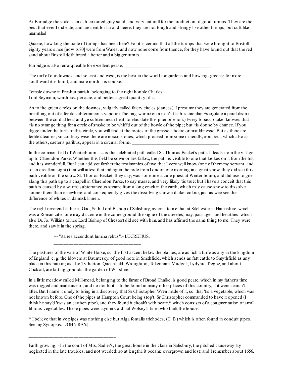At Burbidge the soile is an ash-coloured gray sand, and very naturall for the production of good turnips. They are the best that ever I did eate, and are sent for far and neere: they are not tough and stringy like other turnips, but cutt like marmalad.

Quaere, how long the trade of turnips has been here? For it is certain that all the turnips that were brought to Bristoll eighty years since [now 1680] were fromWales; and now none come fromthence, for they have found out that the red sand about Bristoll doth breed a better and a bigger turnip.

Burbidge is also remarqueable for excellent pease.

The turf of our downes, and so east and west, is the best in the world for gardens and bowling- greens; for more southward it is burnt, and more north it is course.

Temple downe in Preshut parish, belonging to the right honble Charles Lord Seymour, worth xxs. per acre, and better, a great quantity of it.

As to the green circles on the downes, vulgarly called faiery circles (dances), I presume they are generated fromthe breathing out of a fertile subterraneous vapour. (The ring-worme on a man's flesh is circular. Excogitate a paralolisme between the cordial heat and ye subterranean heat, to elucidate this phenomenon.) Every tobacco-taker knowes that 'tis no strange thing for a circle of smoke to be whiff'd out of the bowle of the pipe; but 'tis donne by chance. If you digge under the turfe of this circle, you will find at the rootes of the grasse a hoare or mouldinesse. But as there are fertile steames, so contrary wise there are noxious ones, which proceed fromsome mineralls, iron, &c.; which also as the others, caeteris paribus, appear in a circular forme.

In the common field of Winterbourn ...... is the celebrated path called St. Thomas Becket's path. It leads fromthe village up to Clarendon Parke. Whether this field be sown or lies fallow, the path is visible to one that lookes on it fromthe hill, and it is wonderfull. But I can add yet farther the testimonies of two that I very well know (one of themmy servant, and of an excellent sight) that will attest that, riding in the rode fromLondon one morning in a great snow, they did see this path visible on the snow. St. Thomas Becket, they say, was sometime a cure priest at Winter-bourn, and did use to goe along this path up to a chapell in Clarendon Parke, to say masse, and very likely 'tis true: but I have a conceit that this path is caused by a warme subterraneous steame froma long crack in the earth, which may cause snow to dissolve sooner there than elsewhere: and consequently gives the dissolving snow a darker colour, just as wee see the difference of whites in damask linnen.

The right reverend father in God, Seth, Lord Bishop of Salisbury, averres to me that at Silchester in Hampshire, which was a Roman citie, one may discerne in the corne ground the signe of the streetes; nay, passages and hearthes: which also Dr. Jo. Wilkins (since Lord Bishop of Chester) did see with him, and has affirm'd the same thing to me. They were there, and saw it in the spring.

--- "ita res accendunt lumina rebus".- LUCRETIUS.

\_\_\_\_\_\_\_\_\_\_\_\_\_\_\_\_\_\_\_\_\_\_\_\_\_\_\_\_\_\_\_\_\_\_\_

\_\_\_\_\_\_\_\_\_\_\_\_\_\_\_\_\_\_\_\_\_\_\_\_\_\_\_\_\_\_\_\_\_\_\_

The pastures of the vale of White Horse, sc. the first ascent below the plaines, are as rich a turfe as any in the kingdom of England: e. g. the Idovers at Dauntesey, of good note in Smithfield, which sends as fatt cattle to Smythfield as any place in this nation; as also Tytherton, Queenfield, Wroughton, Tokenham, Mudgelt, Lydyard Tregoz, and about Cricklad, are fatting grounds, the garden of Wiltshire.

In a little meadow called Mill-mead, belonging to the farme of Broad Chalke, is good peate, which in my father's time was digged and made use of; and no doubt it is to be found in many other places of this country, if it were search't after. But I name it onely to bring in a discovery that Sr Christopher Wren made of it, sc. that 'tis a vegetable, which was not known before. One of the pipes at Hampton Court being stop't, Sr Christopher commanded to have it opened (I think he say'd 'twas an earthen pipe), and they found it choak't with peate,\* which consists of a coagmentation of small fibrous vegetables. These pipes were layd in Cardinal Wolsey's time, who built the house.

\* I believe that in ye pipes was nothing else but Alga fontalis trichodes, (C. B.) which is often found in conduit pipes. See my Synopsis.-[JOHN RAY.]

Earth growing. - In the court of Mrs. Sadler's, the great house in the close in Salisbury, the pitched causeway lay neglected in the late troubles, and not weeded:so at lengthe it became overgrown and lost: and I remember about 1656,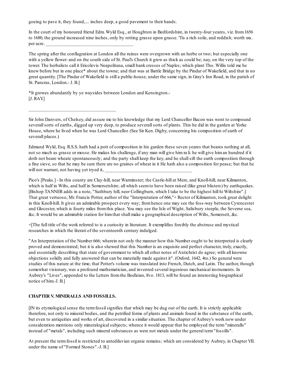goeing to pave it, they found,.... inches deep, a good pavement to their hands.

In the court of my honoured friend Edm. Wyld Esq., at Houghton in Bedfordshire, in twenty-four yeares, viz. from1656 to 1680, the ground increased nine inches, only by rotting grasse upon grasse. 'Tis a rich soile, and reddish; worth xxs. per acre.

The spring after the conflagration at London all the ruines were overgrown with an herbe or two; but especially one with a yellow flower: and on the south side of St. Paul's Church it grew as thick as could be; nay, on the very top of the tower. The herbalists call it Ericolevis Neapolitana, small bank cresses of Naples; which plant Tho. Willis told me he knew before but in one place\* about the towne; and that was at Battle Bridge by the Pindar of Wakefield, and that in no great quantity. [The Pindar of Wakefield is still a public-house, under the same sign, in Gray's Inn Road, in the parish of St. Pancras, London.- J. B.]

\*It growes abundantly by ye waysides between London and Kensington.- [J. RAY.]

\_\_\_\_\_\_\_\_\_\_\_\_\_\_\_\_\_\_\_\_\_\_\_\_\_\_\_\_\_\_\_\_\_\_\_

Sir John Danvers, of Chelsey, did assure me to his knowledge that my Lord Chancellor Bacon was wont to compound severallsorts of earths, digged up very deep, to produce severallsorts of plants. This he did in the garden at Yorke House, where he lived when he was Lord Chancellor. (See Sir Ken. Digby, concerning his composition of earth of severall places.)

Edmund Wyld, Esq. R.S.S. hath had a pott of composition in his garden these seven yeares that beares nothing at all, not so much as grasse or mosse. He makes his challenge, if any man will give himxxli. he will give himan hundred if it doth not beare wheate spontaneously; and the party shall keep the key, and he shallsift the earth composition through a fine sieve, so that he may be sure there are no graines of wheat in it He hath also a composition for pease; but that he will not warrant, not having yet tryed it,

Pico's [Peaks.] - In this county are Clay-hill, near Warminster; the Castle-hill at Mere, and Knoll-hill, near Kilmanton, which is half in Wilts, and half in Somersetshire; all which seem to have been raised (like great blisters) by earthquakes. [Bishop TANNER adds in a note, "Suthbury hill, neer Collingburn, which I take to be the highest hill hi Wiltshire".] That great vertuoso, Mr. Francis Potter, author of the "Interpretation of 666,"+ Rector of Kilmanton, took great delight in this Knoll-hill. It gives an admirable prospect every way; fromhence one may see the foss-way between Cyrencester and Glocester, which is fourty miles fromthis place. You may see the Isle of Wight, Salisbury steeple, the Severne sea, &c. It would be an admirable station for himthat shall make a geographical description of Wilts, Somersett, &c.

+[The full title of the work referred to is a curiosity in literature. It exemplifies forcibly the abstruse and mystical researches in which the literati of the seventeenth century indulged.

"An Interpretation of the Number 666; wherein not only the manner how this Number ought to be interpreted is clearly proved and demonstrated; but it is also shewed that this Number is an exquisite and perfect character, truly, exactly, and essentially describing that state of government to which all other notes of Antichrist do agree; with all knowne objections solidly and fully answered that can be materially made against it". (Oxford, 1642, 4to.) So general were studies of this nature at the time, that Potter's volume was translated into French, Dutch, and Latin. The author, though somewhat visionary, was a profound mathematician, and invented several ingenious mechanical instruments. In Aubrey's "Lives", appended to the Letters fromthe Bodleian, 8vo. 1813, will be found an interesting biographical notice of him.-J. B.]

#### **CHAPTER V. MINERALLS AND FOSSILLS.**

[IN its etymologicalsense the termfossilsignifies that which may be dug out of the earth. It is strictly applicable therefore, not only to mineral bodies, and the petrified forms of plants and animals found in the substance of the earth, but even to antiquities and works of art, discovered in a similar situation. The chapter of Aubrey's work now under consideration mentions only mineralogicalsubjects; whence it would appear that he employed the term"mineralls" instead of "metals", including such mineral substances as were not metals under the general term "fossills".

At present the termfossil is restricted to antediluvian organic remains; which are considered by Aubrey, in Chapter VII. under the name of "Formed Stones".-J. B.]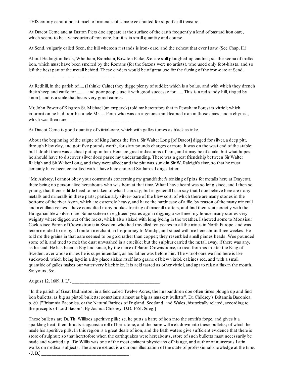THIS county cannot boast much of mineralls: it is more celebrated for superficiall treasure.

At Dracot Cerne and at Easton Piers doe appeare at the surface of the earth frequently a kind of bastard iron oare, which seems to be a vancourier of iron oare, but it is in small quantity and course.

At Send, vulgarly called Seen, the hill whereon it stands is iron- oare, and the richest that ever I saw. (See Chap. II.)

About Hedington fields, Whetham, Bromham, Bowdon Parke, &c. are still ploughed-up cindres; sc. the scoria of melted iron, which must have been smelted by the Romans (for the Saxons were no artists), who used only foot-blasts, and so left the best part of the metall behind. These cinders would be of great use for the fluxing of the iron-oare at Send.

At Redhill, in the parish of..... (I thinke Calne) they digge plenty of ruddle; which is a bolus, and with which they drench their sheep and cattle for ......... and poor people use it with good successe for ...... This is a red sandy hill, tinged by  $\{$ iron $\}$ , and is a soile that bears very good carrets.

Mr. John Power of Kington St. Michael (an emperick) told me heretofore that in PewshamForest is vitriol; which information he had fromhis uncle Mr. .... Perm, who was an ingeniose and learned man in those daies, and a chymist, which was then rare.

At Dracot Cerne is good quantity of vitriol-oare, which with galles turnes as black as inke.

\_\_\_\_\_\_\_\_\_\_\_\_\_\_\_\_\_\_\_\_\_\_\_\_\_\_\_\_\_\_\_\_\_\_\_

About the beginning of the raigne of King James the First, Sir Walter Long [of Dracot] digged for silver, a deep pitt, through blew clay, and gott five pounds worth, for sixty pounds charges or more. It was on the west end of the stable: but I doubt there was a cheat put upon him. Here are great indications of iron, and it may be of coale; but what hopes he should have to discover silver does passe my understanding. There was a great friendship between Sir Walter Raleigh and Sir Walter Long, and they were allied: and the pitt was sunk in Sir W. Raleigh's time, so that he must certainly have been consulted with. I have here annexed Sir James Long's letter.

"Mr. Aubrey, I cannot obey your commands concerning my grandfather's sinking of pitts for metalls here at Draycott, there being no person alive hereabouts who was born at that time. What I have heard was so long since, and I then so young, that there is little heed to be taken of what I can say; but in generall I can say that I doe believe here are many metalls and mineralls in these parts; particularly silver- oare of the blew sort, of which there are many stones in the bottome of the river Avon, which are extremely heavy, and have the hardnesse of a file, by reason of the many minerall and metalline veines. I have consulted many bookes treating of minerall matters, and find themsuite exactly with the Hungarian blew silver oare. Some sixteen or eighteen yeares ago in digging a well neer my house, many stones very weighty where digged out of the rocks, which also slaked with long lyeing in the weather. I shewed some to Monsieur Cock, since Baron of Crownstronie in Sweden, who had travelled ten yeares to all the mines in North Europe, and was recommended to me by a London merchant, in his journey to Mindip, and staied with me here about three weekes. He told me the grains in that oare seemed to be gold rather than copper; they resembled small pinnes heads. Wee pounded some of it, and tried to melt the dust unwashed in a crucible; but the sulphur carried the metall away, if there was any, as he said. He has been in England since, by the name of Baron Crownstrome, to treat fromhis master the King of Sweden, over whose mines he is superintendant, as his father was before him. The vitriol-oare we find here is like suckwood, which being layd in a dry place slakes itself into graine of blew vitriol, calcines red, and with a small quantitie of galles makes our water very black inke. It is acid tasted as other vitriol, and apt to raise a fluxin the mouth. Sir, yours, &c.

August 12, 1689. J. L".

"In the parish of Great Badminton, in a field called Twelve Acres, the husbandmen doe often times plough up and find iron bulletts, as big as pistoll bulletts; sometimes almost as big as muskett bulletts". Dr. Childrey's Britannia Baconica, p. 80. ["Britannia Baconica, or the Natural Rarities of England, Scotland, and Wales, historically related, according to the precepts of Lord Bacon". By Joshua Childrey, D.D. 1661. 8deg.]

These bulletts are Dr. Th. Willises aperitive pills; sc. he putts a barre of iron into the smith's forge, and gives it a sparkling heat; then thrusts it against a roll of brimstone, and the barre will melt down into these bulletts; of which he made his aperitive pills. In this region is a great deale of iron, and the Bath waters give sufficient evidence that there is store of sulphur; so that heretofore when the earthquakes were hereabouts, store of such bulletts must necessarily be made and vomited up. [Dr. Willis was one of the most eminent physicians of his age, and author of numerous Latin works on medical subjects. The above extract is a curious illustration of the state of professional knowledge at the time.  $-$  J. B.]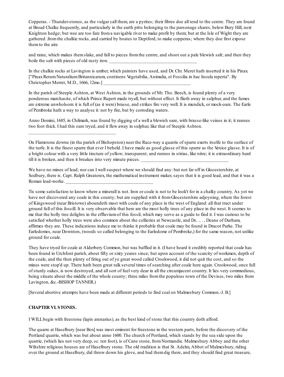Copperas. - Thunder-stones, as the vulgar call them, are a pyrites; their fibres doe all tend to the centre. They are found at Broad Chalke frequently, and particularly in the earth pitts belonging to the parsonage shares, below Bury Hill, next Knighton hedge; but wee are too fare froma navigable river to make profit by them; but at the Isle of Wight they are gathered .fromthe chalkie rocks, and carried by boates to Deptford, to make copperas; where they doe first expose themto the aire

and raine, which makes themslake, and fall to pieces fromthe centre, and shoot out a pale blewish salt; and then they boile the salt with pieces of old rusty iron.

In the chalkie rocks at Lavington is umber, which painters have used, and Dr. Chr. Meret hath inserted it in his Pinax. ["PinaxRerumNaturaliumBritannicarum, continens Vegetabilia, Animalia, et Fossilia in hac Insula reperta". By Christopher Merret, M.D., 1666, 12mo.]

In the parish of Steeple Ashton, at West Ashton, in the grounds of Mr. Tho. Beech, is found plenty of a very ponderous marchasite, of which Prince Rupert made tryall, but without effect. It flieth away in sulphur, and the fumes are extreme unwholsom: it is full of (as it were) brasse, and strikes fire very well. It is mundick, or mock-oare. The Earle of Pembroke hath a way to analyse it: not by fire, but by corroding waters.

Anno Domini, 1685, in Chilmark, was found by digging of a well a blewish oare, with brasse-like veines in it; it runnes two foot thick. I had this oare tryed, and it flew away in sulphur, like that of Steeple Ashton.

On Flamstone downe (in the parish of Bishopston) neer the Race-way a quarrie of sparre exerts itselfe to the surface of the turfe. It is the finest sparre that ever I beheld. I have made as good glasse of this sparre as the Venice glasse. It is of a bright colour with a very little tincture of yellow; transparent; and runnes in stirias, like nitre; it is extraordinary hard till it is broken, and then it breakes into very minute pieces.

We have no mines of lead; nor can I well suspect where we should find any: but not far off in Glocestershire, at Sodbury, there is. Capt. Ralph Greatorex, the mathematical instrument maker, sayes that it is good lead, and that it was a Roman lead-worke.

Tis some satisfaction to know where a minerall is not. Iron or coale is not to be look't for in a chalky country. As yet we have not discovered any coale in this county; but are supplied with it fromGlocestershire adjoyning, where the forest of Kingswood (near Bristowe) aboundeth most with coale of any place in the west of England: all that tract under ground full of this fossill. It is very observable that here are the most holly trees of any place in the west. It seemes to me that the holly tree delights in the effluviumof this fossil, which may serve as a guide to find it. I was curious to be satisfied whether holly trees were also common about the collieries at Newcastle, and Dr.. .. . , Deane of Durham, affirmes they are. These indications induce me to thinke it probable that coale may be found in Dracot Parke. The Earledomes, near Downton, (woods so called belonging to the Earledome of Pembroke,) for the same reason, not unlike ground for coale.

They have tryed for coale at Alderbery Common, but was baffled in it. (I have heard it credibly reported that coale has been found in Urchfont parish, about fifty or sixty yeares since; but upon account of the scarcity of workmen, depth of the coale, and the then plenty of firing out of ye great wood called Crookwood, it did not quit the cost, and so the mines were stop'd up. There hath been great talk several times of searching after coale here again. Crookwood, once full of sturdy oakes, is now destroyed, and allsort of fuel very dear in all the circumjacent country. It lies very commodious, being situate about the middle of the whole county; three miles fromthe populous town of the Devises, two miles from Lavington, &c.-BISHOP TANNER.)

[Several abortive attempts have been made at different periods to find coal on Malmesbury Common.-J. B.]

#### **CHAPTER VI. STONES.**

\_\_\_\_\_\_\_\_\_\_\_\_\_\_\_\_\_\_\_\_\_\_\_\_\_\_\_\_\_\_\_\_\_\_\_

I WILLbegin with freestone (lapis arenarius), as the best kind of stone that this country doth afford.

The quarre at Haselbury [near Box] was most eminent for freestone in the western parts, before the discovery of the Portland quarrie, which was but about anno 1600. The church of Portland, which stands by the sea side upon the quarrie, (which lies not very deep, sc. ten foot), is of Cane stone, fromNormandie. Malmesbury Abbey and the other Wiltshire religious houses are of Haselbury stone. The old tradition is that St. Adelm, Abbot of Malmesbury, riding over the ground at Haselbury, did throw down his glove, and bad themdig there, and they should find great treasure,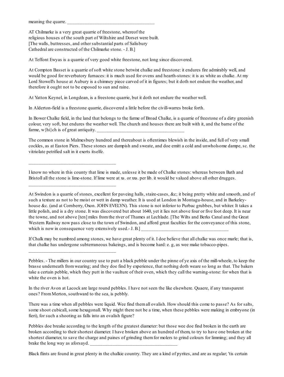meaning the quarre.

AT Chilmarke is a very great quarrie of freestone, whereof the religious houses of the south part of Wiltshire and Dorset were built. [The walls, buttresses, and other substantial parts of Salisbury Cathedral are constructed of the Chilmarke stone. - J. B.]

\_\_\_\_\_\_\_\_\_\_\_\_\_\_\_\_\_\_\_\_\_\_\_\_\_\_\_\_\_\_\_\_\_\_\_

\_\_\_\_\_\_\_\_\_\_\_\_\_\_\_\_\_\_\_\_\_\_\_\_\_\_\_\_\_\_\_\_\_\_\_

\_\_\_\_\_\_\_\_\_\_\_\_\_\_\_\_\_\_\_\_\_\_\_\_\_\_\_\_\_\_\_\_\_\_\_

At Teffont Ewyas is a quarrie of very good white freestone, not long since discovered.

At Compton Basset is a quarrie of soft white stone betwixt chalke and freestone: it endures fire admirably well, and would be good for reverbatory furnaces: it is much used for ovens and hearth-stones: it is as white as chalke. At my Lord Stowell's house at Aubury is a chimney piece carved of it in figures; but it doth not endure the weather, and therefore it ought not to be exposed to sun and raine.

At Yatton Keynel, in Longdean, is a freestone quarrie, but it doth not endure the weather well.

In Alderton-field is a freestone quarrie, discovered a little before the civill-warres broke forth.

In Bower Chalke field, in the land that belongs to the farme of Broad Chalke, is a quarrie of freestone of a dirty greenish colour, very soft, but endures the weather well. The church and houses there are built with it, and the barne of the farme,  $w\{hi\}$ ch is of great antiquity.

The common stone in Malmesbury hundred and thereabout is oftentimes blewish in the inside, and full of very small cockles, as at Easton Piers. These stones are dampish and sweate, and doe emitt a cold and unwholsome dampe, sc. the vitriolate petrified salt in it exerts itselfe.

I know no where in this county that lime is made, unlesse it be made of Chalke stones: whereas between Bath and Bristoll all the stone is lime-stone. If lime were at xs. or xxs. per lib. it would be valued above all other drugges.

At Swindon is a quarrie of stones, excellent for paveing halls, staire-cases, &c; it being pretty white and smooth, and of such a texture as not to be moist or wett in damp weather. It is used at London in Montagu-house, and in Barkeleyhouse &c. (and at Cornberry, Oxon. JOHN EVELYN). This stone is not inferior to Purbac grubbes, but whiter. It takes a little polish, and is a dry stone. It was discovered but about 1640, yet it lies not above four or five foot deep. It is near the towne, and not above [ten] miles fromthe river of Thames at Lechlade. [The Wilts and Berks Canal and the Great Western Railway now pass close to the town of Swindon, and afford great faculties for the conveyance of this stone, which is now in consequence very extensively used.-  $J. B.$ ]

If Chalk may be numbred among stones, we have great plenty of it. I doe believe that all chalke was once marle; that is, that chalke has undergone subterraneous bakeings, and is become hard: e. g, as wee make tobacco-pipes.

Pebbles. - The millers in our country use to putt a black pebble under the pinne of ye axis of the mill-wheele, to keep the brasse underneath fromwearing; and they doe find by experience, that nothing doth weare so long as that. The bakers take a certain pebble, which they putt in the vaulture of their oven, which they call the warning-stone: for when that is white the oven is hot.

In the river Avon at Lacock are large round pebbles. I have not seen the like elsewhere. Quaere, if any transparent ones? FromMerton, southward to the sea, is pebbly.

There was a time when all pebbles were liquid. Wee find themall ovalish. How should this come to passe? As for salts, some shoot cubicall, some hexagonall. Why might there not be a time, when these pebbles were making in embryone (in fieri), for such a shooting as falls into an ovalish figure?

Pebbles doe breake according to the length of the greatest diameter: but those wee doe find broken in the earth are broken according to their shortest diameter. I have broken above an hundred of them, to try to have one broken at the shortest diameter, to save the charge and paines of grinding themfor molers to grind colours for limming; and they all brake the long way as aforsayd.

Black flints are found in great plenty in the chalkie country. They are a kind of pyrites, and are as regular; 'tis certain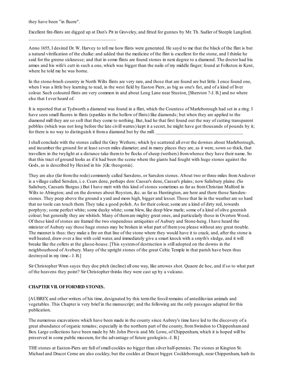they have been "in fluore".

\_\_\_\_\_\_\_\_\_\_\_\_\_\_\_\_\_\_\_\_\_\_\_\_\_\_\_\_\_\_\_\_\_\_\_

Excellent fire-flints are digged up at Dun's Pit in Groveley, and fitted for gunnes by Mr. Th. Sadler of Steeple Langford.

Anno 1655, I desired Dr. W. Harvey to tell me how flints were generated. He sayd to me that the black of the flint is but a natural vitrification of the chalke: and added that the medicine of the flint is excellent for the stone, and I thinke he said for the greene sicknesse; and that in some flints are found stones in next degree to a diamond. The doctor had his armes and his wife's cutt in such a one, which was bigger than the naile of my middle finger; found at Folkston in Kent, where he told me he was borne.

In the stone-brash country in North Wilts flints are very rare, and those that are found are but little. I once found one, when I was a little boy learning to read, in the west field by Easton Piers, as big as one's fist, and of a kind of liver colour. Such coloured flints are very common in and about Long Lane near Stuston, [Sherston ?-J. B.] and no where else that I ever heard of.

It is reported that at Tydworth a diamond was found in a flint, which the Countess of Marleborough had set in a ring. I have seen small fluores in flints (sparkles in the hollow of flints) like diamonds; but when they are applied to the diamond mill they are so soft that they come to nothing. But, had he that first found out the way of cutting transparent pebbles (which was not long before the late civill warres) kept it a secret, he might have got thousands of pounds by it; for there is no way to distinguish it from a diamond but by the mill.

I shall conclude with the stones called the Grey Wethers; which lye scattered all over the downes about Marleborough, and incumber the ground for at least seven miles diameter; and in many places they are, as it were, sown so thick, that travellers in the twylight at a distance take themto be flocks of sheep (wethers) fromwhence they have their name. So that this tract of ground looks as if it had been the scene where the giants had fought with huge stones against the Gods, as is described by Hesiod in his {Gk: theogonia}.

They are also (far fromthe rode) commonly called Sarsdens, or Sarsdon stones. About two or three miles fromAndover is a village called Sersden, i. e. Csars dene, perhaps don: Caesar's dene, Caesar's plains; now Salisbury plaine. (So Salisbury, Caesaris Burgus.) But I have mett with this kind of stones sometimes as far as fromChristian Malford in Wilts to Abington; and on the downes about Royston, &c. as far as Huntington, are here and there those Sarsdenstones. They peep above the ground a yard and more high, bigger and lesser. Those that lie in the weather are so hard that no toole can touch them. They take a good polish. As for their colour, some are a kind of dirty red, towards porphyry; some perfect white; some dusky white; some blew, like deep blew marle; some of a kind of olive greenish colour; but generally they are whitish. Many of themare mighty great ones, and particularly those in Overton Wood. Of these kind of stones are framed the two stupendous antiquities of Aubury and Stone-heng. I have heard the minister of Aubury say those huge stones may be broken in what part of themyou please without any great trouble. The manner is thus: they make a fire on that line of the stone where they would have it to crack; and, after the stone is well heated, draw over a line with cold water, and immediately give a smart knock with a smyth's sledge, and it will breake like the collets at the glasse-house. [This systemof destruction is still adopted on the downs in the neighbourhood of Avebury. Many of the upright stones of the great Celtic Temple in that parish have been thus destroyed in my time.- J. B.]

Sir Christopher Wren sayes they doe pitch (incline) all one way, like arrowes shot. Quaere de hoc, and if so to what part of the heavens they point? Sir Christopher thinks they were cast up by a vulcano.

## **CHAPTER VII. OFFORMED STONES.**

[AUBREY, and other writers of his time, designated by this termthe fossil remains of antediluvian animals and vegetables. This Chapter is very brief in the manuscript; and the following are the only passages adapted for this publication.

The numerous excavations which have been made in the county since Aubrey's time have led to the discovery of a great abundance of organic remains; especially in the northern part of the county, fromSwindon to Chippenhamand Box. Large collections have been made by Mr. John Provis and Mr. Lowe, of Chippenham, which it is hoped will be preserved in some public museum, for the advantage of future geologists.-J. B.]

THE stones at Easton-Piers are full of small cockles no bigger than silver half-pennies. The stones at Kington St. Michael and Dracot Cerne are also cockley, but the cockles at Dracot bigger. Cockleborough, near Chippenham, hath its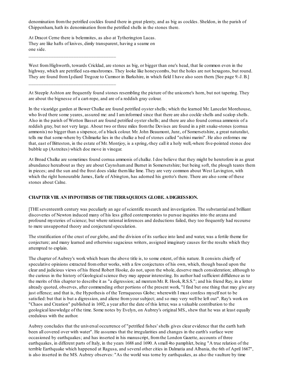denomination fromthe petrified cockles found there in great plenty, and as big as cockles. Sheldon, in the parish of Chippenham, hath its denomination fromthe petrified shells in the stones there.

At Dracot Cerne there is belemnites, as also at Tytherington Lucas. They are like hafts of knives, dimly transparent, having a seame on one side.

\_\_\_\_\_\_\_\_\_\_\_\_\_\_\_\_\_\_\_\_\_\_\_\_\_\_\_\_\_\_\_\_\_\_\_

\_\_\_\_\_\_\_\_\_\_\_\_\_\_\_\_\_\_\_\_\_\_\_\_\_\_\_\_\_\_\_\_\_\_\_

West from Highworth, towards Cricklad, are stones as big, or bigger than one's head, that lie common even in the highway, which are petrified sea-mushromes. They looke like honeycombs, but the holes are not hexagons, but round. They are found fromLydiard Tregoze to Cumnor in Barkshire, in which field I have also seen them. [See page 9.-J. B.]

At Steeple Ashton are frequently found stones resembling the picture of the unicorne's horn, but not tapering. They are about the bignesse of a cart-rope, and are of a reddish gray colour.

In the vicaridge garden at Bower Chalke are found petrified oyster shells; which the learned Mr. Lancelot Morehouse, who lived there some yeares, assured me: and I am informed since that there are also cockle shells and scalop shells. Also in the parish of Wotton Basset are found petrified oyster shells; and there are also found cornua ammonis of a reddish gray, but not very large. About two or three miles fromthe Devises are found in a pitt snake-stones (cornua ammonis) no bigger than a sixpence, of a black colour. Mr. John Beaumont, Junr., of Somersetshire, a great naturalist, tells me that some-where by Chilmarke lies in the chalke a bed of stones called "echini marini". He also enformes me that, east of Bitteston, in the estate of Mr. Montjoy, is a spring,-they call it a holy well,-where five-pointed stones doe bubble up (Astreites) which doe move in vinegar.

At Broad Chalke are sometimes found cornua ammonis of chalke. I doe believe that they might be heretofore in as great abundance hereabout as they are about Caynshamand Burnet in Somersetshire; but being soft, the plough teares them in pieces; and the sun and the frost does slake themlike lime. They are very common about West Lavington, with which the right honourable James, Earle of Abington, has adorned his grotto's there. There are also some of these stones about Calne.

## **CHAPTER VIII. AN HYPOTHESIS OFTHETERRAQUEOUS GLOBE. ADIGRESSION.**

[THE seventeenth century was peculiarly an age of scientific research and investigation. The substantial and brilliant discoveries of Newton induced many of his less gifted contemporaries to pursue inquiries into the arcana and profound mysteries of science; but where rational inferences and deductions failed, they too frequently had recourse to mere unsupported theory and conjectural speculation.

The stratification of the crust of our globe, and the division of its surface into land and water, was a fertile theme for conjecture; and many learned and otherwise sagacious writers, assigned imaginary causes for the results which they attempted to explain.

The chapter of Aubrey's work which bears the above title is, to some extent, of this nature. It consists chiefly of speculative opinions extracted fromother works, with a few conjectures of his own, which, though based upon the clear and judicious views of his friend Robert Hooke, do not, upon the whole, deserve much consideration; although to the curious in the history of Geologicalscience they may appear interesting. Its author had sufficient diffidence as to the merits of this chapter to describe it as "a digression; ad mentemMr. R. Hook, R.S.S."; and his friend Ray, in a letter already quoted, observes, after commending other portions of the present work, "I find but one thing that may give any just offence; and that is, the Hypothesis of the Terraqueous Globe; wherewith I must confess myself not to be satisfied: but that is but a digression, and aliene fromyour subject; and so may very well be left out". Ray's work on "Chaos and Creation" published in 1692, a year after the date of this letter, was a valuable contribution to the geological knowledge of the time. Some notes by Evelyn, on Aubrey's original MS., shew that he was at least equally credulous with the author.

Aubrey concludes that the universal occurrence of "petrified fishes' shells gives clear evidence that the earth hath been all covered over with water". He assumes that the irregularities and changes in the earth's surface were occasioned by earthquakes; and has inserted in his manuscript, fromthe London Gazette, accounts of three earthquakes, in different parts of Italy, in the years 1688 and 1690. A small 4to pamphlet, being "A true relation of the terrible Earthquake which happened at Ragusa, and several other cities in Dalmatia and Albania, the 6th of April 1667", is also inserted in the MS. Aubrey observes: "As the world was torne by earthquakes, as also the vaulture by time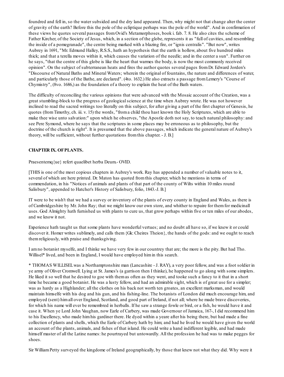foundred and fell in, so the water subsided and the dry land appeared. Then, why might not that change alter the center of gravity of the earth? Before this the pole of the ecliptique perhaps was the pole of the world". And in confirmation of these views he quotes several passages fromOvid's Metamorphoses, book i. fab. 7. 8. He also cites the scheme of Father Kircher, of the Society of Jesus, which, in a section of the globe, represents it as "full of cavities, and resembling the inside of a pomegranade", the centre being marked with a blazing fire, or "ignis centralis". "But now", writes Aubrey in 1691, "Mr. Edmund Halley, R.S.S., hath an hypothesis that the earth is hollow, about five hundred miles thick; and that a terella moves within it, which causes the variation of the needle; and in the center a sun". Further on he says, "that the centre of this globe is like the heart that warmes the body, is now the most commonly received opinion". On the subject of subterranean heats and fires the author quotes several pages fromDr. Edward Jorden's "Discourse of Natural Baths and Mineral Waters; wherein the original of fountains, the nature and differences of water, and particularly those of the Bathe, are declared". (4to. 1632.) He also extracts a passage fromLemery's "Course of Chymistry", (8vo. 1686,) as the foundation of a theory to explain the heat of the Bath waters.

The difficulty of reconciling the various opinions that were advanced with the Mosaic account of the Creation, was a great stumbling-block to the progress of geologicalscience at the time when Aubrey wrote. He was not however inclined to read the sacred writings too literally on this subject, for after giving a part of the first chapter of Genesis, he quotes (fromTimothy, ch. iii. v. 15) the words, "froma child thou hast known the Holy Scriptures, which are able to make thee wise unto salvation:" upon which he observes, "the Apostle doth not say, to teach natural philosophy: and see Pere Symond, where he says that the scriptures in some places may be erroneous as to philosophy, but the doctrine of the church is right". It is presumed that the above passages, which indicate the general nature of Aubrey's theory, will be sufficient, without further quotations fromthis chapter. - J. B.]

# **CHAPTER IX. OFPLANTS.**

Praesentemq{ue} refert quaelibet herba Deum.- OVID.

[THIS is one of the most copious chapters in Aubrey's work. Ray has appended a number of valuable notes to it, several of which are here printed. Dr. Maton has quoted fromthis chapter, which he mentions in terms of commendation, in his "Notices of animals and plants of that part of the county of Wilts within 10 miles round Salisbury", appended to Hatcher's History of Salisbury, folio, 1843.-J. B.]

IT were to be wish't that we had a survey or inventory of the plants of every county in England and Wales, as there is of Cambridgeshire by Mr. John Ray; that we might know our own store, and whither to repaire for themfor medicinall uses. God Almighty hath furnished us with plants to cure us, that grow perhaps within five or ten miles of our abodes, and we know it not.

Experience hath taught us that some plants have wonderful vertues; and no doubt all have so, if we knew it or could discover it. Homer writes sublimely, and calls them{Gk: Cheires Theion}, the hands of the gods: and we ought to reach themreligiously, with praise and thanksgiving.

I amno botanist myselfe, and I thinke we have very few in our countrey that are; the more is the pity. But had Tho. Willisel\* lived, and been in England, I would have employed himin this search.

\* THOMAS WILLISELwas a Northamptonshire man (Lancashire - J. RAY), a very poor fellow, and was a foot soldier in ye army of Oliver Cromwell. Lying at St. James's (a garrison then I thinke), he happened to go along with some simplers. He liked it so well that he desired to goe with themas often as they went, and tooke such a fancy to it that in a short time he became a good botanist. He was a lusty fellow, and had an admirable sight, which is of great use for a simpler; was as hardy as a Highlander; all the clothes on his back not worth ten groates, an excellent marksman, and would maintain himselfe with his dog and his gun, and his fishing-line. The botanists of London did much encourage him, and employed (sent) himall over England, Scotland, and good part of Ireland, if not all; where he made brave discoveries, for which his name will ever be remembred in herballs. If he saw a strange fowle or bird, or a fish, he would have it and case it. When ye Lord John Vaughan, now Earle of Carbery, was made Governour of Jamaica, 167-, I did recommend him to his Excellency, who made himhis gardiner there. He dyed within a yeare after his being there, but had made a fine collection of plants and shells, which the Earle of Carbery hath by him; and had he lived he would have given the world an account of the plants, animals, and fishes of that island. He could write a hand indifferent legible, and had made himself master of all the Latine names: he pourtrayed but untowardly. All the profession he had was to make pegges for shoes.

Sir WilliamPetty surveyed the kingdome of Ireland geographically, by those that knew not what they did. Why were it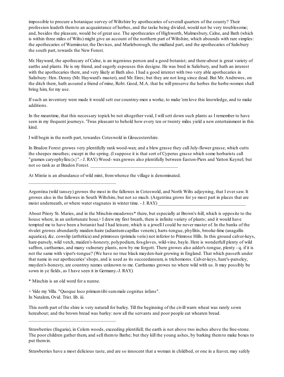impossible to procure a botanique survey of Wiltshire by apothecaries of severall quarters of the county? Their profession leadeth themto an acquaintance of herbes, and the taske being divided, would not be very troublesome; and, besides the pleasure, would be of great use. The apothecaries of Highworth, Malmesbury, Calne, and Bath (which is within three miles of Wilts) might give an account of the northern part of Wiltshire, which abounds with rare simples: the apothecaries of Warminster, the Devises, and Marleborough, the midland part; and the apothecaries of Salisbury the south part, towards the New Forest.

Mr. Hayward, the apothecary of Calne, is an ingenious person and a good botanist; and there-about is great variety of earths and plants. He is my friend, and eagerly espouses this designe. He was bred in Salisbury, and hath an interest with the apothecaries there, and very likely at Bath also. I had a good interest with two very able apothecaries in Salisbury: Hen. Denny (Mr. Hayward's master), and Mr. Eires; but they are not long since dead. But Mr. Andrewes, on the ditch there, hath assured a friend of mine, Robt. Good, M.A. that he will preserve the herbes the herbe-women shall bring him, for my use.

If such an inventory were made it would sett our countrey-men a worke, to make 'emlove this knowledge, and to make additions.

In the meantime, that this necessary topick be not altogether void, I willsett down such plants as I remember to have seen in my frequent journeys. 'Twas pleasant to behold how every ten or twenty miles yield a new entertainment in this kind.

I will begin in the north part, towardes Coteswold in Gloucestershire.

In Bradon Forest growes very plentifully rank wood-wax; and a blew grasse they call July-flower grasse, which cutts the sheepes mouthes; except in the spring. (I suppose it is that sort of Cyperus grasse which some herbarists call "gramen caryophylleu{s}".- J. RAY.) Wood- waxgrowes also plentifully between Easton-Piers and Yatton Keynel; but not so rank as at Bradon Forest.

At Mintie is an abundance of wild mint, fromwhence the village is denominated.

Argentina (wild tansey) growes the most in the fallowes in Coteswold, and North Wilts adjoyning, that I ever saw. It growes also in the fallowes in South Wiltshire, but not so much. (Argentina grows for ye most part in places that are moist underneath, or where water stagnates in winter time. - J. RAY.

About Priory St. Maries, and in the Minchin-meadowes\* there, but especially at Brown's-hill, which is opposite to the house where, in an unfortunate hour,+ I drew my first breath, there is infinite variety of plants; and it would have tempted me to have been a botanist had I had leisure, which is a jewell I could be never master of. In the banks of the rivulet growes abundantly maiden-haire (adiantumcapillas veneris), harts-tongue, phyllitis, brooke-lime (anagallis aquatica), &c. cowslip (arthritica) and primroses (primula veris) not inferior to Primrose Hills. In this ground calver-keys, hare-parsely, wild vetch, maiden's-honesty, polypodium, fox-gloves, wild-vine, bayle. Here is wonderfull plenty of wild saffron, carthamus, and many vulnerary plants, now by me forgott. There growes also adder's-tongue, plenty - q. if it is not the same with viper's-tongue? (We have no true black mayden-hair growing in England. That which passeth under that name in our apothecaries' shops, and is used as its succeedaneum, is trichomores. Calver-keys, hare's-parseley, mayden's-honesty, are countrey names unknown to me. Carthamus growes no where wild with us. It may possibly be sown in ye fields, as I have seen it in Germany.-J. RAY.)

\* Minchin is an old word for a nunne.

\_\_\_\_\_\_\_\_\_\_\_\_\_\_\_\_\_\_\_\_\_\_\_\_\_\_\_\_\_\_\_\_\_\_\_

\_\_\_\_\_\_\_\_\_\_\_\_\_\_\_\_\_\_\_\_\_\_\_\_\_\_\_\_\_\_\_\_\_\_\_

+ Vide my Villa. "Quoque loco primumtibisummale cognitus infans". In Natalem, Ovid. Trist. lib. iii.

This north part of the shire is very naturall for barley. Till the beginning of the civill warrs wheat was rarely sown hereabout; and the brown bread was barley: now all the servants and poor people eat wheaten bread.

Strawberries have a most delicious taste, and are so innocent that a woman in childbed, or one in a feaver, may safely

Strawberries (fragaria), in Colern woods, exceeding plentifull; the earth is not above two inches above the free-stone. The poor children gather them, and sell themto Bathe; but they kill the young ashes, by barking themto make boxes to put themin.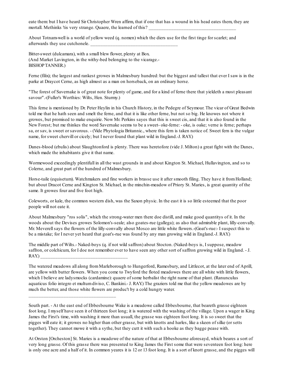eate them: but I have heard Sir Christopher Wren affirm, that if one that has a wound in his head eates them, they are mortall. Methinks 'tis very strange. Quaere, the learned of this?

About Totnam-well is a world of yellow weed (q. nomen) which the diers use for the first tinge for scarlet; and afterwards they use cutchonele.

Bitter-sweet (dulcamara), with a small blew flower, plenty at Box. (And Market Lavington, in the withy-bed belonging to the vicarage.- BISHOPTANNER.)

\_\_\_\_\_\_\_\_\_\_\_\_\_\_\_\_\_\_\_\_\_\_\_\_\_\_\_\_\_\_\_\_\_\_\_

Ferne (filix); the largest and rankest growes in Malmesbury hundred: but the biggest and tallest that ever I saw is in the parke at Draycot Cerne, as high almost as a man on horseback, on an ordinary horse.

"The forest of Savernake is of great note for plenty of game, and for a kind of ferne there that yieldeth a most pleasant savour".-(Fuller's Worthies: Wilts, Hen. Sturmy.)

This ferne is mentioned by Dr. Peter Heylin in his Church History, in the Pedegre of Seymour. The vicar of Great Bedwin told me that he hath seen and smelt the ferne, and that it is like other ferne, but not so big. He knowes not where it growes, but promised to make enquirie. Now Mr. Perkins sayes that this is sweet cis, and that it is also found in the New Forest; but me thinkes the word Savernake seems to be a sweet- oke-ferne: - oke, is oake; verne is ferne; perhaps sa, or sav, is sweet or savorous. - (Vide Phytologia Britannic., where this fern is taken notice of. Sweet fern is the vulgar name, for sweet chervill or cicely; but I never found that plant wild in England.-J. RAY.)

Danes-blood (ebulis) about Slaughtonford is plenty. There was heretofore (vide J. Milton) a great fight with the Danes, which made the inhabitants give it that name.

Wormewood exceedingly plentifull in all the wast grounds in and about Kington St. Michael, Hullavington, and so to Colerne, and great part of the hundred of Malmesbury.

Horse-taile (equisetum). Watchmakers and fine workers in brasse use it after smooth filing. They have it fromHolland; but about Dracot Cerne and Kington St. Michael, in the minchin-meadow of Priory St. Maries, is great quantity of the same. It growes four and five foot high.

Coleworts, or kale, the common western dish, was the Saxon physic. In the east it is so little esteemed that the poor people will not eate it.

About Malmesbury "ros solis", which the strong-water men there doe distill, and make good quantitys of it. In the woods about the Devises growes Solomon's-seale; also goates-rue (gallega); as also that admirable plant, lilly-convally. Mr. Meverell says the flowers of the lilly-convally about Mosco are little white flowers.-(Goat's-rue:- I suspect this to be a mistake; for I never yet heard that goat's-rue was found by any man growing wild in England.-J. RAY.)

The middle part of Wilts.- Naked-boys (q. if not wild saffron) about Stocton. (Naked-boys is, I suppose, meadow saffron, or colchicum, for I doe not remember ever to have seen any other sort of saffron growing wild in England. - J.  $RAY.$ 

The watered meadows all along fromMarleborough to Hungerford, Ramesbury, and Littlecot, at the later end of Aprill, are yellow with butter flowers. When you come to Twyford the floted meadowes there are all white with little flowers, which I believe are ladysmocks (cardamine): quaere of some herbalist the right name of that plant. (Ranunculus aquaticus folio integro et multumdiviso, C. Bankini.- J. RAY.) The graziers told me that the yellow meadowes are by much the better, and those white flowers are produc't by a cold hungry water.

South part. - At the east end of Ebbesbourne Wake is a meadowe called Ebbesbourne, that beareth grasse eighteen foot long. I myself have seen it of thirteen foot long; it is watered with the washing of the village. Upon a wager in King James the First's time, with washing it more than usuall, the grasse was eighteen foot long. It is so sweet that the pigges will eate it; it growes no higher than other grasse, but with knotts and harles, like a skeen of silke (or setts together). They cannot mowe it with a sythe, but they cutt it with such a hooke as they bagge pease with.

At Orston [Orcheston] St. Maries is a meadowe of the nature of that at Ebbesbourne aforesayd, which beares a sort of very long grasse. Of this grasse there was presented to King James the First some that were seventeen foot long: here is only one acre and a half of it. In common yeares it is 12 or 13 foot long. It is a sort of knott grasse, and the pigges will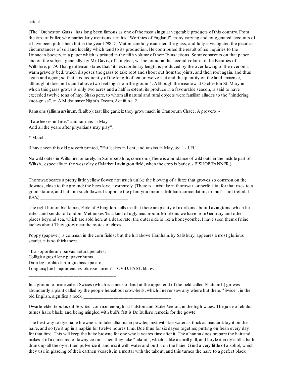#### eate it.

[The "Orcheston Grass" has long been famous as one of the most singular vegetable products of this country. From the time of Fuller, who particularly mentions it in his "Worthies of England", many varying and exaggerated accounts of it have been published: but in the year 1798 Dr. Maton carefully examined the grass, and fully investigated the peculiar circumstances of soil and locality which tend to its production. He contributed the result of his inquiries to the Linnaean Society, in a paper which is printed in the fifth volume of their Transactions. Some comments on that paper, and on the subject generally, by Mr. Davis, of Longleat, will be found in the second volume of the Beauties of Wiltshire, p. 79. That gentleman states that "its extraordinary length is produced by the overflowing of the river on a warmgravelly bed, which disposes the grass to take root and shoot out fromthe joints, and then root again, and thus again and again; so that it is frequently of the length of ten or twelve feet and the quantity on the land immense, although it does not stand above two feet high fromthe ground". Although the meadow at Orcheston St. Mary in which this grass grows is only two acres and a half in extent, its produce in a favourable season, is said to have exceeded twelve tons of hay. Shakspere, to whomall natural and rural objects were familiar, alludes to the "hindering knot-grass", in A Midsummer Night's Dream, Act iii. sc. 2.

Ramsons (alliumursinum, fl. albo): tast like garlick: they grow much in Cranbourn Chace. A proverb: -

"Eate leekes in Lide,\* and ramsins in May, And all the yeare after physitians may play".

\_\_\_\_\_\_\_\_\_\_\_\_\_\_\_\_\_\_\_\_\_\_\_\_\_\_\_\_\_\_\_\_\_\_\_

\_\_\_\_\_\_\_\_\_\_\_\_\_\_\_\_\_\_\_\_\_\_\_\_\_\_\_\_\_\_\_\_\_\_\_

\* March.

[I have seen this old proverb printed, "Eat leekes in Lent, and raisins in May, &c." - J. B.]

No wild oates in Wiltshire, or rarely. In Somersetshire, common. (There is abundance of wild oats in the middle part of Wiltsh., especially in the west clay of Market Lavington field, when the crop is barley. - BISHOPTANNER.)

Thorowaxbeares a pretty little yellow flower, not much unlike the blowing of a furze that growes so common on the downes, close to the ground: the bees love it extremely. (There is a mistake in thorowax, or perfoliata; for that rises to a good stature, and hath no such flower. I suppose the plant you mean is trifoliumcorniculatum, or bird's-foot trefoil.-J.  $RAY.$ 

The right honorable James, Earle of Abingdon, tells me that there are plenty of morillons about Lavingtons, which he eates, and sends to London. Methinkes 'tis a kind of ugly mushroom. Morillons we have fromGermany and other places beyond sea, which are sold here at a deare rate; the outer side is like a honeycombe. I have seen themof nine inches about They grow near the rootes of elmes.

Poppy (papaver) is common in the corn fields; but the hill above Harnham, by Salisbury, appeares a most glorious scarlet, it is so thick there.

"Ilia soporiferum, parvas initura penates, Colligit agresti lene papaver humo. Dumlegit oblito fertur gustasse palato, Longamq{ue} imprudens exsoluisse famem". - OVID. FAST. lib. iv.

In a ground of mine called Swices (which is a neck of land at the upper end of the field called Shatcomb) growes abundantly a plant called by the people hereabout crow-bells, which I never saw any where but there. "Swice", in the old English, signifies a neck.

Dwarfe-elder (ebulus) at Box, &c. common enough: at Falston and Stoke Verdon, in the high waies. The juice of ebulus turnes haire black; and being mingled with bull's fatt is Dr. Buller's remedie for the gowte.

The best way to dye haire browne is to take alhanna in powder, mix't with fair water as thick as mustard: lay it on the haire, and so tye it up in a napkin for twelve houres time. Doe thus for sixdayes together, putting on fresh every day for that time. This will keep the haire browne for one whole yeares time after it. The alhanna does prepare the hair and makes it of a darke red or tawny colour. Then they take "takout", which is like a small gall, and boyle it in oyle till it hath drunk up all the oyle; then pulverize it, and mixit with water and putt it on the haire. Grind a very little of alkohol, which they use in glazeing of their earthen vessels, in a mortar with the takout, and this turnes the haire to a perfect black.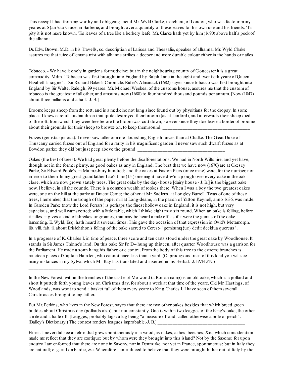This receipt I had frommy worthy and obligeing friend Mr. Wyld Clarke, merchant, of London, who was factour many yeares at S{an}cta-Cruce, in Barberie, and brought over a quantity of these leaves for his own use and his friends. 'Tis pity it is not more known. 'Tis leaves of a tree like a berbery leafe. Mr. Clarke hath yet by him(1690) above half a peck of the alhanna.

Dr. Edw. Brown, M.D. in his Travells, sc. description of Larissa and Thessalie, speakes of alhanna. Mr. Wyld Clarke assures me that juice of lemons mixt with alhanna strikes a deeper and more durable colour either in the hands or nailes.

\_\_\_\_\_\_\_\_\_\_\_\_\_\_\_\_\_\_\_\_\_\_\_\_\_\_\_\_\_\_\_\_\_\_\_

\_\_\_\_\_\_\_\_\_\_\_\_\_\_\_\_\_\_\_\_\_\_\_\_\_\_\_\_\_\_\_\_\_\_\_

Tobacco. - We have it onely in gardens for medicine; but in the neighbouring county of Gloucester it is a great commodity. Mdm. "Tobacco was first brought into England by Ralph Lane in the eight and twentieth yeare of Queen Elizabeth's raigne". - Sir Richard Baker's Chronicle. Rider's Almanack (1682) sayes since tobacco was first brought into England by Sir Walter Raleigh, 99 yeares. Mr. Michael Weekes, of the custome house, assures me that the customof tobacco is the greatest of all other, and amounts now (1688) to four hundred thousand pounds per annum. [Now (1847) about three millions and a half.- J. B.]

Broome keeps sheep fromthe rott, and is a medicine not long since found out by physitians for the dropsy. In some places I knew carefull husbandmen that quite destroyed their broome (as at Lanford), and afterwards their sheep died of the rott, fromwhich they were free before the broomwas cutt down; so ever since they doe leave a border of broome about their grounds for their sheep to browze on, to keep them sound.

Furzes (genista spinosa).-I never saw taller or more flourishing English furzes than at Chalke. The Great Duke of Thuscany carried furzes out of England for a rarity in his magnificent garden. I never saw such dwarft furzes as at Bowdon parke; they did but just peep above the ground.

Oakes (the best of trees).-We had great plenty before the disafforestations. We had in North Wiltshire, and yet have, though not in the former plenty, as good oakes as any in England. The best that we have now (1670) are at Okesey Parke, Sir Edward Poole's, in Malmesbury hundred; and the oakes at Easton Piers (once mine) were, for the number, not inferior to them. In my great-grandfather Lite's time (15-) one might have driv'n a plough over every oake in the oakclose, which are now grown stately trees. The great oake by the day- house [dairy house - J. B.] is the biggest oake now, I believe, in all the countie. There is a common wealth of rookes there. When I was a boy the two greatest oakes were, one on the hill at the parke at Dracot Cerne; the other at Mr. Sadler's, at Longley Burrell. 'Twas of one of these trees, I remember, that the trough of the paper mill at Long-deane, in the parish of Yatton Keynell, anno 1636, was made. In Garsden Parke (now the Lord Ferrars) is perhaps the finest hollow oake in England; it is not high, but very capacious, and well wainscotted; with a little table, which I thinke eight may sitt round. When an oake is felling, before it falles, it gives a kind of shreikes or groanes, that may be heard a mile off, as if it were the genius of the oake lamenting. E. Wyld, Esq. hath heard it severall times. This gave the occasion of that expression in Ovid's Metamorph. lib. viii. fab. ii. about Erisichthon's felling of the oake sacred to Ceres:- "gemitumq{ue} dedit decidua quercus".

In a progresse of K. Charles I. in time of peace, three score and ten carts stood under the great oake by Woodhouse. It stands in Sir James Thinne's land. On this oake Sir Fr. D-- hung up thirteen, after quarter. Woodhouse was a garrison for the Parliament. He made a sonn hang his father, or e contra. Fromthe body of this tree to the extreme branches is nineteen paces of Captain Hamden, who cannot pace less than a yard. (Of prodigious trees of this kind you willsee many instances in my Sylva, which Mr. Ray has translated and inserted in his Herbal.- J. EVELYN.)

But Mr. Perkins, who lives in the New Forest, sayes that there are two other oakes besides that which breed green buddes about Christmas day (pollards also), but not constantly. One is within two leagges of the King's-oake, the other a mile and a halfe off. [Leagges, probably lugs: a lug being "a measure of land, called otherwise a pole or perch". (Bailey's Dictionary.) The context renders leagues improbable.-J. B.]

Elmes.-I never did see an elme that grew spontaneously in a wood, as oakes, ashes, beeches, &c.; which consideration made me reflect that they are exotique; but by whomwere they brought into this island? Not by the Saxons; for upon enquiry I amenformed that there are none in Saxony, nor in Denmarke, nor yet in France, spontaneous; but in Italy they are naturall; e. g. in Lombardie, &c. Wherefore I aminduced to believe that they were brought hither out of Italy by the

In the New Forest, within the trenches of the castle of Molwood (a Roman camp) is an old oake, which is a pollard and short It putteth forth young leaves on Christmas day, for about a week at that time of the yeare. Old Mr. Hastings, of Woodlands, was wont to send a basket full of themevery yeare to King Charles I. I have seen of themseverall Christmasses brought to my father.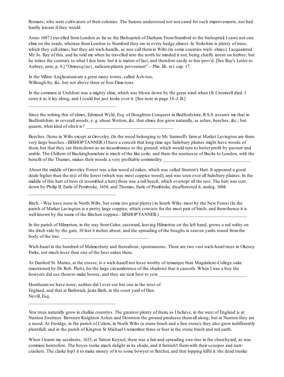Romans, who were cultivators of their colonies. The Saxons understood not nor cared for such improvements, nor had hardly leisure if they would.

Anno 1687 I travelled fromLondon as far as the Bishoprick of Durham. FromStamford to the bishoprick I sawe not one elme on the roade, whereas fromLondon to Stamford they are in every hedge almost. In Yorkshire is plenty of trees, which they call elmes; but they are wich-hazells, as wee call them in Wilts (in some counties wich- elmes). I acquainted Mr. Jo. Ray of this, and he told me when he travelled into the north he minded it not, being chiefly intent on herbes; but he writes the contrary to what I doe here: but it is matter of fact, and therefore easily to bee prov'd. [See Ray's Letter to Aubrey, ante, p. 8.] "Omnesq{ue}, radicumplantis proveniunt". - Plin. lib. xvi. cap. 17.

In the Villare Anglicanumare a great many towns, called Ash-ton, Willough-by, &c. but not above three or four Elme-tons.

\_\_\_\_\_\_\_\_\_\_\_\_\_\_\_\_\_\_\_\_\_\_\_\_\_\_\_\_\_\_\_\_\_\_\_

\_\_\_\_\_\_\_\_\_\_\_\_\_\_\_\_\_\_\_\_\_\_\_\_\_\_\_\_\_\_\_\_\_\_\_

\_\_\_\_\_\_\_\_\_\_\_\_\_\_\_\_\_\_\_\_\_\_\_\_\_\_\_\_\_\_\_\_\_\_\_

In the common at Urshfont was a mighty elme, which was blown down by the great wind when Ol. Cromwell died. I sawe it as it lay along, and I could but just looke over it. [See note in page 14.-J. B.]

Since the writing this of elmes, Edmund Wyld, Esq. of Houghton Conquest in Bedfordshire, R.S.S. assures me that in Bedfordshire, in severall woods, e. g. about Wotton, &c. that elmes doe grow naturally, as ashes, beeches, &c.; but quaere, what kind of elm it is?

Beeches.-None in Wilts except at Groveley. (In the wood belonging to Mr. Samwell's farmat Market Lavington are three very large beeches.- BISHOPTANNER.) I have a conceit that long time ago Salisbury plaines might have woods of them, but that they cut themdown as an incumbrance to the ground, which would turn to better profit by pasture and arable. The Chiltern of Buckinghamshire is much of the like soile; and there the neernesse of Bucks to London, with the benefit of the Thames, makes their woods a very profitable commodity.

About the middle of Groveley Forest was a fair wood of oakes, which was called Sturton's Hatt. It appeared a good deale higher than the rest of the forest (which was most coppice wood), and was seen over all Salisbury plaines. In the middle of this hatt of trees (it resembled a hatt) there was a tall beech, which overtopt all the rest. The hatt was cutt down by Philip II. Earle of Pembroke, 1654; and Thomas, Earle of Pembroke, disafforested it, andeg. 1684.

Birch. - Wee have none in North Wilts, but some (no great plenty) in South Wilts: most by the New Forest (In the parish of Market Lavington is a pretty large coppice, which consists for the most part of birch; and fromthence it is well known by the name of the Birchen coppice.- BISHOPTANNER.)

In the parish of Hilmerton, in the way fromCalne, eastward, leaving Hilmerton on the left hand, grows a red withy on the ditch side by the gate, 10 feet 6 inches about; and the spreading of the boughs is seaven yards round fromthe body of the tree.

Wich-hazel in the hundred of Malmesbury and thereabout, spontaneous. There are two vast wich-hazel trees in Okesey Parke, not much lesse than one of the best oakes there.

At Dunhed St. Maries, at the crosse, is a wich-hazell not lesse worthy of remarque than Magdalene-College oake (mentioned by Dr. Rob. Plott), for the large circumference of the shadowe that it causeth. When I was a boy the bowyers did use them to make bowes, and they are next best to yew.

Hornbeamwe have none; neither did I ever see but one in the west of England, and that at Bathwick, juxta Bath, in the court yard of Hen. Nevill, Esq.

Yew trees naturally grow in chalkie countrys. The greatest plenty of them, as I believe, in the west of England is at Nunton Ewetrees. Between Knighton Ashes and Downton the ground produces themall along; but at Nunton they are a wood. At Ewridge, in the parish of Colern, in North Wilts (a stone brash and a free stone), they also grow indifferently plentifull; and in the parish of Kington St Michael I remember three or four in the stone brash and red earth.

When I learnt my accidents, 1633, at Yatton Keynel, there was a fair and spreading ewe-tree in the churchyard, as was common heretofore. The boyes tooke much delight in its shade, and it furnish't themwith their scoopes and nuttcrackers. The clarke lop't it to make money of it to some bowyer or fletcher, and that lopping kill'd it: the dead trunke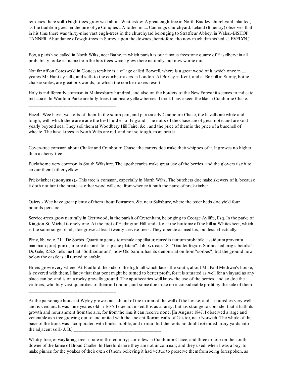remaines there still. (Eugh-trees grow wild about Winterslow. A great eugh-tree in North Bradley churchyard, planted, as the tradition goes, in the time of ye Conquest. Another in .... Cannings churchyard. Leland (Itinerary) observes that in his time there was thirty-nine vast eugh-trees in the churchyard belonging to Stratfleur Abbey, in Wales.-BISHOP TANNER. Abundance of ewgh-trees in Surrey, upon the downes, heretofore, tho now much diminished.-J. EVELYN.)

Box, a parish so called in North Wilts, neer Bathe, in which parish is our famous freestone quarre of Haselbery: in all probability tooke its name fromthe box-trees which grew there naturally, but now worne out.

\_\_\_\_\_\_\_\_\_\_\_\_\_\_\_\_\_\_\_\_\_\_\_\_\_\_\_\_\_\_\_\_\_\_\_

\_\_\_\_\_\_\_\_\_\_\_\_\_\_\_\_\_\_\_\_\_\_\_\_\_\_\_\_\_\_\_\_\_\_\_

\_\_\_\_\_\_\_\_\_\_\_\_\_\_\_\_\_\_\_\_\_\_\_\_\_\_\_\_\_\_\_\_\_\_\_

\_\_\_\_\_\_\_\_\_\_\_\_\_\_\_\_\_\_\_\_\_\_\_\_\_\_\_\_\_\_\_\_\_\_\_

\_\_\_\_\_\_\_\_\_\_\_\_\_\_\_\_\_\_\_\_\_\_\_\_\_\_\_\_\_\_\_\_\_\_\_

Not far off on Coteswold in Gloucestershire is a village called Boxwell, where is a great wood of it, which once in .... yeares Mr. Huntley fells, and sells to the combe-makers in London. At Boxley in Kent, and at Boxhill in Surrey, bothe chalkie soiles, are great box woods, to which the combe-makers resort.

Holy is indifferently common in Malmesbury hundred, and also on the borders of the New Forest: it seemes to indicate pitt-coale. In Wardour Parke are holy-trees that beare yellow berries. I think I have seen the like in Cranborne Chase.

Hazel.- Wee have two sorts of them. In the south part, and particularly Cranbourn Chase, the hazells are white and tough; with which there are made the best hurdles of England. The nutts of the chase are of great note, and are sold yearly beyond sea. They sell themat Woodbery Hill Faire, &c.; and the price of themis the price of a buschell of wheate. The hazell-trees in North Wilts are red, and not so tough, more brittle.

Coven-tree common about Chalke and Cranbourn Chase: the carters doe make their whippes of it. It growes no higher than a cherry-tree.

Buckthorne very common in South Wiltshire. The apothecaries make great use of the berries, and the glovers use it to colour their leather yellow.

Prick-timber (euonymus).- This tree is common, especially in North Wilts. The butchers doe make skewers of it, because it doth not taint the meate as other wood will doe: fromwhence it hath the name of prick-timber.

Osiers.- Wee have great plenty of themabout Bemarton, &c. near Salisbury, where the osier beds doe yield four pounds per acre.

Service-trees grow naturally in Grettwood, in the parish of Gretenham, belonging to George Ayliffe, Esq. In the parke of Kington St. Michel is onely one. At the foot of Hedington Hill, and also at the bottome of the hill at Whitesheet, which is the same range of hill, doe growe at least twenty cervise-trees. They operate as medlars, but less effectually.

Pliny, lib. xv. c. 21. "De Sorbis. Quartumgenus torminale appellatur, remedio tantumprobabile, assiduumproventu minimumq{ue} pomo, arbore dissimili foliis plane platani". Lib. xvi. cap. 18.- "Gaudet frigidis Sorbus sed magis betulla". Dr. Gale, R.S.S. tells me that "Sorbiodunum", now Old Sarum, has its denomination from"sorbes"; but the ground now below the castle is all turned to arable.

Elders grow every where. At Bradford the side of the high hill which faces the south, about Mr. Paul Methwin's house, is covered with them. I fancy that that pent might be turned to better profit, for it is situated as well for a vinyard as any place can be, and is on a rocky gravelly ground. The apothecaries well know the use of the berries, and so doe the vintners, who buy vast quantities of themin London, and some doe make no inconsiderable profit by the sale of them.

At the parsonage house at Wyley growes an ash out of the mortar of the wall of the house, and it flourishes very well and is verdant. It was nine yeares old in 1686. I doe not insert this as a rarity; but 'tis strange to consider that it hath its growth and nourishment fromthe aire, for fromthe lime it can receive none. [In August 1847, I observed a large and venerable ash tree growing out of and united with the ancient Roman walls of Caistor, near Norwich. The whole of the base of the trunk was incorporated with bricks, rubble, and mortar; but the roots no doubt extended many yards into the adjacent soil.-  $J. B.]$ 

Whitty-tree, or wayfaring-tree, is rare in this country; some few in Cranbourn Chace, and three or four on the south downe of the farme of Broad Chalke. In Herefordshire they are not uncommon; and they used, when I was a boy, to make pinnes for the yoakes of their oxen of them, believing it had vertue to preserve themfrombeing forespoken, as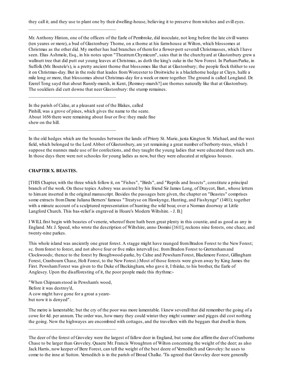they call it; and they use to plant one by their dwelling-house, believing it to preserve fromwitches and evill eyes.

Mr. Anthony Hinton, one of the officers of the Earle of Pembroke, did inoculate, not long before the late civill warres (ten yeares or more), a bud of Glastonbury Thorne, on a thorne at his farm-house at Wilton, which blossomes at Christmas as the other did. My mother has had branches of themfor a flower-pott severall Christmasses, which I have seen. Elias Ashmole, Esq., in his notes upon "TheatrumChymicum", saies that in the churchyard at Glastonbury grew a wallnutt tree that did putt out young leaves at Christmas, as doth the king's oake in the New Forest. In Parham Parke, in Suffolk (Mr. Boutele's), is a pretty ancient thorne that blossomes like that at Glastonbury; the people flock thither to see it on Christmas-day. But in the rode that leades fromWorcester to Droitwiche is a blackthorne hedge at Clayn, halfe a mile long or more, that blossomes about Christmas-day for a week or more together. The ground is called Longland. Dr. Ezerel Tong sayd that about Runnly-marsh, in Kent, [Romney-marsh?] are thornes naturally like that at Glastonbury. The souldiers did cutt downe that neer Glastonbury: the stump remaines.

In the parish of Calne, at a pleasant seat of the Blakes, called Pinhill, was a grove of pines, which gives the name to the seate. About 1656 there were remaining about four or five: they made fine shew on the hill.

\_\_\_\_\_\_\_\_\_\_\_\_\_\_\_\_\_\_\_\_\_\_\_\_\_\_\_\_\_\_\_\_\_\_\_

\_\_\_\_\_\_\_\_\_\_\_\_\_\_\_\_\_\_\_\_\_\_\_\_\_\_\_\_\_\_\_\_\_\_\_

\_\_\_\_\_\_\_\_\_\_\_\_\_\_\_\_\_\_\_\_\_\_\_\_\_\_\_\_\_\_\_\_\_\_\_

In the old hedges which are the boundes between the lands of Priory St. Marie, juxta Kington St. Michael, and the west field, which belonged to the Lord Abbot of Glastonbury, are yet remaining a great number of berberry-trees, which I suppose the nunnes made use of for confections, and they taught the young ladies that were educated there such arts. In those days there were not schooles for young ladies as now, but they were educated at religious houses.

### **CHAPTER X. BEASTES.**

[THIS Chapter, with the three which follow it, on "Fishes", "Birds", and "Reptils and Insects", constitute a principal branch of the work. On these topics Aubrey was assisted by his friend Sir James Long, of Draycot, Bart., whose letters to himare inserted in the original manuscript. Besides the passages here given, the chapter on "Beastes" comprises some extracts fromDame Juliana Berners' famous "Treatyse on Hawkynge, Hunting, and Fisshynge" (1481); together with a minute account of a sculptured representation of hunting the wild boar, over a Norman doorway at Little Langford Church. This bas-relief is engraved in Hoare's Modern Wiltshire. - J. B.]

I WILLfirst begin with beastes of venerie, whereof there hath been great plenty in this countie, and as good as any in England. Mr. J. Speed, who wrote the description of Wiltshire, anno Domini [1611], reckons nine forests, one chace, and twenty-nine parkes.

This whole island was anciently one great forest. A stagge might have raunged from Bradon Forest to the New Forest; sc. from forest to forest, and not above four or five miles intervall (sc. from Bradon Forest to Grettenham and Clockwoods; thence to the forest by Boughwood-parke, by Calne and PewshamForest, Blackmore Forest, Gillingham Forest, Cranbourn Chase, Holt Forest, to the New Forest.) Most of those forests were given away by King James the First. PewshamForest was given to the Duke of Buckingham, who gave it, I thinke, to his brother, the Earle of Anglesey. Upon the disafforesting of it, the poor people made this rhythme:-

"When Chipnamstood in Pewsham's wood, Before it was destroy'd, A cow might have gone for a groat a yearebut now it is denyed".

\_\_\_\_\_\_\_\_\_\_\_\_\_\_\_\_\_\_\_\_\_\_\_\_\_\_\_\_\_\_\_\_\_\_\_

The metre is lamentable; but the cry of the poor was more lamentable. I knew severall that did remember the going of a cowe for 4d. per annum. The order was, how many they could winter they might summer: and pigges did cost nothing the going. Now the highwayes are encombred with cottages, and the travellers with the beggars that dwell in them.

The deer of the forest of Groveley were the largest of fallow deer in England, but some doe affirmthe deer of Cranborne Chase to be larger than Groveley. Quaere Mr. Francis Wroughton of Wilton concerning the weight of the deer; as also Jack Harris, now keeper of Bere Forest, can tell the weight of the best deere of Verneditch and Groveley: he uses to come to the inne at Sutton. Verneditch is in the parish of Broad Chalke. 'Tis agreed that Groveley deer were generally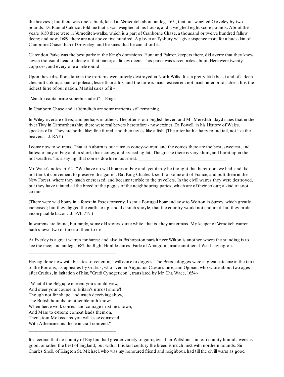the heaviest; but there was one, a buck, killed at Verneditch about andeg. 165-, that out-weighed Groveley by two pounds. Dr. Randal Caldicot told me that it was weighed at his house, and it weighed eight score pounds. About the yeare 1650 there were in Verneditch-walke, which is a part of Cranborne Chase, a thousand or twelve hundred fallow deere; and now, 1689, there are not above five hundred. A glover at Tysbury will give sixpence more for a buckskin of Cranborne Chase than of Groveley; and he saies that he can afford it.

Clarendon Parke was the best parke in the King's dominions. Hunt and Palmer, keepers there, did averre that they knew seven thousand head of deere in that parke; all fallow deere. This parke was seven miles about. Here were twenty coppices, and every one a mile round.

Upon these disafforestations the marterns were utterly destroyed in North Wilts. It is a pretty little beast and of a deep chesnutt colour, a kind of polecat, lesse than a fox; and the furre is much esteemed: not much inferior to sables. It is the richest furre of our nation. Martialsaies of it -

"Venator capta marte superbus adest". - Epigr.

In Cranborn Chase and at Vernditch are some marterns still remaining.

In Wiley river are otters, and perhaps in others. The otter is our English bever; and Mr. Meredith Lloyd saies that in the river Tivy in Carmarthenshire there were real bevers heretofore - now extinct. Dr. Powell, in his History of Wales, speakes of it. They are both alike; fine furred, and their tayles like a fish. (The otter hath a hairy round tail, not like the beavers.  $-$  J. RAY.)

I come now to warrens. That at Auburn is our famous coney-warren; and the conies there are the best, sweetest, and fattest of any in England; a short, thick coney, and exceeding fatt The grasse there is very short, and burnt up in the hot weather. 'Tis a saying, that conies doe love rost-meat.

Mr. Wace's notes, p. 62.- "We have no wild boares in England: yet it may be thought that heretofore we had, and did not think it convenient to preserve this game". But King Charles I. sent for some out of France, and putt themin the New Forest, where they much encreased, and became terrible to the travellers. In the civill warres they were destroyed, but they have tainted all the breed of the pigges of the neighbouring partes, which are of their colour; a kind of soot colour.

(There were wild boars in a forest in Essexformerly. I sent a Portugal boar and sow to Wotton in Surrey, which greatly increased; but they digged the earth so up, and did such spoyle, that the country would not endure it: but they made incomparable bacon.- J. EVELYN.)

In warrens are found, but rarely, some old stotes, quite white: that is, they are ermins. My keeper of Vernditch warren hath shewn two or three of themto me.

At Everley is a great warren for hares; and also in Bishopston parish neer Wilton is another, where the standing is to see the race; and andeg. 1682 the Right Honble James, Earle of Abingdon, made another at West Lavington.

Having done now with beastes of venerum, I will come to dogges. The British dogges were in great esteeme in the time of the Romans; as appeares by Gratius, who lived in Augustus Caesar's time, and Oppian, who wrote about two ages after Gratius, in imitation of him. "Gratii Cynegeticon", translated by Mr. Chr. Wace, 1654:-

"What if the Belgique current you should view, And steer your course to Britain's utmost shore'! Though not for shape, and much deceiving show, The British hounds no other blemish know: When fierce work comes, and courage must he shown, And Mars to extreme combat leads themon, Then stout Molossians you will lesse commend; With Athemaneans these in craft contend."

\_\_\_\_\_\_\_\_\_\_\_\_\_\_\_\_\_\_\_\_\_\_\_\_\_\_\_\_\_\_\_\_\_\_\_

\_\_\_\_\_\_\_\_\_\_\_\_\_\_\_\_\_\_\_\_\_\_\_\_\_\_\_\_\_\_\_\_\_\_\_

It is certain that no county of England had greater variety of game, &c. than Wiltshire, and our county hounds were as good, or rather the best of England; but within this last century the breed is much mix't with northern hounds. Sir Charles Snell, of Kington St. Michael, who was my honoured friend and neighbour, had till the civill warrs as good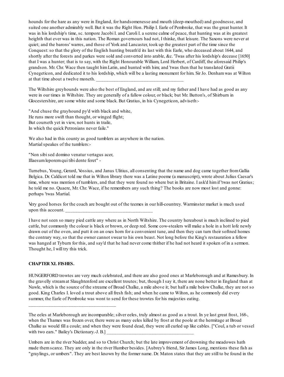hounds for the hare as any were in England, for handsomenesse and mouth (deep-mouthed) and goodnesse, and suited one another admirably well. But it was the Right Hon. Philip I. Earle of Pembroke, that was the great hunter. It was in his lordship's time, sc. tempore Jacobi I. and Caroli I. a serene calme of peace, that hunting was at its greatest heighth that ever was in this nation. The Roman governours had not, I thinke, that leisure. The Saxons were never at quiet; and the barons' warres, and those of York and Lancaster, took up the greatest part of the time since the Conquest:so that the glory of the English hunting breath'd its last with this Earle, who deceased about 1644, and shortly after the forests and parkes were sold and converted into arable, &c. 'Twas after his lordship's decease [1650] that I was a hunter; that is to say, with the Right Honourable William, Lord Herbert, of Cardiff, the aforesaid Philip's grandson. Mr. Chr. Wace then taught himLatin, and hunted with him; and 'twas then that he translated Gratii Cynegeticon, and dedicated it to his lordship, which will be a lasting monument for him. Sir Jo. Denhamwas at Wilton at that time about a twelve moneth.

The Wiltshire greyhounds were also the best of England, and are still; and my father and I have had as good as any were in our times in Wiltshire. They are generally of a fallow colour, or black; but Mr. Button's, of Shirburn in Glocestershire, are some white and some black. But Gratius, in his Cynegeticon, adviseth:-

"And chuse the grayhound py'd with black and white, He runs more swift than thought, or winged flight; But courseth yet in view, not hunts in traile, In which the quick Petronians never faile."

We also had in this county as good tumblers as anywhere in the nation. Martial speakes of the tumblers:-

"Non sibised domino venatur vertagus acer, Illaesumleporemqui tibi dente feret" -

Turnebus, Young, Gerard, Vossius, and Janus Ulitius, all consenting that the name and dog came together fromGallia Belgica. Dr. Caldicot told me that in Wilton library there was a Latine poeme (a manuscript), wrote about Julius Caesar's time, where was mention of tumblers, and that they were found no where but in Britaine. I ask'd himif 'twas not Gratius; he told me no. Quaere, Mr. Chr. Wace, if he remembers any such thing? The books are now most lost and gonne: perhaps 'twas Martial.

Very good horses for the coach are bought out of the teemes in our hill-countrey. Warminster market is much used upon this account.

I have not seen so many pied cattle any where as in North Wiltshire. The country hereabout is much inclined to pied cattle, but commonly the colour is black or brown, or deep red. Some cow-stealers will make a hole in a hott lofe newly drawn out of the oven, and putt it on an oxes horn for a convenient tune, and then they can turn their softned homes the contrary way, so that the owner cannot swear to his own beast. Not long before the King's restauration a fellow was hanged at Tyburn for this, and say'd that he had never come thither if he had not heard it spoken of in a sermon. Thought he, I will try this trick.

## **CHAPTER XL FISHES.**

\_\_\_\_\_\_\_\_\_\_\_\_\_\_\_\_\_\_\_\_\_\_\_\_\_\_\_\_\_\_\_\_\_\_\_

HUNGERFORD trowtes are very much celebrated, and there are also good ones at Marleborough and at Ramesbury. In the gravelly streamat Slaughtenford are excellent troutes; but, though I say it, there are none better in England than at Nawle, which is the source of the streame of Broad Chalke, a mile above it; but half a mile below Chalke, they are not so good. King Charles I. loved a trout above all fresh fish; and when he came to Wilton, as he commonly did every summer, the Earle of Pembroke was wont to send for these trowtes for his majesties eating.

The eeles at Marleborough are incomparable; silver eeles, truly almost as good as a trout. In ye last great frost, 168-, when the Thames was frozen over, there were as many eeles killed by frost at the poole at the hermitage at Broad Chalke as would fill a coule; and when they were found dead, they were all curled up like cables. ["Coul, a tub or vessel with two ears." Bailey's Dictionary.-J. B.]

Umbers are in the river Nadder, and so to Christ Church; but the late improvement of drowning the meadowes hath made themscarce. They are only in the river Humber besides. [Aubrey's friend, Sir James Long, mentions these fish as "graylings, or umbers". They are best known by the former name. Dr. Maton states that they are still to be found in the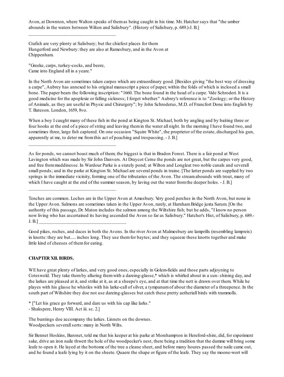Avon, at Downton, where Walton speaks of themas being caught in his time. Mr. Hatcher says that "the umber abounds in the waters between Wilton and Salisbury". (History of Salisbury, p. 689.)-J. B.]

Crafish are very plenty at Salisbury; but the chiefest places for them Hungerford and Newbury: they are also at Ramesbury, and in the Avon at Chippenham.

"Greeke, carps, turkey-cocks, and beere, Came into England all in a yeare."

\_\_\_\_\_\_\_\_\_\_\_\_\_\_\_\_\_\_\_\_\_\_\_\_\_\_\_\_\_\_\_\_\_\_\_

\_\_\_\_\_\_\_\_\_\_\_\_\_\_\_\_\_\_\_\_\_\_\_\_\_\_\_\_\_\_\_\_\_\_\_

\_\_\_\_\_\_\_\_\_\_\_\_\_\_\_\_\_\_\_\_\_\_\_\_\_\_\_\_\_\_\_\_\_\_\_

In the North Avon are sometimes taken carpes which are extraordinary good. [Besides giving "the best way of dressing a carpe", Aubrey has annexed to his original manuscript a piece of paper, within the folds of which is inclosed a small bone. The paper bears the following inscription: "1660. The bone found in the head of a carpe. Vide Schroderi. It is a good medicine for the apoplexie or falling sickness; I forget whether." Aubrey's reference is to "Zoology; or the History of Animals, as they are useful in Physic and Chirurgery"; by John Schroderus, M.D. of Francfort Done into English by T. Bateson. London, 1659, 8vo.

When a boy I caught many of these fish in the pond at Kington St. Michael, both by angling and by baiting three or four hooks at the end of a piece of string and leaving themin the water all night. In the morning I have found two, and sometimes three, large fish captured. On one occasion "Squire White", the proprietor of the estate, discharged his gun, apparently at me, to deter me fromthis act of poaching and trespassing. - J. B.]

As for ponds, we cannot boast much of them; the biggest is that in Bradon Forest. There is a fair pond at West Lavington which was made by Sir John Danvers. At Draycot Cerne the ponds are not great, but the carpes very good, and free frommuddinesse. In Wardour Parke is a stately pond; at Wilton and Longleat two noble canals and severall small ponds; and in the parke at Kington St. Michael are several ponds in traine. [The latter ponds are supplied by two springs in the immediate vicinity, forming one of the tributaries of the Avon. The streamabounds with trout, many of which I have caught at the end of the summer season, by laving out the water from the deeper holes. - J. B.]

Tenches are common. Loches are in the Upper Avon at Amesbury. Very good perches in the North Avon, but none in the Upper Avon. Salmons are sometimes taken in the Upper Avon, rarely, at Harnham Bridge juxta Sarum. [On the authority of this passage, Dr. Maton includes the salmon among the Wiltshire fish; but he adds, "I know no person now living who has ascertained its having ascended the Avon so far as Salisbury." Hatcher's Hist, of Salisbury, p. 689.-  $J. B.]$ 

Good pikes, roches, and daces in both the Avons. In the river Avon at Malmesbury are lamprills (resembling lampreis) in knotts: they are but..... inches long. They use themfor baytes; and they squeeze these knotts together and make little kind of cheeses of them for eating.

## **CHAPTER XII. BIRDS.**

WE have great plenty of larkes, and very good ones, especially in Golem-fields and those parts adjoyning to Coteswold. They take themby alluring themwith a dareing-glasse,\* which is whirled about in a sun- shining day, and the larkes are pleased at it, and strike at it, as at a sheepe's eye, and at that time the nett is drawn over them. While he playes with his glasse he whistles with his larke-call of silver, a tympanumof about the diameter of a threepence. In the south part of Wiltshire they doe not use dareing-glasses but catch these pretty aetheriall birds with trammolls.

\* ["Let his grace go forward, and dare us with his cap like larks."

- Shakspere, Henry VIII. Act iii. sc. 2.]

The buntings doe accompany the larkes. Linnets on the downes. Woodpeckers severall sorts: many in North Wilts.

Sir Bennet Hoskins, Baronet, told me that his keeper at his parke at Morehampton in Hereford-shire, did, for experiment sake, drive an iron naile thwert the hole of the woodpecker's nest, there being a tradition that the damme will bring some leafe to open it. He layed at the bottome of the tree a cleane sheet, and before many houres passed the naile came out, and he found a leafe lying by it on the sheete. Quaere the shape or figure of the leafe. They say the moone-wort will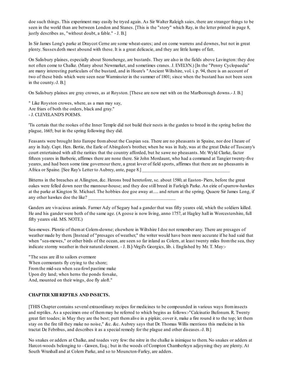doe such things. This experiment may easily be tryed again. As Sir Walter Raleigh saies, there are stranger things to be seen in the world than are between London and Stanes. [This is the "story" which Ray, in the letter printed in page 8, justly describes as, "without doubt, a fable." - J. B.]

In Sir James Long's parke at Draycot Cerne are some wheat-eares; and on come warrens and downes, but not in great plenty. Sussexdoth most abound with these. It is a great delicacie, and they are little lumps of fatt.

On Salisbury plaines, especially about Stonehenge, are bustards. They are also in the fields above Lavington: they doe not often come to Chalke. (Many about Newmarket, and sometimes cranes. J. EVELYN.) [In the "Penny Cyclopaedia" are many interesting particulars of the bustard, and in Hoare's "Ancient Wiltshire, vol. i. p. 94, there is an account of two of these birds which were seen near Warminster in the summer of 1801; since when the bustard has not been seen in the county.-J. B.]

On Salisbury plaines are gray crowes, as at Royston. [These are now met with on the Marlborough downs.- J. B.]

" Like Royston crowes, where, as a man may say, Are friars of both the orders, black and gray." - J. CLEVELAND'S POEMS.

'Tis certain that the rookes of the Inner Temple did not build their nests in the garden to breed in the spring before the plague, 1665; but in the spring following they did.

Feasants were brought Into Europe fromabout the Caspian sea. There are no pheasants in Spaine, nor doe I heare of any in Italy. Capt. Hen. Bertie, the Earle of Abingdon's brother, when he was in Italy, was at the great Duke of Tuscany's court entertained with all the rarities that the country afforded, but he sawe no pheasants. Mr. Wyld Clarke, factor fifteen yeares in Barberie, affirmes there are none there. Sir John Mordaunt, who had a command at Tangier twenty-five yeares, and had been some time governour there, a great lover of field sports, affirmes that there are no pheasants in Africa or Spaine. [See Ray's Letter to Aubrey, ante, page 8.]

Bitterns in the breaches at Allington, &c. Herons bred heretofore, sc. about 1580, at Easton- Piers, before the great oakes were felled down neer the mannour-house; and they doe still breed in Farleigh Parke. An eirie of sparrow-hawkes at the parke at Kington St. Michael. The hobbies doe goe away at..... and return at the spring. Quaere Sir James Long, if any other hawkes doe the like?

Ganders are vivacious animals. Farmer Ady of Segary had a gander that was fifty yeares old, which the soldiers killed. He and his gander were both of the same age. (A goose is now living, anno 1757, at Hagley hall in Worcestershire, full fifty yeares old. MS. NOTE.)

Sea-mewes. Plentie of themat Colern-downe; elsewhere in Wiltshire I doe not remember any. There are presages of weather made by them. [Instead of "presages of weather," the writer would have been more accurate if he had said that when "sea-mewes," or other birds of the ocean, are seen so far inland as Colern, at least twenty miles from the sea, they indicate stormy weather in their natural element. - J. B.]-Virgil's Georgics, lib. i. Englished by Mr. T. May:-

"The seas are ill to sailors evermore When cormorants fly crying to the shore; Fromthe mid-sea when sea-fowl pastime make Upon dry land; when herns the ponds forsake, And, mounted on their wings, doe fly aloft."

## **CHAPTER XIII REPTILS AND INSECTS.**

[THIS Chapter contains several extraordinary recipes for medicines to be compounded in various ways frominsects and reptiles. As a specimen one of themmay he referred to which begins as follows:-"Calcinatio Bufonum. R. Twenty great fatt toades; in May they are the best; putt themalive in a pipkin; cover it, make a fire round it to the top; let them stay on the fire till they make no noise," &c. &c. Aubrey says that Dr. Thomas Willis mentions this medicine in his tractat De Febribus, and describes it as a special remedy for the plague and other diseases.-J. B.]

No snakes or adders at Chalke, and toades very few: the nitre in the chalke is inimique to them. No snakes or adders at Harcot-woods belonging to - Gawen, Esq.; but in the woods of Compton Chamberleyn adjoyning they are plenty. At South Wraxhall and at Colern Parke, and so to Mouncton-Farley, are adders.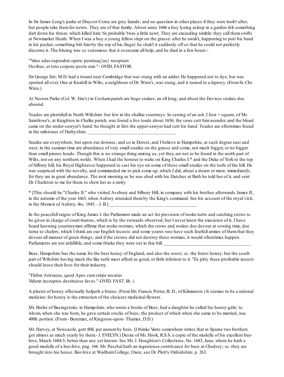In Sir James Long's parke at Draycot-Cerne are grey lizards; and no question in other places if they were look't after; but people take themfor newts. They are of that family. About anno 1686 a boy lyeing asleep in a garden felt something dart down his throat, which killed him: 'tis probable 'twas a little newt. They are exceeding nimble: they call them swifts at Newmarket Heath. When I was a boy a young fellow slept on the grasse: after he awak't, happening to putt his hand in his pocket, something bitt himby the top of his finger: he shak't it suddenly off so that he could not perfectly discerne it. The biteing was so venomous that it overcame all help, and he died in a few hours:-

"Virus edaxsuperabat opera: penituaq{ue} receptum Ossibus, et toto corpore pestis erat."- OVID. FASTOR.

Sir George Ent, M.D. had a tenant neer Cambridge that was stung with an adder. He happened not to dye, but was spotted all over. One at Knahill in Wilts, a neighbour of Dr. Wren's, was stung, and it turned to a leprosy. (From Sr. Chr. Wren.)

At Neston Parke (Col. W. Eire's) in Coshamparish are huge snakes, an ell long; and about the Devises snakes doe abound.

Toades are plentifull in North Wiltshire: but few in the chalkie countreys. In sawing of an ash 2 foot + square, of Mr. Saintlowe's, at Knighton in Chalke parish, was found a live toade about 1656; the sawe cutt himasunder, and the bloud came on the under-sawyer's hand: he thought at first the upper-sawyer had cutt his hand. Toades are oftentimes found in the milstones of Darbyshire.

Snailes are everywhere; but upon our downes, and so in Dorset, and I believe in Hampshire, at such degree east and west, in the summer time are abundance of very small snailes on the grasse and come, not much bigger, or no bigger than small pinnes heads. Though this is no strange thing among us, yet they are not to be found in the north part of Wilts, nor on any northern wolds. When I had the honour to waite on King Charles I.\* and the Duke of York to the top of Silbury hill, his Royal Highnesse happened to cast his eye on some of these smallsnailes on the turfe of the hill. He was surprised with the novelty, and commanded me to pick some up, which I did, about a dozen or more, immediately; for they are in great abundance. The next morning as he was abed with his Dutches at Bath he told her of it, and sent Dr. Charleton to me for them, to shew her as a rarity.

\* [This should be "Charles II." who visited Avebury and Silbury Hill, in company with his brother, afterwards James II., in the autumn of the year 1663, when Aubrey attended themby the King's command. See his account of the royal visit, in the Memoir of Aubrey, 4to.  $1845.-J.B.]$ 

In the peacefull raigne of King James I. the Parliament made an act for provision of rooke-netts and catching crows to be given in charge of court-barons, which is by the stewards observed, but I never knew the execution of it. I have heard knowing countreymen affirme that rooke-wormes, which the crows and rookes doe devour at sowing time, doe turne to chafers, which I think are our English locusts: and some yeares wee have such fearfull armies of themthat they devour all manner of green things; and if the crowes did not destroy these wormes, it would oftentimes happen. Parliaments are not infallible, and some thinke they were out in this bill.

Bees. Hampshire has the name for the best honey of England, and also the worst; sc. the forest honey: but the south part of Wiltshire having much the like turfe must afford as good, or little inferiour to it. 'Tis pitty these profitable insects should loose their lives for their industry.

"Flebat Aristaeus, quod Apes cumstirpe necatas Viderat incoeptos destituisse favos."-OVID. FAST. lib. i.

A plaster of honey effectually helpeth a bruise. (FromMr. Francis Potter, B. D., of Kilmanton.) It seemes to be a rational medicine: for honey is the extraction of the choicest medicinal flowers.

Mr. Butler of Basingstoke, in Hampshire, who wrote a booke of Bees, had a daughter he called his honey-girle; to whom, when she was born, he gave certain stocks of bees; the product of which when she came to be married, was 400li. portion. (From- Boreman, of Kingston-upon- Thames, D.D.)

Mr. Harvey, at Newcastle, gott 80li. per annumby bees. (I thinke Varro somewhere writes that in Spaine two brothers got almost as much yearly by them.- J. EVELYN.) Desire of Mr. Hook, R.S.S. a copie of the modelle of his excellent beehive, March 1684-5; better than any yet known. See Mr. J. Houghton's Collections, No. 1683, June, where he hath a good modelle of a bee-hive, pag. 166. Mr. Paschal hath an ingeniouse contrivance for bees at Chedsey; sc. they are brought into his house. Bee-hive at WadhamCollege, Oxon; see Dr. Plott's Oxfordshire, p. 263.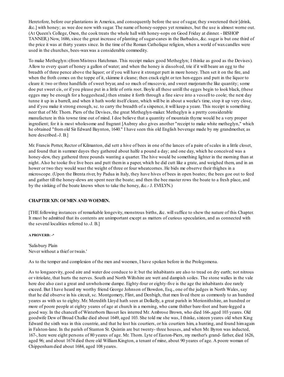Heretofore, before our plantations in America, and consequently before the use of sugar, they sweetened their [drink, &c.] with honey; as wee doe now with sugar. The name of honey-soppes yet remaines, but the use is almost worne out. (At Queen's College, Oxon, the cook treats the whole hall with honey-sops on Good Friday at dinner. - BISHOP TANNER.) Now, 1686, since the great increase of planting of sugar-canes in the Barbados, &c. sugar is but one third of the price it was at thirty yeares since. In the time of the Roman Catholique religion, when a world of waxcandles were used in the churches, bees-waxwas a considerable commodity.

To make Metheglyn:-(fromMistress Hatchman. This receipt makes good Metheglyn; I thinke as good as the Devises). Allow to every quart of honey a gallon of water; and when the honey is dissolved, trie if it will beare an egg to the breadth of three pence above the liquor; or if you will have it stronger putt in more honey. Then set it on the fire, and when the froth comes on the toppe of it, skimme it cleane; then crack eight or ten hen-egges and putt in the liquor to cleare it: two or three handfulls of sweet bryar, and so much of muscovie, and sweet marjoramthe like quantity; some doe put sweet cis, or if you please put in a little of orris root. Boyle all these untill the egges begin to look black, (these egges may be enough for a hoggeshead,) then straine it forth through a fine sieve into a vessell to coole; the next day tunne it up in a barrell, and when it hath workt itself cleare, which will be in about a weeke's time, stop it up very close, and if you make it strong enough, sc. to carry the breadth of a sixpence, it will keep a yeare. This receipt is something neer that of Mr. Thorn. Piers of the Devises, the great Metheglyn-maker. Metheglyn is a pretty considerable manufacture in this towne time out of mind. I doe believe that a quantity of mountain thyme would be a very proper ingredient; for it is most wholesome and fragrant [Aubrey also gives another "receipt to make white metheglyn," which he obtained "fromold Sir Edward Baynton, 1640." I have seen this old English beverage made by my grandmother, as here described.-J. B.]

Mr. Francis Potter, Rector of Kilmanton, did sett a hive of bees in one of the lances of a paire of scales in a little closet, and found that in summer dayes they gathered about halfe a pound a day; and one day, which he conceived was a honey-dew, they gathered three pounds wanting a quarter. The hive would be something lighter in the morning than at night. Also he tooke five live bees and putt themin a paper, which he did cutt like a grate, and weighed them, and in an hower or two they would wast the weight of three or four wheatcornes. He bids me observe their thighes in a microscope. (Upon the Brenta river, by Padua in Italy, they have hives of bees in open boates; the bees goe out to feed and gather till the honey-dews are spent neer the boate; and then the bee master rows the boate to a fresh place, and by the sinking of the boate knows when to take the honey, &c.- J. EVELYN.)

## **CHAPTER XIV. OFMEN AND WOEMEN.**

[THE following instances of remarkable longevity, monstrous births, &c. willsuffice to shew the nature of this Chapter. It must be admitted that its contents are unimportant except as matters of curious speculation, and as connected with the several localities referred to.-J. B.]

### **A PROVERB: -\***

'Salisbury Plain Never without a thief or twain.'

As to the temper and complexion of the men and woemen, I have spoken before in the Prolegomena.

As to longaeevity, good aire and water doe conduce to it: but the inhabitants are also to tread on dry earth; not nitrous or vitriolate, that hurts the nerves. South and North Wiltshire are wett and dampish soiles. The stone walles in the vale here doe also cast a great and unwholsome dampe. Eighty-four or eighty-five is the age the inhabitants doe rarely exceed. But I have heard my worthy friend George Johnson of Bowdon, Esq., one of the judges in North Wales, say that he did observe in his circuit, sc. Montgomery, Flint, and Denbigh, that men lived there as commonly to an hundred yeares as with us to eighty. Mr. Meredith Lloyd hath seen at Dolkelly, a great parish in Merionithshire, an hundred or more of poore people at eighty yeares of age at church in a morning, who came thither bare-foot and bare-legged a good way. In the chancell of Winterborn Basset lies interred Mr. Ambrose Brown, who died 166-,aged 103 yeares. Old goodwife Dew of Broad Chalke died about 1649, aged 103. She told me she was, I thinke, sixteen yeares old when King Edward the sixth was in this countrie, and that he lost his courtiers, or his courtiers him, a hunting, and found himagain in Falston-lane. In the parish of Stanton St. Quintin are but twenty- three houses, and when Mr. Byron was inducted, 167-, here were eight persons of 80 yeares of age. Mr. Thorn. Lyte of Easton-Piers, my mother's grand- father, died 1626, aged 96; and about 1674 died there old WilliamKington, a tenant of mine, about 90 yeares of age. A poore woman of Chippenhamdied about 1684, aged 108 yeares.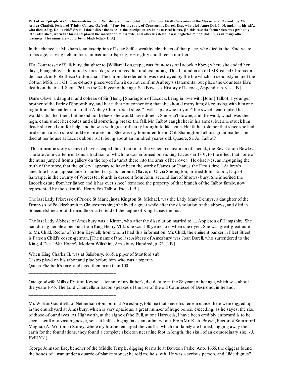Part of an Epitaph at Colinbourne-Kinston in Wiltshire, communicated to the Philosophicall Conventus at the Musaeum at Oxford, by Mr. Arthur Charlett, Fellow of Trinity College, Oxford:- "Pray for the soule of Constantine Darrel, Esq. who died Anno Dni. 1400, and....... his wife, who died Adeg. Dni. 1495." See it. I doe believe the dates in the inscription are in numerical letters. [In this case the former date was probably left unfinished, when the husband placed the inscription to his wife, and after his death it was neglected to be filled up, as in many other **instances. The numerals would be in black letter.- J. B.]**

In the chancel at Milshamis an inscription of Isaac Self, a wealthy cloathiers of that place, who died in the 92nd yeare of his age, leaving behind hima numerous offspring; viz. eighty and three in number.

Ella, Countesse of Salisbury, daughter to [William] Longespe, was foundress of Lacock Abbey; where she ended her days, being above a hundred yeares old; she outlived her understanding. This I found in an old MS. called Chronicon de Lacock in Bibliotheca Cottoniana. [The chronicle referred to was destroyed by the fire which so seriously injured the Cotton MSS. in 1731. The extracts preserved fromit do not confirmAubrey's statements, but place the Countess Ela's death on the ixkal. Sept. 1261, in the 74th year of her age. See Bowles's History of Lacock, Appendix, p. v. - J. B.]

Dame Olave, a daughter and coheire of Sir [Henry] Sharington of Lacock, being in love with [John] Talbot, a younger brother of the Earle of Shrewsbury, and her father not consenting that she should marry him; discoursing with himone night fromthe battlements of the Abbey Church, said shee, "I will leap downe to you:" her sweet heart replied he would catch her then; but he did not believe she would have done it. She leap't downe, and the wind, which was then high, came under her coates and did something breake the fall. Mr. Talbot caught her in his armes, but she struck him dead: she cried out for help, and he was with great difficulty brought to life again. Her father told her that since she had made such a leap she should e'en marrie him. She was my honoured friend Col. Sharington Talbot's grandmother, and died at her house at Lacock about 1651, being about an hundred yeares old. Quaere, Sir Jo. Talbot?

[This romantic story seems to have escaped the attention of the venerable historian of Lacock, the Rev. Canon Bowles. The late John Carter mentions a tradition of which he was informed on visiting Lacock in 1801, to the effect that "one of the nuns jumped froma gallery on the top of a turret there into the arms of her lover." He observes, as impugning the truth of the story, that the gallery "appears to have been the work of James or Charles the First's time." Aubrey's anecdote has an appearance of authenticity. Its heroine, Olave, or Olivia Sherington, married John Talbot, Esq. of Salwarpe, in the county of Worcester, fourth in descent fromJohn, second Earl of Shrews- bury. She inherited the Lacock estate from her father, and it has ever since<sup> $\land$ </sup> remained the property of that branch of the Talbot family, now represented by the scientific Henry Fox Talbot, Esq. -J. B.]

The last Lady Prioresse of Priorie St Marie, juxta Kington St. Michael, was the Lady Mary Dennys, a daughter of the Dennys's of Pocklechurch in Gloucestershire; she lived a great while after the dissolution of the abbeys, and died in Somersetshire about the middle or latter end of the raigne of King James the first

The last Lady Abbese of Amesbury was a Kirton, who after the dissolution married to..... Appleton of Hampshire. She had during her life a pension from King Henry VIII.: she was 140 yeares old when she dyed. She was great-great-aunt to Mr. Child, Rector of Yatton Keynell; fromwhomI had this information. Mr. Child, the eminent banker in Fleet Street, is Parson Child's cosen-german. [The name of the last Abbess of Amesbury was Joan Darell, who surrendered to the King, 4 Dec. 1540. Hoare's Modern Wiltshire, Amesbury Hundred, p. 73. J. B.]

When King Charles II. was at Salisbury, 1665, a piper of Stratford sub Castro playd on his tabor and pipe before him, who was a piper in Queen Elizabeth's time, and aged then more than 100.

\_\_\_\_\_\_\_\_\_\_\_\_\_\_\_\_\_\_\_\_\_\_\_\_\_\_\_\_\_\_\_\_\_\_\_

\_\_\_\_\_\_\_\_\_\_\_\_\_\_\_\_\_\_\_\_\_\_\_\_\_\_\_\_\_\_\_\_\_\_\_

One goodwife Mills of Yatton Keynel, a tenant of my father's, did dentire in the 88 yeare of her age, which was about the yeare 1645. The Lord Chancellour Bacon speakes of the like of the old Countesse of Desmond, in Ireland.

Mr. WilliamGauntlett, of Netherhampton, born at Amesbury, told me that since his remembrance there were digged up in the churchyard at Amesbury, which is very spacious, a great number of huge bones, exceeding, as he sayes, the size of those of our dayes. At Highworth, at the signe of the Bull, at one Hartwells, I have been credibly enformed is to be seen a scull of-a vast bignesse, scilicet half as big again as an ordinary one. FromMr. Kich. Brown, Rector of Somerford Magna, (At Wotton in Surrey, where my brother enlarged the vault in which our family are buried, digging away the earth for the foundations, they found a complete skeleton neer nine foot in length, the skull of an extraordinary size. - J. EVELYN.)

George Johnson Esq. bencher of the Middle Temple, digging for marle at Bowdon Parke, Ano. 1666, the diggers found the bones of a man under a quarrie of planke stones: he told me he saw it. He was a serious person, and "fide dignus".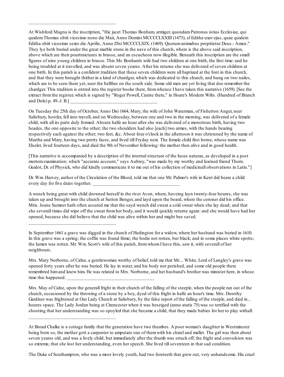At Wishford Magna is the inscription, "Hic jacet Thomas Bonham, armiger, quondamPatronus istius Ecclesiae, qui quidemThomas obiit vicesimo nono die Maii, Anno Domini MCCCCLXXIII (1473); el Editha uxor ejus, quae quidem Editha obiit vicesimo sexto die Aprilis, Anno D'ni MCCCCLXIX. (1469). Quorumanimabus propitietur Deus.- Amen." They lye both buried under the great marble stone in the nave of this church, where is the above said inscription, above which are their pourtraictures in brasse, and an escucheon now illegible. Beneath this inscription are the small figures of nine young children in brasse. This Mr. Bonham's wife had two children at one birth, the first time: and he being troubled at it travelled, and was absent seven yeares. After his returne she was delivered of seven children at one birth. In this parish is a confident tradition that these seven children were all baptized at the font in this church, and that they were brought thither in a kind of chardger, which was dedicated to this church, and hung on two nailes, which are to be seen there yet, neer the bellfree on the south side. Some old men are yet living that doe remember the chardger. This tradition is entred into the register booke there, fromwhence I have taken this narrative (1659). [See the extract fromthe register, which is signed by "Roger Powell, Curate there," in Hoare's Modern Wilts. (Hundred of Branch and Dole) p.  $49.-J. B.$ ]

\_\_\_\_\_\_\_\_\_\_\_\_\_\_\_\_\_\_\_\_\_\_\_\_\_\_\_\_\_\_\_\_\_\_\_

\_\_\_\_\_\_\_\_\_\_\_\_\_\_\_\_\_\_\_\_\_\_\_\_\_\_\_\_\_\_\_\_\_\_\_

\_\_\_\_\_\_\_\_\_\_\_\_\_\_\_\_\_\_\_\_\_\_\_\_\_\_\_\_\_\_\_\_\_\_\_

On Tuesday the 25th day of October, Anno Dni 1664, Mary, the wife of John Waterman, of Fisherton Anger, neer Salisbury, hostler, fell into travell, and on Wednesday, between one and two in the morning, was delivered of a female child, with all its parts duly formed. Aboute halfe an hour after she was delivered of a monstrous birth, having two heades, the one opposite to the other; the two shoulders had also [each] two armes, with the hands bearing respectively each against the other; two feet, &c. About four o'clock in the afternoon it was christened by the name of Martha and Mary, having two pretty faces, and lived till Fryday next. The female child first borne, whose name was Elselet, lived fourteen days, and died the 9th of November following: the mother then alive and in good health.

[This narrative is accompanied by a description of the internalstructure of the lusus naturae, as developed in a post mortemexamination; which "accurate account," says Aubrey, "was made by my worthy and learned friend Thorn. Guidot, Dr. of Physick, who did kindly communicate it to me out of his collection of medicinall observations in Latin."

Dr. Wm. Harvey, author of the Circulation of the Blood, told me that one Mr. Palmer's wife in Kent did beare a child every day for five daies together.

A wench being great with child drowned herself in the river Avon, where, haveing layn twenty-four houres, she was taken up and brought into the church at Sutton Benger, and layd upon the board, where the coroner did his office. Mris. Joane Sumner hath often assured me that the sayd wench did sweat a cold sweat when she lay dead; and that she severall times did wipe off the sweat fromher body, and it would quickly returne again: and she would have had her opened, because she did believe that the child was alive within her and might bee saved.

In September 1661 a grave was digged in the church of Hedington for a widow, where her husband was buried in 1610. In this grave was a spring; the coffin was found firme; the bodie not rotten, but black; and in some places white spotts; the lumen was rotten. Mr. Wm. Scott's wife of this parish, fromwhomI have this, saw it, with severall of her neighbours.

Mrs. Mary Norborne, of Calne, a gentlewoman worthy of belief, told me that Mr.... White, Lord of Langley's grave was opened forty years after he was buried. He lay in water, and his body not perished, and some old people there remembred himand knew him. He was related to Mrs. Norborne, and her husband's brother was minister here, in whose time this happened.

Mrs. May of Calne, upon the generall fright in their church of the falling of the steeple, when the people ran out of the church, occasioned by the throwing of a stone by a boy, dyed of this fright in halfe an hour's time. Mrs. Dorothy Gardiner was frightened at Our Lady Church at Salisbury, by the false report of the falling of the steeple, and died in... houres space. The Lady Jordan being at Cirencester when it was beseiged (anno atatis 75) was so terrified with the shooting that her understanding was so spoyled that she became a child, that they made babies for her to play withall.

The Duke of Southampton, who was a most lovely youth, had two foreteeth that grew out, very unhandsome. His cruel

At Broad Chalke is a cottage family that the generation have two thumbes. A poor woman's daughter in Westminster being born so, the mother gott a carpenter to amputate one of themwith his chizel and mallet. The girl was then about seven yeares old, and was a lively child, but immediately after the thumb was struck off, the fright and convulsion was so extreme, that she lost her understanding, even her speech. She lived tillseventeen in that sad condition.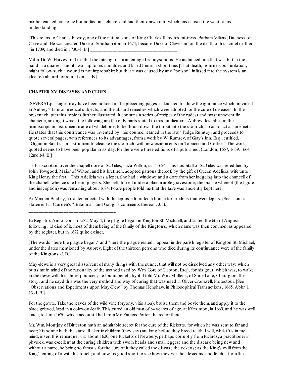mother caused himto be bound fast in a chaire, and had themdrawn out; which has caused the want of his understanding.

[This refers to Charles Fitzroy, one of the naturalsons of King Charles II. by his mistress, Barbara Villiers, Duchess of Cleveland. He was created Duke of Southampton in 1674; became Duke of Cleveland on the death of his "cruel mother "in 1709; and died in 1730.-J. B.]

Mdm. Dr. W. Harvey told me that the biteing of a man enraged is poysonous. He instanced one that was bitt in the hand in a quarrell, and it swoll up to his shoulder, and killed himin a short time. [That death, fromnervous irritation, might follow such a wound is not improbable: but that it was caused by any "poison" infused into the systemis an idea too absurd for refutation.- J. B.]

# **CHAPTER XV. DISEASES AND CURES.**

\_\_\_\_\_\_\_\_\_\_\_\_\_\_\_\_\_\_\_\_\_\_\_\_\_\_\_\_\_\_\_\_\_\_\_

[SEVERALpassages may have been noticed in the preceding pages, calculated to shew the ignorance which prevailed in Aubrey's time on medical subjects, and the absurd remedies which were adopted for the cure of diseases. In the present chapter this topic is further illustrated. It contains a series of recipes of the rudest and most unscientific character, amongst which the following are the only parts suited to this publication. Aubrey describes in the manuscript an instrument made of whalebone, to be thrust down the throat into the stomach, so as to act as an emetic. He states that this contrivance was invented by "his counsel learned in the law," Judge Rumsey; and proceeds to quote several pages, with references to its advantages, froma work by W. Rumsey, of Gray's Inn, Esq., entitled, "Organon Salutis, an instrument to cleanse the stomach: with new experiments on Tobacco and Coffee." The work quoted seems to have been popular in its day, for there were three editions of it published. (London, 1657, 1659, 1664, 12mo.)-J. B.]

THE inscription over the chapell dore of St. Giles, juxta Wilton, sc. "1624. This hospitall of St. Giles was re-edified by John Towgood, Maior of Wilton, and his brethren, adopted patrons thereof, by the gift of Queen Adelicia, wife unto King Henry the first." This Adelicia was a leper. She had a windowe and a dore fromher lodgeing into the chancell of the chapell, whence she heard prayers. She lieth buried under a plain marble gravestone; the brasse whereof (the figure and inscription) was remaining about 1684. Poore people told me that the faire was anciently kept here.

At Maiden Bradley, a maiden infected with the leprosie founded a house for maidens that were lepers. [See a similar statement in Camden's "Britannia," and Gough's comments thereon.-J. B.]

[The words "here the plague began," and "here the plague rested," appear in the parish register of Kington St. Michael, under the dates mentioned by Aubrey. Eight of the thirteen persons who died during its continuance were of the family of the Kingtons.-J.  $B$ .]

May-dewe is a very great dissolvent of many things with the sunne, that will not be dissolved any other way; which putts me in mind of the rationality of the method used by Wm. Gore of Clapton, Esq}. for his gout; which was, to walke in the dewe with his shoes pounced; he found benefit by it. I told Mr. Wm. Mullens, of Shoe Lane, Chirurgion, this story; and he sayd this was the very method and way of curing that was used in Oliver Cromwell, Protectour. [See "Observations and Experiments upon May-Dew," by Thomas Henshaw, in Philosophical Transactions, 1665. Abbr. i.  $13.-J. B.]$ 

For the gowte. Take the leaves of the wild vine (bryony, vitis alba); bruise themand boyle them, and apply it to the place grieved, lapd in a colewort-leafe. This cured an old man of 84 yeares of age, at Kilmanton, in 1669, and he was well since, to June 1670: which account I had fromMr. Francis Potter, the rector there.

Mr. Wm. Montjoy of Bitteston hath an admirable secret for the cure of the Ricketts, for which he was sent to far and neer; his sonne hath the same. Rickettie children (they say) are long before they breed teeth. I will, whilst 'tis in my mind, insert this remarque; viz. about 1620, one Ricketts of Newbery, perhaps corruptly fromRicards, a practitioner in physick, was excellent at the curing children with swoln heads and small legges; and the disease being new and without a name, he being so famous for the cure of it they called the disease the ricketts; as the King's evill from the King's curing of it with his touch; and now 'tis good sport to see how they vextheir lexicons, and fetch it fromthe

ExRegistro. Anno Domini 1582, May 4, the plague began in Kington St. Michaell, and lasted the 6th of August following; 13 died of it, most of thembeing of the family of the Kington's; which name was then common, as appeared by the register, but in 1672 quite extinct.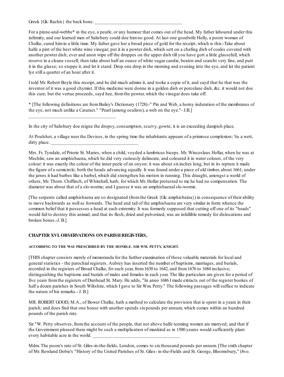Greek {Gk: Rachis} the back bone.

\_\_\_\_\_\_\_\_\_\_\_\_\_\_\_\_\_\_\_\_\_\_\_\_\_\_\_\_\_\_\_\_\_\_\_

For a pinne-and-webbe\* in the eye, a pearle, or any humour that comes out of the head. My father laboured under this infirmity, and our learned men of Salisbury could doe himno good. At last one goodwife Holly, a poore woman of Chalke, cured himin a little time. My father gave her a broad piece of gold for the receipt, which is this:-Take about halfe a pint of the best white wine vinegar; put it in a pewter dish, which sett on a chafing dish of coales covered with another pewter dish; ever and anon wipe off the droppes on the upper dish till you have gott a little glassefull, which reserve in a cleane vessell; then take about half an ounce of white sugar candie, beaten and searcht very fine, and putt it in the glasse; so stoppe it, and let it stand. Drop one drop in the morning and evening into the eye, and let the patient lye still a quarter of an hour after it.

I told Mr. Robert Boyle this receipt, and he did much admire it, and tooke a copie of it, and sayd that he that was the inventor of it was a good chymist. If this medicine were donne in a golden dish or porcelane dish, &c. it would not doe this cure; but the vertue proceeds, sayd hee, fromthe pewter, which the vinegar does take off.

\* [The following definitions are fromBailey's Dictionary (1728):-" Pin and Web, a horny induration of the membranes of the eye, not much unlike a Cataract." "Pearl (among oculists), a web on the eye."- J.B.]

In the city of Salisbury doe reigne the dropsy, consumption, scurvy, gowte; it is an exceeding dampish place.

At Poulshot, a village neer the Devises, in the spring time the inhabitants appeare of a primrose complexion; 'tis a wett,  $\frac{divty}{.}$  place.

Mrs. Fr. Tyndale, of Priorie St. Maries, when a child, voyded a lumbricus biceps. Mr. Winceslaus Hollar, when he was at Mechlin, saw an amphisbaena, which he did very curiously delineate, and coloured it in water colours, of the very colour: it was exactly the colour of the inner peele of an onyon: it was about sixinches long, but in its repture it made the figure of a semicircle; both the heads advancing equally. It was found under a piece of old timber, about 1661; under the jawes it had barbes like a barbel, which did strengthen his motion in running. This draught, amongst a world of others, Mr. Thorn. Chiffinch, of Whitehall, hath; for which Mr. Hollar protested to me he had no compensation. The diameter was about that of a slo-worme; and I guesse it was an amphisbaenalslo-worme.

[The serpents called amphisbaena are so designated (fromthe Greek {Gk: amphisbaina}) in consequence of their ability to move backwards as well as forwards. The head and tail of the amphisbaena are very similar in form: whence the common belief that it possesses a head at each extremity. It was formerly supposed that cutting off one of its "heads" would fail to destroy this animal; and that its flesh, dried and pulverized, was an infallible remedy for dislocations and broken bones.-J. B.]

## **CHAPTER XVI. OBSERVATIONS ON PARISHREGISTERS,**

### **ACCORDING TO THE WAY PRESCRIBED BY THE HONBLE. SIR WM. PETTY, KNIGHT.**

[THIS chapter consists merely of memoranda for the further examination of those valuable materials for local and generalstatistics - the parochial registers. Aubrey has inserted the number of baptisms, marriages, and burials, recorded in the registers of Broad Chalke, for each year, from1630 to 1642, and from1676 to 1684 inclusive; distinguishing the baptisms and burials of males and females in each year. The like particulars are given for a period of five years fromthe registers of Dunhead St. Mary. He adds, "In anno 1686 I made extracts out of the register bookes of half a dozen parishes in South Wiltshire, which I gave to Sir Wm. Petty." The following passages will suffice to indicate the nature of his remarks.- J. B.]

MR. ROBERT GOOD, M.A., of Bower Chalke, hath a method to calculate the provision that is spent in a yeare in their parish; and does find that one house with another spends sixpounds per annum; which comes within an hundred pounds of the parish rate.

Sir "W. Petty observes, fromthe account of the people, that not above halfe teeming women are marryed; and that if the Government pleased there might be such a multiplication of mankind as in 1500 yeares would sufficiently plant every habitable acre in the world.

Mdm. The poore's rate of St. Giles-in-the-fields, London, comes to sixthousand pounds per annum. [The sixth chapter of Mr. Rowland Dobie's "History of the United Parishes of St. Giles- in-the-Fields and St. George, Bloomsbury," (8vo.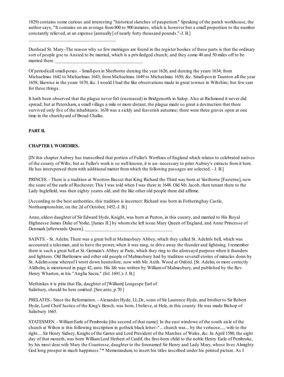1829) contains some curious and interesting "historicalsketches of pauperism." Speaking of the parish workhouse, the author says, "It contains on an average from800 to 900 inmates, which is however but a small proportion to the number constantly relieved, at an expense [annually] of nearly forty thousand pounds."-J. B.]

Dunhead St. Mary.-The reason why so few marriages are found in the register bookes of these parts is that the ordinary sort of people goe to Ansted to be married, which is a priviledged church; and they come 40 and 50 miles off to be married there.

Of periodicallsmall-poxes. - Small-poxin Sherborne dureing the year 1626, and dureing the yeare 1634; from Michaelmas 1642 to Michaelmas 1643; from Michaelmas 1649 to Michaelmas 1650; &c. Small-pox in Taunton all the year 1658; likewise in the yeare 1670, &c. I would I had the like observations made in great townes in Wiltshire; but few care for these things.

It hath been observed that the plague never fix't (encreased) in Bridgenorth in Salop. Also at Richmond it never did spread; but at Petersham, a small village a mile or more distant, the plague made so great a destruction that there survived only five of the inhabitants. 1638 was a sickly and feaverish autumne; there were three graves open at one time in the churchyard of Broad Chalke.

# **PART II.**

# **CHAPTER I. WORTHIES.**

\_\_\_\_\_\_\_\_\_\_\_\_\_\_\_\_\_\_\_\_\_\_\_\_\_\_\_\_\_\_\_\_\_\_\_

[IN this chapter Aubrey has transcribed that portion of Fuller's Worthies of England which relates to celebrated natives of the county of Wilts; but as Fuller's work is so well known, it is un- necessary to print Aubrey's extracts fromit here. He has interspersed themwith additional matter fromwhich the following passages are selected. - J. B.]

PRINCES. - There is a tradition at Wootton Basset that King Richard the Third was born at Vasthorne [Fasterne], now the seate of the earle of Rochester. This I was told when I was there in 1648. Old Mr. Jacob, then tenant there to the Lady Inglefield, was then eighty yeares old, and the like other old people there did affirme.

[According to the best authorities, this tradition is incorrect: Richard was born in Fotheringhay Castle, Northamptonshire, on the 2d of October, 1452.-J. B.]

Anne, eldest daughter of Sir Edward Hyde, Knight, was born at Purton, in this county, and married to His Royal Highnesse James Duke of Yorke, [James II.] by whomshe left issue Mary Queen of England, and Anne Princesse of Denmark [afterwards Queen].

SAINTS. - St. Adelm. There was a great bell at Malmesbury Abbey, which they called St. Adelm's bell, which was accounted a telesman, and to have the power, when it was rang, to drive away the thunder and lightning. I remember there is such a great bell at St. Germain's Abbey at Paris, which they ring to the aforesayd purpose when it thunders and lightens. Old Bartlemew and other old people of Malmesbury had by tradition severallstories of miracles donn by St. Adelmsome whereof I wrott down heretofore; now with Mr. Anth. Wood at Oxford. [St. Adelm, or more correctly Aldhelm, is mentioned in page 42, ante. His life was written by Williamof Malmesbury, and published by the Rev. Henry Wharton, in his "Anglia Sacra." (fol. 1691.)- J. B.]

Methinkes it is pitie that Ela, daughter of [William] Longespe Earl of Salisbury, should be here omitted. [See ante, p.70 ]

PRELATES.- Since the Reformation. - Alexander Hyde, LL.Dr., sonn of Sir Laurence Hyde, and brother to Sir Robert Hyde, Lord Cheif Justice of the King's Bench, was born, I believe, at Hele, in this county. He was made Bishop of Salisbury 1665.

STATESMEN. - WilliamEarle of Pembroke [the second of that name]. In the east windowe of the south aisle of the church at Wilton is this following inscription in gothick black letter:-"... church was... by the vertuose..... wife to the right.... Sir Henry Sidney, Knight of the Garter and Lord President of the Marches of Wales, &c. In April 1580, the eight day of that moneth, was born WilliamLord Herbert of Cardif, the first-born child to the noble Henry Earle of Pembroke, by his most dear wife Mary the Countesse, daughter to the forenamed Sir Henry and Lady Mary, whose lives Almighty God long prosper in much happiness."\* Memorandum, to insert his titles inscribed under his printed picture. As I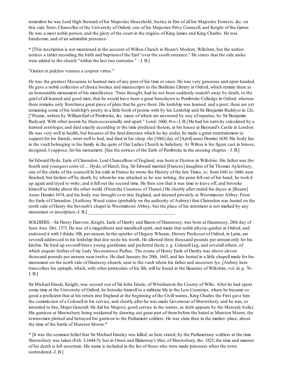remember he was Lord High Steward of his Majesties Household, Justice in Eire of all his Majesties Forrests, &c. on this side Trent, Chancellor of the University of Oxford, one of his Majesties Privy Councell, and Knight of the Garter. He was a most noble person, and the glory of the court in the reignes of King James and King Charles. He was handsome, and of an admirable presence-

\* [This inscription is not mentioned in the account of Wilton Church in Hoare's Modern, Wiltshire, but the author notices a tablet recording the birth and baptismof the Earl "over the south entrance." He states that the side aisles were added to the church "within the last two centuries " - J. B.]

"Gratior et pulchro veniens a corpore virtus."

He was the greatest Mecaenas to learned men of any peer of his time or since. He was very generous and open handed. He gave a noble collection of choice bookes and manuscripts to the Bodleian Library at Oxford, which remain there as an honourable monument of his munificence. 'Twas thought, had he not been suddenly snatch't away by death, to the grief of all learned and good men, that he would have been a great benefactor to Pembroke Colledge in Oxford, whereas there remains only fromhima great piece of plate that he gave there. His lordship was learned, and a poet; there are yet remaining some of his lordship's poetry in a little book of poems writt by his Lordship and Sir Benjamin Ruddyer in 12o. ["Poems, written by WilliamEarl of Pembroke, &c. many of which are answered by way of repartee, by Sir Benjamin Rudyard. With other poems by themoccasionally and apart." Lond. 1660, 8vo.-J. B.] He had his nativity calculated by a learned astrologer, and died exactly according to the time predicted therein, at his house at Baynard's Castle in London. He was very well in health, but because of the fatal direction which he lay under, he made a great entertainment (a supper) for his friends, went well to bed, and died in his sleep, the [10th] day of [April] anno Domini 1630. His body lies in the vault belonging to his family in the quire of Our Ladies Church in Salisbury. At Wilton is his figure cast in brasse, designed, I suppose, for his monument. [See the notices of the Earls of Pembroke in the ensuing chapter. - J. B.]

Sir Edward Hyde, Earle of Clarendon, Lord Chancellour of England, was born at Dynton in Wiltshire. His father was the fourth and youngest sonn of..... Hyde, of Hatch, Esq. Sir Edward married [Frances] daughter of Sir Thomas Aylesbury, one of the clarks of the councell In his exile in France he wrote the History of the late Times, sc. from1641 to 1660; near finished, but broken off by death, by whomhe was attacked as he was writing; the penn fell out of his hand; he took it up again and tryed to write; and it fell out the second time. He then saw that it was time to leave off, and betooke himself to thinke about the other world. (From the Countess of Thanet.) He shortly after ended his dayes at [Rouen] Anno Domini 1674, and his body was brought over into England, and interred privately at Westminster Abbey. From the Earle of Clarendon. [Anthony Wood states (probably on the authority of Aubrey) that Clarendon was buried on the north side of Henry the Seventh's chapel in Westminster Abbey; but the place of his interment is not marked by any monument or inscription.-J.  $B$ .]

SOLDIERS. - Sir Henry Danvers, Knight, Earle of Danby and Baron of Dauntesey, was born at Dauntesey, 28th day of June Ano. Dni. 1573. He was of a magnificent and munificallspirit, and made that noble physic-garden at Oxford, and endowed it with I thinke 30li. per annum. In the epistles of Degory Wheare, History Professor of Oxford, in Latin, are severall addressed to his lordship that doe recite his worth. He allowed three thousand pounds per annumonly for his kitchin. He bred up severall brave young gentleman and preferred them; e. g. Colonell Leg, and severall others, of which enquire further of my Lady Viscountesse Purbec. The estate of Henry Earle of Danby was above eleven thousand pounds per annum; near twelve. He died January the 20th, 1643, and lies buried in a little chapell made for his monument on the north side of Dantesey-church, near to the vault where his father and ancesters lye. [Aubrey here transcribes his epitaph, which, with other particulars of his life, will be found in the Beauties of Wiltshire, vol. iii. p. 76.- J. B.]

Sir Michael Ernele, Knight, was second son of Sir John Ernele, of Whethamin the County of Wilts. After he had spent some time at the University of Oxford, he betooke himself to a militarie life in the Low Countries, where he became so good a proficient that at his return into England at the beginning of the Civill warres, King Charles the First gave him the commission of a Colonell in his service, and shortly after he was made Governour of Shrewsbury, and he was, or intended to bee, Major Generall. He did his Majesty good service in the warres, as doth appeare by the Mercurii Aulici. His garrison at Shrewsbury being weakened by drawing out great part of thembefore the battel at Marston Moore, the townesmen plotted and betrayed his garrison to the Parliament soldiers. He was slain then in the market- place, about the time of the battle of Marston Moore.\*

\* [It was the common belief that Sir Michael Erneley was killed, as here stated, by the Parlimentary soldiers at the time Shrewsbury was taken (Feb. 3,1644-5); but in Owen and Blakeway's Hist, of Shrewsbury, 4to. 1825, the time and manner of his death is left uncertain. His name is included in the list of those who were made prisoners when the town surrendered.-J. B.]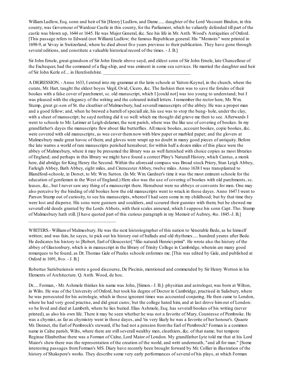William Ludlow, Esq. sonn and heir of Sir [Henry] Ludlow, and Dame...... daughter of the Lord Viscount Bindon, in this county, was Governour of Wardour Castle in this county, for the Parliament, which he valiantly defended till part of the castle was blown up, 1644 or 1645. He was Major General, &c. See his life in Mr. Anth. Wood's Antiquities of Oxford. [This passage refers to Edward (not William) Ludlow; the famous Republican general. His "Memoirs" were printed in 1698-9, at Vevay in Switzerland, where he died about five years previous to their publication. They have gone through several editions, and constitute a valuable historical record of the times. - J. B.]

Sir John Ernele, great-grandson of Sir John Ernele above sayd, and eldest sonn of Sir John Ernele, late Chancellour of the Exchequer, had the command of a flag-ship, and was eminent in some sea services. He married the daughter and heir of Sir John Kerle of.... in Herefordshire.

A DIGRESSION. - Anno 1633, I entred into my grammar at the latin schoole at Yatton-Keynel, in the church, where the curate, Mr. Hart, taught the eldest boyes Virgil, Ovid, Cicero, &c. The fashion then was to save the forules of their bookes with a false cover of parchment, sc. old manuscript, which I [could not] was too young to understand; but I was pleased with the elegancy of the writing and the coloured initiall letters. I remember the rector here, Mr. Wm. Stump, great gr.-son of St. the cloathier of Malmesbury, had severall manuscripts of the abbey. He was a proper man and a good fellow; and, when he brewed a barrell of speciall ale, his use was to stop the bung- hole, under the clay, with a sheet of manuscript; he sayd nothing did it so well: which me thought did grieve me then to see. Afterwards I went to schoole to Mr. Latimer at Leigh-delamer, the next parish, where was the like use of covering of bookes. In my grandfather's dayes the manuscripts flew about like butterflies. All music bookes, account bookes, copie bookes, &c. were covered with old manuscripts, as wee cover themnow with blew paper or marbled paper; and the glovers at Malmesbury made great havoc of them; and gloves were wrapt up no doubt in many good pieces of antiquity. Before the late warres a world of rare manuscripts perished hereabout; for within half a dozen miles of this place were the abbey of Malmesbury, where it may be presumed the library was as well furnished with choice copies as most libraries of England; and perhaps in this library we might have found a correct Pliny's Naturall History, which Cantus, a monk here, did abridge for King Henry the Second. Within the aforesaid compass was Broad stock Priory, Stan Leigh Abbey, Farleigh Abbey, Bath Abbey, eight miles, and Cirencester Abbey, twelve miles. Anno 1638 I was transplanted to Blandford-schoole, in Dorset, to Mr. Wm. Sutton. (In Mr. Wm. Gardner's time it was the most eminent schoole for the education of gentlemen in the West of England.) Here also was the use of covering of bookes with old parchments, sc. leases, &c., but I never saw any thing of a manuscript there. Hereabout were no abbeys or convents for men. One may also perceive by the binding of old bookes how the old manuscripts went to wrack in those dayes. Anno 1647 I went to Parson Stump out of curiosity, to see his manuscripts, whereof I had seen some in my childhood; but by that time they were lost and disperse. His sons were gunners and souldiers, and scoured their gunnies with them; but he shewed me severall old deeds granted by the Lords Abbots, with their scales annexed, which I suppose his sonn Capt. Tho. Stump of Malmesbury hath still. [I have quoted part of this curious paragraph in my Memoir of Aubrey, 4to. 1845.-J. B.]

\_\_\_\_\_\_\_\_\_\_\_\_\_\_\_\_\_\_\_\_\_\_\_\_\_\_\_\_\_\_\_\_\_\_\_

Robertus Sarisburiensis wrote a good discourse, De Piscinis, mentioned and commended by Sir Henry Wotton in his Elements of Architecture. Q. Anth. Wood, de hoc.

Dr..... Forman, - Mr. Ashmole thinkes his name was John, [Simon.- J. B.]- physitian and astrologer, was born at Wilton, in Wilts. He was of the University of Oxford, but took his degree of Doctor in Cambridge, practised in Salisbury, where he was persecuted for his astrologie, which in those ignorant times was accounted conjuring. He then came to London, where he had very good practise, and did great cures; but the college hated him, and at last drove himout of London: so he lived and died at Lambeth, where he lies buried. Elias Ashmole, Esq. has severall bookes of his writing (never printed), as also his own life. There it may be seen whether he was not a favorite of Mary, Countesse of Pembroke. He was a chymist, as far as chymistry went in those dayes, and 'tis very likely he was a favorite of her honour's. Quaere Mr. Dennet, the Earl of Pembrock's steward, if he had not a pension fromthe Earl of Pembrock? Forman is a common name in Calne parish, Wilts, where there are still severall wealthy men, cloathiers, &c. of that name; but tempore Reginae Elizabethae there was a Forman of Calne, Lord Maior of London. My grandfather Lyte told me that at his Lord Maior's shew there was the representation of the creation of the world, and writt underneath, "and all for man." [Some interesting passages fromForman's MS. Diary have recently been brought forward by Mr. Collier in illustration of the history of Shakspere's works. They describe some very early performances of several of his plays, at which Forman

WRITERS.- Williamof Malmesbury. He was the next historiographer of this nation to Venerable Bede, as he himself written; and was fain, he sayes, to pick out his history out of ballads and old rhythmes..... hundred yeares after Bede. He dedicates his history to [Robert, Earl of Gloucester] "filio naturali Henrici primi". He wrote also the history of the abbey of Glastonbury, which is in manuscript in the library of Trinity College in Cambridge, wherein are many good remarques to be found, as Dr. Thomas Gale of Paules schoole enformes me. [This was edited by Gale, and published at Oxford in 1691, 8vo. - J. B.]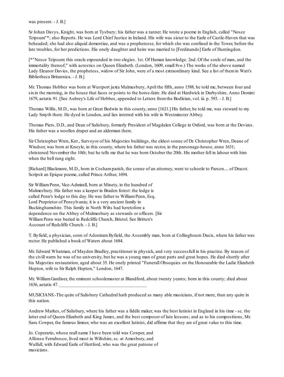was present. - J. B.]

Sr Johan Davys, Knight, was born at Tysbury; his father was a tanner. He wrote a poeme in English, called "Nosce Teipsum"\*; also Reports. He was Lord Chief Justice in Ireland. His wife was sister to the Earle of Castle-Haven that was beheaded; she had also aliquid dementiae, and was a prophetesse, for which she was confined in the Tower, before the late troubles, for her predictions. His onely daughter and heire was married to [Ferdinando] Earle of Huntingdon.

[\*"Nosce Teipsum: this oracle expounded in two elegies. 1st. Of Human knowledge. 2nd. Of the soule of man, and the immortality thereof;" with acrostics on Queen Elizabeth. (London, 1609, small 8vo.) The works of the above named Lady Eleanor Davies, the prophetess, widow of Sir John, were of a most extraordinary kind. See a list of themin Watt's Bibliotheca Britannica. - J. B.]

Mr. Thomas Hobbes was born at Westport juxta Malmesbury, April the fifth, anno 1588, he told me, between four and sixin the morning, in the house that faces or points to the horse-faire. He died at Hardwick in Darbyshire, Anno Domini 1679, aetatis 91. [See Aubrey's Life of Hobbes, appended to Letters fromthe Bodleian, vol. iii. p. 593. - J. B.]

Thomas Willis, M.D., was born at Great Bedwin in this county, anno [1621.] His father, he told me, was steward to my Lady Smyth there. He dyed in London, and lies interred with his wife in Westminster Abbey.

Thomas Piers, D.D., and Dean of Salisbury, formerly President of Magdalen College in Oxford, was born at the Devizes. His father was a woollen draper and an alderman there.

Sir Christopher Wren, Knt., Surveyor of his Majesties buildings, the eldest sonne of Dr. Christopher Wren, Deane of Windsor, was born at Knoyle, in this county, where his father was rector, in the parsonage-house, anno 1631; christened November the 10th; but he tells me that he was born October the 20th. His mother fell in labour with him when the bell rung eight.

[Richard] Blackmore, M.D., born in Coshamparish, the sonne of an attorney, went to schoole to Parson.... of Dracot. Scripsit an Epique poeme, called Prince Arthur, 1694.

Sir WilliamPenn, Vice-Admirall, born at Minety, in the hundred of Malmesbury. His father was a keeper in Braden forest: the lodge is called Penn's lodge to this day. He was father to William Penn, Esq. Lord Proprietor of Pensylvania; it is a very ancient family in Buckinghamshire. This family in North Wilts had heretofore a dependence on the Abbey of Malmesbury as stewards or officers. [Sir WilliamPenn was buried in Redcliffe Church, Bristol. See Britten's Account of Redcliffe Church. - J. B.]

T. Byfield, a physician, sonn of AdoniramByfield, the Assembly man, born at Collingbourn Ducis, where his father was rector. He published a book of Waters about 1684.

Mr. Edward Whatman, of Mayden Bradley, practitioner in physick, and very successfull in his practise. By reason of the civill warrs he was of no university, but he was a young man of great parts and great hopes. He died shortly after his Majesties restauration, aged about 35. He onely printed "Funerall Obsequies on the Honourable the Ladie Elizabeth Hopton, wife to Sir Ralph Hopton," London, 1647.

Mr. WilliamGardiner, the eminent schoolemaster at Blandford, about twenty yeares; born in this county; died about 1636, aetatis 47. \_\_\_\_\_\_\_\_\_\_\_\_\_\_\_\_\_\_\_\_\_\_\_\_\_\_\_\_\_\_\_\_\_\_\_

MUSICIANS.-The quire of Salisbury Cathedral hath produced as many able musicians, if not more, than any quire in this nation.

Andrew Markes, of Salisbury, where his father was a fiddle maker, was the best lutinist in England in his time - sc. the latter end of Queen Elizabeth and King James, and the best composer of lute lessons; and as to his compositions, Mr. Sam. Cowper, the famous limner, who was an excellent lutinist, did affirme that they are of great value to this time.

Jo. Coperario, whose reall name I have been told was Cowper, and Alfonso Ferrabosco, lived most in Wiltshire, sc. at Amesbury, and Wulfall, with Edward Earle of Hertford, who was the great patrone of musicians.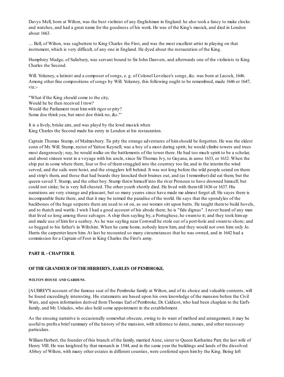Davys Mell, born at Wilton, was the best violinist of any Englishman in England: he also took a fancy to make clocks and watches, and had a great name for the goodness of his work. He was of the King's musick, and died in London about 1663.

.... Bell, of Wilton, was sagbuttere to King Charles the First, and was the most excellent artist in playing on that instrument, which is very difficult, of any one in England. He dyed about the restauration of the King.

Humphrey Madge, of Salisbury, was servant bound to Sir John Danvers, and afterwards one of the violinists to King Charles the Second.

Will. Yokeney, a lutinist and a composer of songs, e.g. of Colonel Lovelace's songs, &c. was born at Lacock, 1646. Among other fine compositions of songs by Will. Yokeney, this following ought to be remembred, made 1646 or 1647, viz.:-

"What if the King should come to the city, Would he be then received I trow? Would the Parliament treat himwith rigor or pity? Some doe think yea, but most doe think no, &c."'

It is a lively, briske aire, and was playd by the lowd musick when King Charles the Second made his entry in London at his restauration.

Captain Thomas Stump, of Malmesbury. Tis pity the strange adventures of himshould be forgotten. He was the eldest sonn of Mr. Will. Stump, rector of Yatton Keynell; was a boy of a most daring spirit; he would climbe towers and trees most dangerously; nay, he would walke on the battlements of the tower there. He had too much spirit to be a scholar, and about sixteen went in a voyage with his uncle, since Sir Thomas Ivy, to Guyana, in anno 1633, or 1632. When the ship put in some where there, four or five of themstraggled into the countrey too far, and in the interimthe wind served, and the sails were hoist, and the stragglers left behind. It was not long before the wild people seized on them and strip's them, and those that had beards they knocked their braines out, and (as I remember) did eat them; but the queen saved T. Stump, and the other boy. Stump threw himself into the river Pronoun to have drowned himself, but could not sinke; he is very full chested. The other youth shortly died. He lived with themtill 1636 or 1637. His narrations are very strange and pleasant; but so many yeares since have made me almost forget all. He sayes there is incomparable fruite there, and that it may be termed the paradise of the world. He says that the spondyles of the backbones of the huge serpents there are used to sit on, as our women sitt upon butts. He taught themto build hovels, and to thatch and wattle. I wish I had a good account of his abode there; he is "fide dignus". I never heard of any man that lived so long among those salvages. A ship then sayling by, a Portughese, he swamto it; and they took himup and made use of himfor a seaboy. As he was sayling near Cornwall he stole out of a port-hole and swamto shore; and so begged to his father's in Wiltshire. When he came home, nobody knew him, and they would not own him: only Jo. Harris the carpenter knew him. At last he recounted so many circumstances that he was owned, and in 1642 had a commission for a Captain of Foot in King Charles the First's army.

## **PART II. - CHAPTER II.**

### **OFTHEGRANDEUR OFTHEHERBERTS, EARLES OFPEMBROKE.**

### **WILTON HOUSE AND GARDENS.**

[AUBREY'S account of the famous seat of the Pembroke family at Wilton, and of its choice and valuable contents, will be found exceedingly interesting. His statements are based upon his own knowledge of the mansion before the Civil Wars, and upon information derived fromThomas Earl of Pembroke, Dr. Caldicot, who had been chaplain to the Earl's family, and Mr. Unlades, who also held some appointment in the establishment.

As the ensuing narrative is occasionally somewhat obscure, owing to its want of method and arrangement, it may be useful to prefixa brief summary of the history of the mansion, with reference to dates, names, and other necessary particulars.

William Herbert, the founder of this branch of the family, married Anne, sister to Queen Katharine Parr, the last wife of Henry VIII. He was knighted by that monarch in 1544, and in the same year the buildings and lands of the dissolved Abbey of Wilton, with many other estates in different counties, were conferred upon himby the King. Being left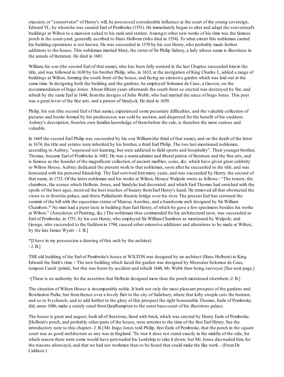executor, or "conservator" of Henry's will, he possessed considerable influence at the court of the young sovereign, Edward VI.; by whomhe was created Earl of Pembroke (1551). He immediately began to alter and adapt the conventual's buildings at Wilton to a mansion suited to his rank and station. Amongst other new works of his time was the famous porch in the court-yard, generally ascribed to Hans Holborn (who died in 1554). To what extent this nobleman carried his building operations is not known. He was succeeded in 1570 by his son Henry, who probably made further additions to the house. This nobleman married Mary, the sister of Sir Philip Sidney, a lady whose name is illustrious in the annals of literature. He died in 1601.

William, his son (the second Earl of that name), who has been fully noticed in the last Chapter, succeeded himin the title, and was followed in 1630 by his brother Philip, who, in 1633, at the instigation of King Charles I., added a range of buildings at Wilton, forming the south front of the house, and facing an extensive garden which was laid out at the same time. In designing both the building and the gardens, he employed Solomon de Caus, a Gascon, on the recommendation of Inigo Jones. About fifteen years afterwards the south front so erected was destroyed by fire, and rebuilt by the same Earl in 1648, fromthe designs of John Webb, who had married the niece of Inigo Jones. This peer was a great lover of the fine arts, and a patron of Vandyck. He died in 1650.

Philip, his son (the second Earl of that name), experienced some pecuniary difficulties, and the valuable collection of pictures and books formed by his predecessor, was sold by auction, and dispersed for the benefit of his creditors. Aubrey's description, fromhis own familiar knowledge of thembefore the sale, is therefore the more curious and valuable.

In 1669 the second Earl Philip was succeeded by his son William(the third of that name), and on the death of the latter in 1674, the title and estates were inherited by his brother, a third Earl Philip. The two last-mentioned noblemen, according to Aubrey, "espoused not learning, but were addicted to field sports and hospitality". Their younger brother, Thomas, became Earl of Pembroke in 1683. He was a warmadmirer and liberal patron of literature and the fine arts, and is famous as the founder of the magnificent collection of ancient marbles, coins, &c. which have given great celebrity to Wilton House. Aubrey dedicated the present work to that nobleman, soon after he succeeded to the title, and was honoured with his personal friendship. The Earl survived himmany years, and was succeeded by Henry, the second of that name, in 1733. Of the latter nobleman and his works at Wilton, Horace Walpole wrote as follows:- "The towers, the chambers, the scenes which Holbein, Jones, and Vandyke had decorated, and which Earl Thomas had enriched with the spoils of the best ages, received the best touches of beauty fromEarl Henry's hand. He removed all that obstructed the views to or fromhis palace, and threw Palladium's theatric bridge over his river. The present Earl has crowned the summit of the hill with the equestrian statue of Marcus Aurelius, and a handsome arch designed by Sir William Chambers.\* No man had a purer taste in building than Earl Henry, of which he gave a few specimens besides his works at Wilton." (Anecdotes of Painting, &c.) The nobleman thus commended for his architectural taste, was succeeded as Earl of Pembroke, in 1751, by his son Henry, who employed Sir WilliamChambers as mentioned by Walpole; and George, who succeeded to the Earldomin 1794, caused other extensive additions and alterations to be made at Wilton, by the late James Wyatt. - J. B.]

\*[I have in my possession a drawing of this arch by the architect. - J. B.]

THE old building of the Earl of Pembroke's house at WILTON was designed by an architect (Hans Holbein) in King Edward the Sixth's time.+ The new building which faced the garden was designed by Monsieur Solomon de Caus, tempore Caroli {primi}, but this was burnt by accident and rebuilt 1648, Mr. Webb then being surveyor. [See next page.]

+[There is no authority for the assertion that Holbein designed more than the porch mentioned elsewhere.-J. B.]

The situation of Wilton House is incomparably noble. It hath not only the most pleasant prospect of the gardens and Rowlindon Parke, but fromthence over a lovely flatt to the city of Salisbury, where that lofty steeple cuts the horizon, and so to Ivychurch; and to add further to the glory of this prospect the right honourable Thomas, Earle of Pembroke, did, anno 1686, make a stately canal fromQuidhampton to the outer base-court of his illustrious palace.

The house is great and august, built all of freestone, lined with brick, which was erected by Henry Earle of Pembroke. [Holbein's porch, and probably other parts of the house, were anterior to the time of the first Earl Henry. See the introductory note to this chapter.- J. B.] Mr. Inigo Jones told Philip, first Earle of Pembroke, that the porch in the square court was as good architecture as any was in England. 'Tis true it does not stand exactly in the middle of the side, for which reason there were some would have perswaded his Lordship to take it down; but Mr. Jones disswaded him, for the reasons aforesayd, and that we had not workmen then to be found that could make the like work. - (FromDr. Caldicot.)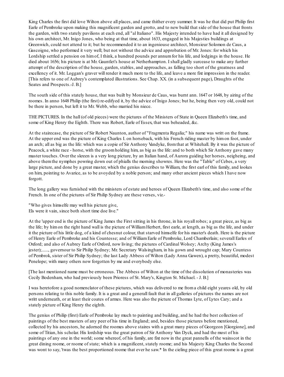King Charles the first did love Wilton above all places, and came thither every summer. It was he that did put Philip first Earle of Pembroke upon making this magnificent garden and grotto, and to new build that side of the house that fronts the garden, with two stately pavilions at each end, all "al Italiano". His Majesty intended to have had it all designed by his own architect, Mr. Inigo Jones, who being at that time, about 1633, engaged in his Majesties buildings at Greenwich, could not attend to it; but he recommended it to an ingeniouse architect, Monsieur Solomon de Caus, a Gascoigne, who performed it very well; but not without the advice and approbation of Mr. Jones: for which his Lordship settled a pension on himof, I think, a hundred pounds per annum for his life, and lodgings in the house. He died about 1656; his picture is at Mr. Gauntlet's house at Netherhampton. I shall gladly surcease to make any further attempt of the description of the house, garden, stables, and approaches, as falling too short of the greatness and excellency of it. Mr. Loggan's graver will render it much more to the life, and leave a more fixt impression in the reader. [This refers to one of Aubrey's contemplated illustrations. See Chap. XX. (in a subsequent page), Draughts of the Seates and Prospects.-J. B.]

The south side of this stately house, that was built by Monsieur de Caus, was burnt ann. 1647 or 1648, by airing of the roomes. In anno 1648 Philip (the first) re-edifyed it, by the advice of Inigo Jones; but he, being then very old, could not be there in person, but left it to Mr. Webb, who married his niece.

THE PICTURES. In the hall (of old pieces) were the pictures of the Ministers of State in Queen Elizabeth's time, and some of King Henry the Eighth. There was Robert, Earle of Essex, that was beheaded, &c.

At the stairecase, the picture of Sir Robert Naunton, author of "Fragmenta Regalia;" his name was writt on the frame. At the upper end was the picture of King Charles I. on horseback, with his French riding master by himon foot, under an arch; all as big as the life: which was a copie of Sir Anthony Vandyke, fromthat at Whitehall. By it was the picture of Peacock, a white race - horse, with the groomholding him, as big as the life: and to both which Sir Anthony gave many master touches. Over the skreen is a very long picture, by an Italian hand, of Aurora guiding her horses, neigheing, and above themthe nymphes powring down out of phialls the morning showres. Here was the "Table" of Cebes, a very large picture, and done by a great master, which the genius describes to William, the first earl of this family, and lookes on him, pointing to Avarice, as to be avoyded by a noble person; and many other ancient pieces which I have now forgott.

The long gallery was furnished with the ministers of estate and heroes of Queen Elizabeth's time, and also some of the French. In one of the pictures of Sir Philip Sydney are these verses, viz.-

"Who gives himselfe may well his picture give, Els were it vain, since both short time doe live."

At the 'upper end is the picture of King James the First sitting in his throne, in his royall robes; a great piece, as big as the life; by himon the right hand wall is the picture of WilliamHerbert, first earle, at length, as big as the life, and under it the picture of his little dog, of a kind of chesnut colour, that starved himselfe for his master's death. Here is the picture of Henry Earle of Pembroke and his Countesse; and of WilliamEarle of Pembroke, Lord Chamberlain; severall Earles of Oxford; and also of Aubrey Earle of Oxford, now living; the pictures of Cardinal Wolsey; Archy (King James's jester);......, governour to Sir Philip Sydney; Mr. Secretary Walsingham, in his gown and wrought cap; Mary Countess of Pembrok, sister of Sir Philip Sydney; the last Lady Abbess of Wilton (Lady Anna Gawen), a pretty, beautiful, modest Penelope; with many others now forgotten by me and everybody else.

[The last mentioned name must be erroneous. The Abbess of Wilton at the time of the dissolution of monasteries was Cecily Bodenham, who had previously been Prioress of St. Mary's, Kington St. Michael. - J. B.]

I was heretofore a good nomenclator of these pictures, which was delivered to me froma child eight yeares old, by old persons relating to this noble family. It is a great and a generall fault that in all galleries of pictures the names are not writt underneath, or at least their coates of armes. Here was also the picture of Thomas Lyte, of Lytes Cary; and a stately picture of King Henry the eighth.

The genius of Philip (first) Earle of Pembroke lay much to painting and building, and he had the best collection of paintings of the best masters of any peer of his time in England; and, besides those pictures before mentioned, collected by his ancestors, he adorned the roomes above staires with a great many pieces of Georgeon [Giorgione], and some of Titian, his scholar. His lordship was the great patron of Sir Anthony Van Dyck, and had the most of his paintings of any one in the world; some whereof, of his family, are fixt now in the great pannells of the wainscot in the great dining roome, or roome of state; which is a magnificent, stately roome; and his Majesty King Charles the Second was wont to say, 'twas the best proportioned roome that ever he saw.\* In the cieling piece of this great roome is a great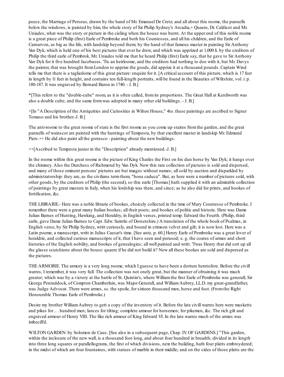peece, the Marriage of Perseus, drawn by the hand of Mr. Emanuel De Cretz; and all about this roome, the pannells below the windows, is painted by him, the whole story of Sir Philip Sydney's Arcadia,+ Quaere, Dr. Caldicot and Mr. Uniades, what was the story or picture in the cieling when the house was burnt. At the upper end of this noble roome is a great piece of Philip (first) Earle of Pembroke and both his Countesses, and all his children, and the Earle of Carnarvon, as big as the life, with landskip beyond them; by the hand of that famous master in painting Sir Anthony Van Dyk, which is held one of his best pictures that ever he drew, and which was apprized at 1,000 li. by the creditors of Philip the third earle of Pembrok. Mr. Uniades told me that he heard Philip (first) Earle say, that he gave to Sir Anthony Van Dyk for it five hundred Jacobuses. 'Tis an heirloome, and the creditors had nothing to doe with it, but Mr. Davys the painter, that was brought fromLondon to apprize the goods, did apprize it at a thousand pounds. Captain Wind tells me that there is a tagliedome of this great picture: enquire for it. [A critical account of this picture, which is 17 feet in length by l1 feet in height, and contains ten full-length portraits, will be found in the Beauties of Wiltshire, vol. i. p. 180-187. It was engraved by Bernard Baron in 1740. - J. B.]

\*[This refers to the "double-cube" room, as it is often called, fromits proportions. The Great Hall at Kenilworth was also a double cube; and the same formwas adopted in many other old buildings. - J. B.]

+[In "A Description of the Antiquities and Curiosities in Wilton House," 4to. these paintings are ascribed to Signer Tomaso and his brother.-J. B.]

The anti-roome to the great roome of state is the first roome as you come up staires fromthe garden, and the great pannells of wainscot are painted with the huntings of Tempesta, by that excellent master in landskip Mr. Edmund Piers.  $+$  He did also paint all the grotesco - painting about the new buildings.

++[Ascribed to Tempesta junior in the "Description" already mentioned.-J. B.]

In the roome within this great roome is the picture of King Charles the First on his dun horse by Van Dyk; it hangs over the chimney. Also the Dutchess of Richmond by Van Dyk. Now this rare collection of pictures is sold and dispersed, and many of those eminent persons' pictures are but images without names; allsold by auction and disparkled by administratorship: they are, as the civilians termthem, "bona caduca". But, as here were a number of pictures sold, with other goods, by the creditors of Philip (the second), so this earle [Thomas] hath supplied it with an admirable collection of paintings by great masters in Italy, when his lordship was there, and since; as he also did for prints, and bookes of fortification, &c.

THE LIBRARIE.- Here was a noble librarie of bookes, choicely collected in the time of Mary Countesse of Pembroke. I remember there were a great many Italian bookes; all their poets; and bookes of politic and historic. Here was Dame Julian Barnes of Hunting, Hawking, and Heraldry, in English verses, printed temp. Edward the Fourth. (Philip, third earle, gave Dame Julian Barnes to Capt. Edw. Saintlo of Dorsetshire.) A translation of the whole book of Psalmes, in English verse, by Sir Philip Sydney, writt curiously, and bound in crimson velvet and gilt; it is now lost. Here was a Latin poeme, a manuscript, writt in Julius Caesar's time. [See ante, p. 60.] Henry Earle of Pembroke was a great lover of heraldrie, and collected curious manuscripts of it, that I have seen and perused; e. g. the coates of armes and short histories of the English nobility, and bookes of genealogies; all well painted and writt. 'Twas Henry that did sett up all the glasse scutchions about the house: quaere if he did not build it? Now all these bookes are sold and dispersed as the pictures.

THE ARMORIE. The armory is a very long roome, which I guesse to have been a dorture heretofore. Before the civill warres, I remember, it was very full. The collection was not onely great, but the manner of obtaining it was much greater; which was by a victory at the battle of St. Quintin's, where Williamthe first Earle of Pembroke was generall, Sir George Penruddock, of Compton Chamberlain, was Major Generall, and WilliamAubrey, LL.D. my great-grandfather, was Judge Advocat. There were armes, sc. the spoile, for sixteen thousand men, horse and foot. (Fromthe Right Honourable Thomas Earle of Pembroke.)

Desire my brother WilliamAubrey to gett a copy of the inventory of it. Before the late civill warres here were musketts and pikes for .. . hundred men; lances for tilting; complete armour for horsemen; for pikemen, &c. The rich gilt and engraved armour of Henry VIII. The like rich armour of King Edward VI. In the late warres much of the armes was imbecill'd.

WILTON GARDEN: by Solomon de Caus. [See also in a subsequent page, Chap. IV. OF GARDENS.] "This garden, within the inclosure of the new wall, is a thousand foot long, and about four hundred in breadth; divided in its length into three long squares or parallellograms, the first of which divisions, next the building, hath four platts embroydered; in the midst of which are four fountaines, with statues of marble in their middle; and on the sides of those platts are the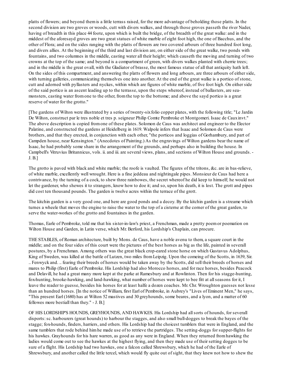platts of flowers; and beyond themis a little terrass raised, for the more advantage of beholding those platts. In the second division are two groves or woods, cutt with divers walkes, and through those groves passeth the river Nader, having of breadth in this place 44 foote, upon which is built the bridge, of the breadth of the great walke: and in the middest of the aforesayd groves are two great statues of white marble of eight foot high, the one of Bacchus, and the other of Flora; and on the sides ranging with the platts of flowers are two covered arbours of three hundred foot long, and divers allies. At the beginning of the third and last division are, on either side of the great walke, two ponds with fountains, and two columnes in the middle, casting water all their height; which causeth the moving and turning of two crowns at the top of the same; and beyond is a compartment of green, with divers walkes planted with cherrie trees; and in the middle is the great ovall, with the Gladiator of brasse, the most famous statue of all that antiquity hath left. On the sides of this compartment, and answering the platts of flowers and long arbours, are three arbours of either side, with turning galleries, communicating themselves one into another. At the end of the great walke is a portico of stone, cutt and adorned with pyllasters and nyckes, within which are figures of white marble, of five foot high. On either side of the said portico is an ascent leading up to the terrasse, upon the steps whereof, instead of ballasters, are seamonsters, casting water fromone to the other, fromthe top to the bottome; and above the sayd portico is a great reserve of water for the grotto."

[The gardens of Wilton were illustrated by a series of twenty-sixfolio copper plates, with the following title; "Le Jardin De Wilton, construct par le tres noble et tres p. seigneur Philip Comte Pembroke et Montgomeri. Isaac de Cauxinvt." The above description is copied fromone of these plates. Solomon de Caus was architect and engineer to the Elector Palatine, and constructed the gardens at Heidelberg in 1619. Walpole infers that Isaac and Solomon de Caus were brothers, and that they erected, in conjunction with each other, "the porticos and loggias of Gorhambury, and part of Campden house, near Kensington." (Anecdotes of Painting.) As the engravings of Wilton gardens bear the name of Isaac, he had probably some share in the arrangement of the grounds, and perhaps also in building the house. In Campbell's Vitruvius Britannicus, vols. ii. and iii. are several views, plans, and sections of Wilton House and grounds. - J. B.]

The grotto is paved with black and white marble; the roofe is vaulted. The figures of the tritons, &c. are in bas-relieve, of white marble, excellently well wrought. Here is a fine jeddeau and nightingale pipes. Monsieur de Caus had here a contrivance, by the turning of a cock, to shew three rainbowes, the secret whereof he did keep to himself; he would not let the gardener, who shewes it to strangers, know how to doe it; and so, upon his death, it is lost. The grott and pipes did cost ten thousand pounds. The garden is twelve acres within the terrace of the grott.

The kitchin garden is a very good one, and here are good ponds and a decoy. By the kitchin garden is a streame which turnes a wheele that moves the engine to raise the water to the top of a cisterne at the corner of the great garden, to serve the water-workes of the grotto and fountaines in the garden.

Thomas, Earle of Pembroke, told me that his sister-in-law's priest, a Frenchman, made a pretty poemor poemation on Wilton House and Garden, in Latin verse, which Mr. Berford, his Lordship's Chaplain, can procure.

THE STABLES, of Roman architecture, built by Mons. de Caus, have a noble avenu to them, a square court in the middle; and on the four sides of this court were the pictures of the best horses as big as the life, painted in severall postures, by a Frenchman. Among others was the great black crop-eared stone horse on which Gustavus Adolphus, King of Sweden, was killed at the battle of Lutzen, two miles fromLeipzig. Upon the comeing of the Scotts, in 1639, Sir. .. Fenwyck and. .. fearing their breeds of horses would be taken away by the Scotts, did sell their breeds of horses and mares to Philip (first) Earle of Pembroke. His Lordship had also Morocco horses, and for race horses, besides Peacock and Delavill, he had a great many more kept at the parke at Ramesbury and at Rowlinton. Then for his stagge-hunting, fox-hunting, brooke-hawking, and land-hawking, what number of horses were kept to bee fitt at allseasons for it, I leave the reader to guesse, besides his horses for at least halfe a dozen coaches. Mr. Chr. Wroughton guesses not lesse than an hundred horses. [In the notice of William, first Earl of Pembroke, in Aubrey's "Lives of Eminent Men," he says, "This present Earl (1680) has at Wilton 52 mastives and 30 greyhounds, some beares, and a lyon, and a matter of 60 fellowes more bestiall than they." - J. B.]

OF HIS LORDSHIP'S HOUNDS, GREYHOUNDS, AND HAWKES. His Lordship had allsorts of hounds, for severall disports:sc. harbourers (great hounds) to harbour the stagges, and also small bull-dogges to break the bayes of the stagge; fox-hounds, finders, harriers, and others. His Lordship had the choicest tumblers that were in England, and the same tumblers that rode behind himhe made use of to retrieve the partridges. The setting-doggs for supper-flights for his hawkes. Grayhounds for his hare warren, as good as any were in England. When they returned fromhawking the ladies would come out to see the hawkes at the highest flying, and then they made use of their setting dogges to be sure of a flight. His Lordship had two hawkes, one a falcon called Shrewsbury, which he had of the Earle of Shrewsbury, and another called the little tercel, which would fly quite out of sight, that they knew not how to shew the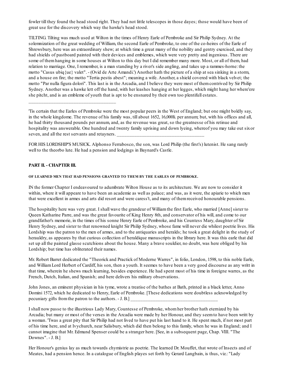fowler till they found the head stood right. They had not little telescopes in those dayes; those would have been of great use for the discovery which way the hawke's head stood.

TILTING. Tilting was much used at Wilton in the times of Henry Earle of Pembroke and Sir Philip Sydney. At the solemnization of the great wedding of William, the second Earle of Pembroke, to one of the co-heires of the Earle of Shrewsbury, here was an extraordinary shew; at which time a great many of the nobility and gentry exercised, and they had shields of pastboard painted with their devices and emblemes, which were very pretty and ingenious. There are some of themhanging in some houses at Wilton to this day but I did remember many more. Most, or all of them, had relation to marriage. One, I remember, is a man standing by a river's side angling, and takes up a rammes-horne: the motto "Casus ubiq{ue} valet". - (Ovid de Arte Amandi.') Another hath the picture of a ship at sea sinking in a storm, and a house on fire; the motto "Tertia pestis abest"; meaning a wife. Another, a shield covered with black velvet; the motto "Par nulla figura dolori". This last is in the Arcadia, and I believe they were most of themcontrived by Sir Philip Sydney. Another was a hawke lett off the hand, with her leashes hanging at her legges, which might hang her where'ere she pitcht, and is an embleme of youth that is apt to be ensnared by their own too plentifull estates.

'Tis certain that the Earles of Pembroke were the most popular peers in the West of England; but one might boldly say, in the whole kingdome. The revenue of his family was, till about 1652, 16,000li. per annum; but, with his offices and all, he had thirty thousand pounds per annum, and, as the revenue was great, so the greatnesse of his retinue and hospitality was answerable. One hundred and twenty family uprising and down lyeing, whereof you may take out sixor seven, and all the rest servants and retayners.

FOR HIS LORDSHIP'S MUSICK. Alphonso Ferrabosco, the son, was Lord Philip (the first's) lutenist. He sang rarely well to the theorbo lute. He had a pension and lodgings in Baynard's Castle.

### **PART II. - CHAPTER III.**

\_\_\_\_\_\_\_\_\_\_\_\_\_\_\_\_\_\_\_\_\_\_\_\_\_\_\_\_\_\_\_\_\_\_\_

#### **OF LEARNED MEN THAT HAD PENSIONS GRANTED TO THEM BY THE EARLES OF PEMBROKE.**

IN the former Chapter I endeavoured to adumbrate Wilton House as to its architecture. We are now to consider it within, where it will appeare to have been an academie as well as palace; and was, as it were, the apiarie to which men that were excellent in armes and arts did resort and were caress't, and many of themreceived honourable pensions.

The hospitality here was very great. I shall wave the grandeur of Williamthe first Earle, who married [Anne] sister to Queen Katharine Parre, and was the great favourite of King Henry 8th, and conservator of his will, and come to our grandfather's memorie, in the times of his sonne Henry Earle of Pembroke, and his Countess Mary, daughter of Sir Henry Sydney, and sister to that renowned knight Sir Philip Sydney, whose fame will never die whilest poetrie lives. His Lordship was the patron to the men of armes, and to the antiquaries and heralds; he took a great delight in the study of herauldry, as appeares by that curious collection of heraldique manuscripts in the library here. It was this earle that did set up all the painted glasse scutchions about the house. Many a brave souldier, no doubt, was here obliged by his Lordship; but time has obliterated their names.

Mr. Robert Barret dedicated the "Theorick and Practick of Moderne Warres", in folio, London, 1598, to this noble Earle, and WilliamLord Herbert of Cardiff, his son, then a youth. It seemes to have been a very good discourse as any writt in that time, wherein he shews much learning, besides experience. He had spent most of his time in foreigne warres, as the French, Dutch, Italian, and Spanish; and here delivers his military observations.

John Jones, an eminent physician in his tyme, wrote a treatise of the bathes at Bath, printed in a black letter, Anno Domini 1572, which he dedicated to Henry, Earle of Pembroke. [These dedications were doubtless acknowledged by pecuniary gifts from the patron to the authors. - J. B.]

I shall now passe to the illustrious Lady Mary, Countesse of Pembroke, whomher brother hath eternized by his Arcadia; but many or most of the verses in the Arcadia were made by her Honour, and they seemto have been writt by a woman. 'Twas a great pity that Sir Philip had not lived to have put his last hand to it. He spent much, if not most part of his time here, and at Ivychurch, near Salisbury, which did then belong to this family, when he was in England; and I cannot imagine that Mr. Edmund Spenser could be a stranger here. [See, in a subsequent page, Chap. VIII. "The Downes". - J. B.]

Her Honour's genius lay as much towards chymistrie as poetrie. The learned Dr. Mouffet, that wrote of Insects and of Meates, had a pension hence. In a catalogue of English playes set forth by Gerard Langbain, is thus, viz.: "Lady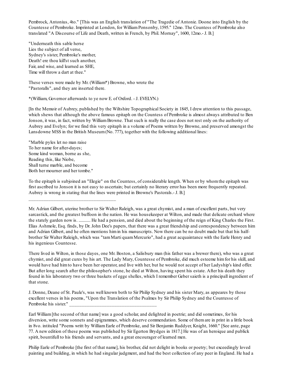Pembrock, Antonius, 4to." [This was an English translation of "The Tragedie of Antonie. Doone into English by the Countesse of Pembroke. Imprinted at London, for WilliamPonsonby, 1595." 12mo. The Countess of Pembroke also translated "A Discourse of Life and Death, written in French, by Phil. Mornay", 1600, 12mo.- J. B.]

"Underneath this sable herse Lies the subject of all verse, Sydney's sister, Pembroke's mother, Death! ere thou kill'st such another, Fair, and wise, and learned as SHE, Time will throw a dart at thee."

These verses were made by Mr. (William\*) Browne, who wrote the "Pastoralls", and they are inserted there.

\*(William, Governor afterwards to ye now E. of Oxford. - J. EVELYN.)

[In the Memoir of Aubrey, published by the Wiltshire Topographical Society in 1845, I drew attention to this passage, which shews that although the above famous epitaph on the Countess of Pembroke is almost always attributed to Ben Jonson, it was, in fact, written by WilliamBrowne. That such is really the case does not rest only on the authority of Aubrey and Evelyn; for we find this very epitaph in a volume of Poems written by Browne, and preserved amongst the Lansdowne MSS in the British Museum(No. 777), together with the following additional lines:

"Marble pyles let no man raise To her name for after-dayes; Some kind woman, borne as she, Reading this, like Niobe, Shall turne marble, and become Both her mourner and her tombe."

\_\_\_\_\_\_\_\_\_\_\_\_\_\_\_\_\_\_\_\_\_\_\_\_\_\_\_\_\_\_\_\_\_\_\_

To the epitaph is subjoined an "Elegie" on the Countess, of considerable length. When or by whomthe epitaph was first ascribed to Jonson it is not easy to ascertain; but certainly no literary error has been more frequently repeated. Aubrey is wrong in stating that the lines were printed in Browne's Pastorals.- J. B.]

Mr. Adrian Gilbert, uterine brother to Sir Walter Raleigh, was a great chymist, and a man of excellent parts, but very sarcastick, and the greatest buffoon in the nation. He was housekeeper at Wilton, and made that delicate orchard where the stately garden now is. ........... He had a pension, and died about the beginning of the reign of King Charles the First. Elias Ashmole, Esq. finds, by Dr. John Dee's papers, that there was a great friendship and correspondency between him and Adrian Gilbert, and he often mentions himin his manuscripts. Now there can be no doubt made but that his halfbrother Sir Walter Raleigh, which was "tamMarti quamMercurio", had a great acquaintance with the Earle Henry and his ingenious Countesse.

There lived in Wilton, in those dayes, one Mr. Boston, a Salisbury man (his father was a brewer there), who was a great chymist, and did great cures by his art. The Lady Mary, Countesse of Pembroke, did much esteeme himfor his skill, and would have had himto have been her operator, and live with her, but he would not accept of her Ladyship's kind offer. But after long search after the philosopher's stone, he died at Wilton, having spent his estate. After his death they found in his laboratory two or three baskets of egge shelles, which I remember Geber saieth is a principall ingredient of that stone.

J. Donne, Deane of St. Paule's, was well known both to Sir Philip Sydney and his sister Mary, as appeares by those excellent verses in his poems, "Upon the Translation of the Psalmes by Sir Philip Sydney and the Countesse of Pembroke his sister."

Earl William [the second of that name] was a good scholar, and delighted in poetrie; and did sometimes, for his diversion, write some sonnets and epigrammes, which deserve commendation. Some of themare in print in a little book in 8vo. intituled "Poems writt by WilliamEarle of Pembroke, and Sir Benjamin Ruddyer, Knight, 1660." [See ante, page 77. A new edition of these poems was published by Sir Egerton Brydges in 1817.] He was of an heroique and publick spirit, bountifull to his friends and servants, and a great encourager of learned men.

Philip Earle of Pembroke [the first of that name], his brother, did not delight in books or poetry; but exceedingly loved painting and building, in which he had singular judgment, and had the best collection of any peer in England. He had a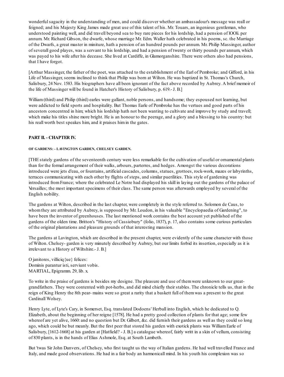wonderfulsagacity in the understanding of men, and could discover whether an ambassadour's message was reall or feigned; and his Majesty King James made great use of this talent of his. Mr. Touars, an ingenious gentleman, who understood painting well, and did travell beyond sea to buy rare pieces for his lordship, had a pension of lOOli. per annum. Mr. Richard Gibson, the dwarfe, whose marriage Mr. Edm. Waller hath celebrated in his poems, sc. the Marriage of the Dwarfs, a great master in miniture, hath a pension of an hundred pounds per annum. Mr. Philip Massinger, author of severall good playes, was a servant to his lordship, and had a pension of twenty or thirty pounds per annum, which was payed to his wife after his decease. She lived at Cardiffe, in Glamorganshire. There were others also had pensions, that I have forgot.

[Arthur Massinger, the father of the poet, was attached to the establishment of the Earl of Pembroke; and Gifford, in his Life of Massinger, seems inclined to think that Philip was born at Wilton. He was baptized in St. Thomas's Church, Salisbury, 24 Nov. 1583. His biographers have all been ignorant of the fact above recorded by Aubrey. A brief memoir of the life of Massinger will be found in Hatcher's History of Salisbury, p. 619.- J. B.]

William (third) and Philip (third) earles were gallant, noble persons, and handsome; they espoused not learning, but were addicted to field sports and hospitality. But Thomas Earle of Pembroke has the vertues and good parts of his ancestors concentred in him; which his lordship hath not been wanting to cultivate and improve by study and travell; which make his titles shine more bright. He is an honour to the peerage, and a glory and a blessing to his country: but his reall worth best speakes him, and it praises himin the gates.

# **PART II. - CHAPTER IV.**

### **OF GARDENS: - LAVINGTON GARDEN, CHELSEY GARDEN.**

[THE stately gardens of the seventeenth century were less remarkable for the cultivation of useful or ornamental plants than for the formal arrangement of their walks, arbours, parterres, and hedges. Amongst the various decorations introduced were jets d'eau, or fountains, artificial cascades, columns, statues, grottoes, rock-work, mazes or labyrinths, terraces communicating with each other by flights of steps, and similar puerilities. This style of gardening was introduced fromFrance; where the celebrated Le Notre had displayed his skill in laying out the gardens of the palace of Versailles; the most important specimens of their class. The same person was afterwards employed by several of the English nobility.

The gardens at Wilton, described in the last chapter, were completely in the style referred to. Solomon de Caus, to whomthey are attributed by Aubrey, is supposed by Mr. Loudon, in his valuable "Encyclopaedia of Gardening", to have been the inventor of greenhouses. The last mentioned work contains the best account yet published of the gardens of the olden time. Britton's "History of Cassiobury" (folio, 1837), p. 17, also contains some curious particulars of the original plantations and pleasure grounds of that interesting mansion.

The gardens at Lavington, which are described in the present chapter, were evidently of the same character with those of Wilton. Chelsey- garden is very minutely described by Aubrey, but our limits forbid its insertion, especially as it is irrelevant to a History of Wiltshire.- J. B.]

O janitores, villiciq{ue} felices: Dominis parantur isti, serviunt vobis. MARTIAL, Epigramm. 29, lib. x.

To write in the praise of gardens is besides my designe. The pleasure and use of themwere unknown to our greatgrandfathers. They were contented with pot-herbs, and did mind chiefly their stables. The chronicle tells us, that in the reign of King Henry the 8th pear- mains were so great a rarity that a baskett full of themwas a present to the great Cardinall Wolsey.

Henry Lyte, of Lyte's Cary, in Somerset, Esq. translated Dodoens' Herball into English, which he dedicated to Q. Elizabeth, about the beginning of her reigne [1578]. He had a pretty good collection of plants for that age; some few whereof are yet alive, 1660: and no question but Dr. Gilbert, &c. did furnish their gardens as well as they could so long ago, which could be but meanly. But the first peer that stored his garden with exotick plants was WilliamEarle of Salisbury, [1612-1668] at his garden at [Hatfield? - J. B.] a catalogue whereof, fairly writt in a skin of vellum, consisting of 830 plants, is in the hands of Elias Ashmole, Esq. at South Lambeth.

But 'twas Sir John Danvers, of Chelsey, who first taught us the way of Italian gardens. He had well travelled France and Italy, and made good observations. He had in a fair body an harmonicall mind. In his youth his complexion was so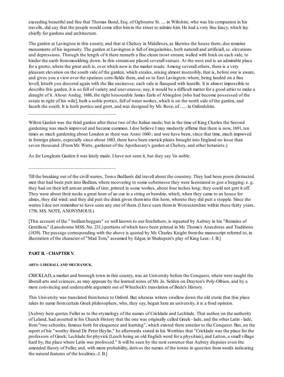exceeding beautiful and fine that Thomas Bond, Esq. of Ogbourne St. .... in Wiltshire, who was his companion in his travells, did say that the people would come after himin the street to admire him. He had a very fine fancy, which lay chiefly for gardens and architecture.

The garden at Lavington in this county, and that at Chelsey in Middlesex, as likewise the house there, doe remaine monuments of his ingenuity. The garden at Lavington is full of irregularities, both naturall and artificiall, sc. elevations and depressions. Through the length of it there runneth a fine cleare trowt stream; walled with brick on each side, to hinder the earth from mouldring down. In this stream are placed severall statues. At the west end is an admirable place for a grotto, where the great arch is, over which now is the market roade. Among severall others, there is a very pleasant elevation on the south side of the garden, which steales, arising almost insensibly, that is, before one is aware, and gives you a view over the spatious corn-fields there, and so to East Lavington: where, being landed on a fine levell, letteth you descend again with the like easinesse; each side is flanqued with laurells. It is almost impossible to describe this garden, it is so full of variety and unevenesse; nay, it would be a difficult matter for a good artist to make a draught of it. About Andeg. 1686, the right honourable James Earle of Abingdon [who had become possessed of the estate in right of his wife], built a noble portico, full of water workes, which is on the north side of the garden, and faceth the south. It is both portico and grott, and was designed by Mr. Rose, of ...... in Oxfordshire.

Wilton Garden was the third garden after these two of the Italian mode; but in the time of King Charles the Second gardening was much improved and became common. I doe believe I may modestly affirme that there is now, 1691, ten times as much gardening about London as there was Anno 1660 ; and wee have been, since that time, much improved in forreign plants, especially since about 1683, there have been exotick plants brought into England no lesse than seven thousand. (FromMr. Watts, gardener of the Apothecary's garden at Chelsey, and other botanists.)

As for Longleate Garden it was lately made. I have not seen it, but they say 'tis noble.

Till the breaking out of the civill warres, Tomo Bedlam's did travell about the countrey. They had been poore distracted men that had been putt into Bedlam, where recovering to some sobernesse they were licentiated to goe a begging: e. g. they had on their left arman armilla of tinn, printed in some workes, about four inches long; they could not gett it off. They wore about their necks a great horn of an oxe in a string or bawdrie, which, when they came to an house for almes, they did wind: and they did putt the drink given theminto this horn, whereto they did putt a stopple. Since the warres I doe not remember to have seen any one of them. (I have seen them in Worcestershire within these thirty years, 1756. MS. NOTE, ANONYMOUS.)

[This account of the " bedlambeggars" so well known to our forefathers, is repeated by Aubrey in his "Remains of Gentilism," (Lansdowne MSS. No. 231,) portions of which have been printed in Mr. Thoms's Anecdotes and Traditions (1839). The passage corresponding with the above is quoted by Mr. Charles Knight fromthe manuscript referred to, in illustration of the character of "Mad Tom," assumed by Edgar, in Shakspere's play of King Lear.- J. B.]

## **PART II. - CHAPTER V.**

## **ARTS: LIBERALL AND MECHANICK.**

\_\_\_\_\_\_\_\_\_\_\_\_\_\_\_\_\_\_\_\_\_\_\_\_\_\_\_\_\_\_\_\_\_\_\_

\_\_\_\_\_\_\_\_\_\_\_\_\_\_\_\_\_\_\_\_\_\_\_\_\_\_\_\_\_\_\_\_\_\_\_

CRICKLAD, a market and borough town in this county, was an University before the Conquest, where were taught the liberall arts and sciences, as may appeare by the learned notes of Mr. Jo. Selden on Drayton's Poly-Olbion, and by a more convincing and undenyable argument out of Wheelock's translation of Bede's History.

This University was translated fromhence to Oxford. But whereas writers swallow down the old storie that this place takes its name fromcertain Greek philosophers, who, they say, began here an university, it is a fond opinion.

[Aubrey here quotes Fuller as to the etymology of the names of Cricklade and Lechlade. That author, on the authority of Leland, had asserted in his Church History that the one was originally called Greek - lade, and the other Latin - lade, from"two schooles, famous both for eloquence and learning", which existed there anterior to the Conquest. But, on the report of his "worthy friend Dr. Peter Heylin," he afterwards stated in his Worthies that "Cricklade was the place for the professors of Greek; Lechlade for physick (Leech being an old English word for a physitian), and Latton, a small village hard by, the place where Latin was professed." It will be seen by the next sentence that Aubrey disputes even the amended theory of Fuller, and, with more probability, derives the names of the towns in question fromwords indicating the natural features of the localities.-J. B.]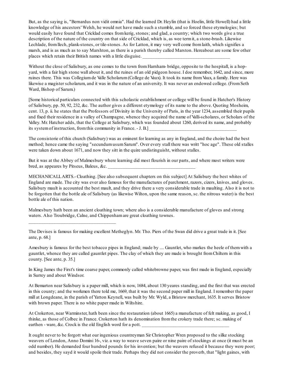But, as the saying is, "Bernardus non vidit omnia". Had the learned Dr. Heylin (that is Hoelin, little Howell) had a little knowledge of his ancestors' Welsh, he would not have made such a stumble, and so forced these etymologies; but would easily have found that Cricklad comes fromkerig, stones; and glad, a country; which two words give a true description of the nature of the country on that side of Cricklad, which is, as wee termit, a stone-brash. Likewise Lechlade, fromllech, plank-stones, or tile-stones. As for Latton, it may very well come fromlaith, which signifies a marsh, and is as much as to say Marshton, as there is a parish thereby called Marston. Hereabout are some few other places which retain their British names with a little disguise.

Without the close of Salisbury, as one comes to the town from Harnham- bridge, opposite to the hospitall, is a hopyard, with a fair high stone wall about it, and the ruines of an old pidgeon house. I doe remember, 1642, and since, more ruines there. This was Collegiumde Valle Scholarum(College de Vaux). It took its name fromVaux, a family. Here was likewise a magister scholarum, and it was in the nature of an university. It was never an endowed college. (FromSeth Ward, Bishop of Sarum.)

[Some historical particulars connected with this scholastic establishment or college will be found in Hatcher's History of Salisbury, pp. 50, 92, 232, &c. The author gives a different etymology of its name to the above. Quoting Mosheim, cent. 13, p. ii. he states that the Professors of Divinity in the University of Paris, in the year 1234, assembled their pupils and fixed their residence in a valley of Champagne, whence they acquired the name of Valli-scholares, or Scholars of the Valley. Mr. Hatcher adds, that the College at Salisbury, which was founded about 1260, derived its name, and probably its system of instruction, from this community in France. - J. B.]

The consistorie of this church (Salisbury) was as eminent for learning as any in England, and the choire had the best method; hence came the saying "secundumusumSarum". Over every stall there was writt "hoc age". These old stalles were taken down about 1671, and now they sitt in the quire undistinguisht, without stalles.

But it was at the Abbey of Malmesbury where learning did most flourish in our parts, and where most writers were bred, as appeares by Pitseus, Baleus, &c.

MECHANICALLARTS.- Cloathing. [See also subsequent chapters on this subject] At Salisbury the best whites of England are made. The city was ever also famous for the manufactures of parchment, razors, cizers, knives, and gloves. Salisbury mault is accounted the best mault, and they drive there a very considerable trade in maulting. Also it is not to be forgotten that the bottle ale of Salisbury (as likewise Wilton, upon the same reason, sc. the nitrous water) is the best bottle ale of this nation.

Malmesbury hath been an ancient cloathing town; where also is a considerable manufacture of gloves and strong waters. Also Troubridge, Calne, and Chippenhamare great cloathing townes.

\_\_\_\_\_\_\_\_\_\_\_\_\_\_\_\_\_\_\_\_\_\_\_\_\_\_\_\_\_\_\_\_\_\_\_

The Devises is famous for making excellent Metheglyn. Mr. Tho. Piers of the Swan did drive a great trade in it. [See ante, p. 68.]

Amesbury is famous for the best tobacco pipes in England; made by .... Gauntlet, who markes the heele of themwith a gauntlet, whence they are called gauntlet pipes. The clay of which they are made is brought fromChiltern in this county. [See ante, p. 35.]

In King James the First's time coarse paper, commonly called whitebrowne paper, was first made in England, especially in Surrey and about Windsor.

At Bemarton near Salisbury is a paper mill, which is now, 1684, about 130 yeares standing, and the first that was erected in this county; and the workmen there told me, 1669, that it was the second paper mill in England. I remember the paper mill at Longdeane, in the parish of Yatton Keynell, was built by Mr. Wyld, a Bristow merchant, 1635. It serves Bristow with brown paper. There is no white paper made in Wiltshire.

At Crokerton, near Warminster, hath been since the restauration (about 1665) a manufacture of felt making, as good, I thinke, as those of Colbec in France. Crokerton hath its denomination fromthe crokery trade there; sc. making of earthen - ware, &c. Crock is the old English word for a pott.

It ought never to be forgott what our ingenious countreyman Sir Christopher Wren proposed to the silke stocking weavers of London, Anno Domini 16-, viz. a way to weave seven paire or nine paire of stockings at once (it must be an odd number). He demanded four hundred pounds for his invention; but the weavers refused it because they were poor; and besides, they sayd it would spoile their trade. Perhaps they did not consider the proverb, that "light gaines, with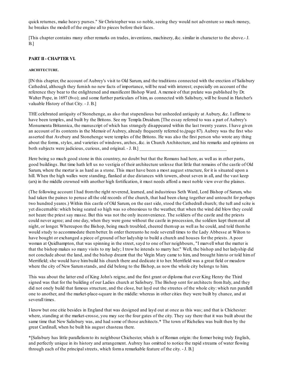quick returnes, make heavy purses." Sir Christopher was so noble, seeing they would not adventure so much money, he breakes the modell of the engine all to pieces before their faces.

[This chapter contains many other remarks on trades, inventions, machinery, &c. similar in character to the above.- J. B.]

### **PART II- CHAPTER VI.**

### **ARCHITECTURE.**

[IN this chapter, the account of Aubrey's visit to Old Sarum, and the traditions connected with the erection of Salisbury Cathedral, although they furnish no new facts of importance, will be read with interest; especially on account of the reference they bear to the enlightened and munificent Bishop Ward. A memoir of that prelate was published by Dr. Walter Pope, in 1697 (8vo); and some further particulars of him, as connected with Salisbury, will be found in Hatcher's valuable History of that City. - J. B.]

THE celebrated antiquity of Stonehenge, as also that stupendious but unheeded antiquity at Aubury, &c. I affirme to have been temples, and built by the Britons. See my Templa Druidum. [The essay referred to was a part of Aubrey's Monumenta Britannica, the manuscript of which has strangely disappeared within the last twenty yeares. I have given an account of its contents in the Memoir of Aubrey, already frequently referred to,(page 87). Aubrey was the first who asserted that Avebury and Stonehenge were temples of the Britons. He was also the first person who wrote any thing about the forms, styles, and varieties of windows, arches, &c. in Church Architecture, and his remarks and opinions on both subjects were judicious, curious, and original. - J. B.]

Here being so much good stone in this countrey, no doubt but that the Romans had here, as well as in other parts, good buildings. But time hath left us no vestigia of their architecture unlesse that little that remains of the castle of Old Sarum, where the mortar is as hard as a stone. This must have been a most august structure, for it is situated upon a hill. When the high walles were standing, flanked at due distances with towers, about seven in all, and the vast keep (arx) in the middle crowned with another high fortification, it must needs afford a most noble view over the plaines.

(The following account I had fromthe right reverend, learned, and industrious Seth Ward, Lord Bishop of Sarum, who had taken the paines to peruse all the old records of the church, that had been clung together and untoucht for perhaps two hundred yeares.) Within this castle of Old Sarum, on the east side, stood the Cathedrall church; the tuft and scite is yet discernable: which being seated so high was so obnoxious to the weather, that when the wind did blow they could not heare the priest say masse. But this was not the only inconvenience. The soldiers of the castle and the priests could never agree; and one day, when they were gone without the castle in procession, the soldiers kept themout all night, or longer. Whereupon the Bishop, being much troubled, cheered themup as well as he could, and told themhe would study to accommodate thembetter. In order thereunto he rode severall times to the Lady Abbesse at Wilton to have bought or exchanged a piece of ground of her ladyship to build a church and houses for the priests. A poor woman at Quidhampton, that was spinning in the street, sayd to one of her neighbours, "I marvell what the matter is that the bishop makes so many visits to my lady; I trow he intends to marry her." Well, the bishop and her ladyship did not conclude about the land, and the bishop dreamt that the Virgin Mary came to him, and brought himto or told himof Merrifield; she would have himbuild his church there and dedicate it to her. Merrifield was a great field or meadow where the city of New Sarumstands, and did belong to the Bishop, as now the whole city belongs to him.

This was about the latter end of King John's reigne, and the first grant or diploma that ever King Henry the Third signed was that for the building of our Ladies church at Salisbury. The Bishop sent for architects from Italy, and they did not onely build that famous structure, and the close, but layd out the streetes of the whole city: which run parallell one to another, and the market-place-square in the middle: whereas in other cities they were built by chance, and at severall times.

I know but one citie besides in England that was designed and layd out at once as this was; and that is Chichester: where, standing at the market-crosse, you may see the four gates of the city. They say there that it was built about the same time that New Salisbury was, and had some of those architects.\* The town of Richelieu was built then by the great Cardinall, when he built his august chasteau there.

\*[Salisbury has little parallelismto its neighbour Chichester, which is of Roman origin: the former being truly English, and perfectly unique in its history and arrangement. Aubrey has omitted to notice the rapid streams of water flowing through each of the principalstreets, which forma remarkable feature of the city. - J. B.]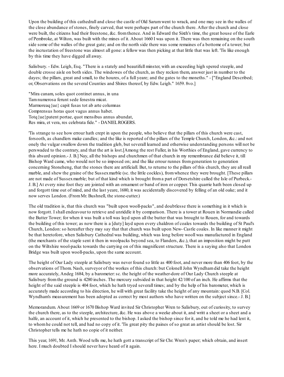Upon the building of this cathedrall and close the castle of Old Sarumwent to wrack, and one may see in the walles of the close abundance of stones, finely carved, that were perhaps part of the church there. After the church and close were built, the citizens had their freestone, &c. fromthence. And in Edward the Sixth's time, the great house of the Earle of Pembroke, at Wilton, was built with the mines of it. About 1660 I was upon it. There was then remaining on the south side some of the walles of the great gate; and on the north side there was some remaines of a bottome of a tower; but the incrustation of freestone was almost all gone: a fellow was then picking at that little that was left. 'Tis like enough by this time they have digged all away.

Salisbury. - Edw. Leigh, Esq. "There is a stately and beautifull minster, with an exceeding high spered steeple, and double crosse aisle on both sides. The windowes of the church, as they reckon them, answer just in number to the dayes; the pillars, great and small, to the houres, of a full yeare; and the gates to the moneths." - ["England Described; or, Observations on the several Counties and Shires thereof, by Edw. Leigh." 1659. 8vo.]

"Mira canam, soles quot continet annus, in una Tamnumerosa ferunt sede fenestra micat. Marmoreaq{ue} capit fusas tot ab arte columnas Comprensus horas quot vagus annus habet. Totq{ue}patent portae, quot mensibus annus abundat, Res mira, et vera, res celebrata fide." - DANIELROGERS.

'Tis strange to see how errour hath crept in upon the people, who believe that the pillars of this church were cast, forsooth, as chandlers make candles; and the like is reported of the pillars of the Temple Church, London, &c.: and not onely the vulgar swallow down the tradition gleb, but severall learned and otherwise understanding persons will not be perswaded to the contrary, and that the art is lost.[Among the rest Fuller, in his Worthies of England, gave currency to this absurd opinion.- J. B.] Nay, all the bishops and churchmen of that church in my remembrance did believe it, till Bishop Ward came, who would not be so imposed on; and the like errour runnes fromgeneration to generation concerning Stoneheng, that the stones there are artificiall. But, to returne to the pillars of this church, they are all reall marble, and shew the graine of the Sussex marble (sc. the little cockles), from whence they were brought. [These pillars are not made of Sussexmarble; but of that kind which is brought froma part of Dorsetshire called the Isle of Purbeck.- J. B.] At every nine foot they are jointed with an ornament or band of iron or copper. This quarrie hath been closed up and forgott time out of mind, and the last yeare, 1680, it was accidentally discovered by felling of an old oake; and it now serves London. (FromMr. Bushnell, the stone-cutter.)

The old tradition is, that this church was "built upon wooll-packs", and doubtlesse there is something in it which is now forgott. I shall endeavour to retrieve and unriddle it by comparison. There is a tower at Rouen in Normandie called the Butter Tower; for when it was built a toll was layd upon all the butter that was brought to Rouen, for and towards the building of this tower; as now there is a [duty] layd upon every chaldron of coales towards the building of St Paul's Church, London:so hereafter they may say that that church was built upon New- Castle coales. In like manner it might be that heretofore, when Salisbury Cathedral was building, which was long before wooll was manufactured in England (the merchants of the staple sent it then in woolpacks beyond sea, to Flanders, &c.), that an imposition might be putt on the Wiltshire wool-packs towards the carrying on of this magnificent structure. There is a saying also that London Bridge was built upon wooll-packs, upon the same account.

The height of Our Lady steeple at Salisbury was never found so little as 400 foot, and never more than 406 foot, by the observations of Thom. Nash, surveyor of the workes of this church: but ColonellJohn Wyndhamdid take the height more accurately, Andeg 1684, by a barometer:sc. the height of the weather-dore of Our Lady Church steeple at Salisbury fromthe ground is 4280 inches. The mercury subsided in that height 42/100 of an inch. He affirms that the height of the said steeple is 404 foot, which he hath tryed severall times; and by the help of his barometer, which is accurately made according to his direction, he will with great facility take the height of any mountain: quod N.B. [Col. Wyndham's measurement has been adopted as correct by most authors who have written on the subject since.- J. B.]

Memorandum. About 1669 or 1670 Bishop Ward invited Sir Christopher Wren to Salisbury, out of curiosity, to survey the church there, as to the steeple, architecture, &c. He was above a weeke about it, and writt a sheet or a sheet and a halfe, an account of it, which he presented to the bishop. I asked the bishop since for it, and he told me he had lent it, to whomhe could not tell, and had no copy of it. 'Tis great pity the paines of so great an artist should be lost. Sir Christopher tells me he hath no copie of it neither.

This year, 1691, Mr. Anth. Wood tells me, he hath gott a transcript of Sir Chr. Wren's paper; which obtain, and insert here. I much doubted I should never have heard of it again.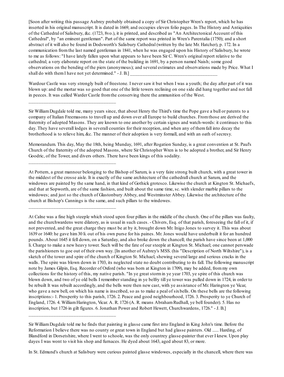[Soon after writing this passage Aubrey probably obtained a copy of Sir Christopher Wren's report, which he has inserted in his original manuscript. It is dated in 1669, and occupies eleven folio pages. In The History and Antiquities of the Cathedral of Salisbury, &c. (1723, 8vo.), it is printed, and described as "An Architectonical Account of this Cathedral", by "an eminent gentleman". Part of the same report was printed in Wren's Parentalia (1750); and a short abstract of it will also be found in Dodsworth's Salisbury Cathedral (written by the late Mr. Hatcher), p. 172. In a communication fromthe last named gentleman in 1841, when he was engaged upon his History of Salisbury, he wrote to me as follows: "I have lately fallen upon what appears to have been Sir C. Wren's original report relative to the cathedral; a very elaborate report on the state of the building in 1691, by a person named Naish; some good observations on the bending of the piers (anonymous); and several estimates and observations made by Price. What I shall do with them I have not yet determined." - J. B.]

Wardour Castle was very strongly built of freestone. I never saw it but when I was a youth; the day after part of it was blown up: and the mortar was so good that one of the little towers reclining on one side did hang together and not fall in peeces. It was called Warder Castle fromthe conserving there the ammunition of the West.

\_\_\_\_\_\_\_\_\_\_\_\_\_\_\_\_\_\_\_\_\_\_\_\_\_\_\_\_\_\_\_\_\_\_\_

\_\_\_\_\_\_\_\_\_\_\_\_\_\_\_\_\_\_\_\_\_\_\_\_\_\_\_\_\_\_\_\_\_\_\_

\_\_\_\_\_\_\_\_\_\_\_\_\_\_\_\_\_\_\_\_\_\_\_\_\_\_\_\_\_\_\_\_\_\_\_

\_\_\_\_\_\_\_\_\_\_\_\_\_\_\_\_\_\_\_\_\_\_\_\_\_\_\_\_\_\_\_\_\_\_\_

Sir WilliamDugdale told me, many years since, that about Henry the Third's time the Pope gave a bull or patents to a company of Italian Freemasons to travell up and down over all Europe to build churches. Fromthose are derived the fraternity of adopted Masons. They are known to one another by certain signes and watch-words: it continues to this day. They have severall lodges in severall counties for their reception, and when any of themfall into decay the brotherhood is to relieve him, &c. The manner of their adoption is very formall, and with an oath of secresy.

Memorandum. This day, May the 18th, being Munday, 1691, after Rogation Sunday, is a great convention at St. Paul's Church of the fraternity of the adopted Masons, where Sir Christopher Wren is to be adopted a brother, and Sir Henry Goodric, of the Tower, and divers others. There have been kings of this sodality.

At Pottern, a great mannour belonging to the Bishop of Sarum, is a very faire strong built church, with a great tower in the middest of the crosse aisle. It is exactly of the same architecture of the cathedrall church at Sarum, and the windowes are painted by the same hand, in that kind of Gothick grotesco. Likewise the church at Kington St. Michael's, and that at Sopworth, are of the same fashion, and built about the same time, sc. with slender marble pillars to the windowes; and just so the church of Glastonbury Abbey, and Westminster Abbey. Likewise the architecture of the church at Bishop's Cannings is the same, and such pillars to the windowes.

At Calne was a fine high steeple which stood upon four pillars in the middle of the church. One of the pillars was faulty, and the churchwardens were dilatory, as is usual in such cases. - Chivers, Esq. of that parish, foreseeing the fall of it, if not prevented, and the great charge they must be at by it, brought down Mr. Inigo Jones to survey it. This was about 1639 or 1640: he gave him30 li. out of his own purse for his paines. Mr. Jones would have underbuilt it for an hundred pounds. About 1645 it fell down, on a Saturday, and also broke down the chancell; the parish have since been at 1,000 li. Charge to make a new heavy tower. Such will be the fate of our steeple at Kington St. Michael; one cannot perswade the parishioners to goe out of their own way. [In another of Aubrey's MSS. (his "Description of North Wiltshire"), is a sketch of the tower and spire of the church of Kington St. Michael, shewing several large and serious cracks in the walls. The spire was blown down in 1703, its neglected state no doubt contributing to its fall. The following manuscript note by James Gilpin, Esq. Recorder of Oxford (who was born at Kington in 1709), may be added, frommy own collections for the history of this, my native parish. "In ye great stormin ye year 1703, ye spire of this church was blown down, and two of ye old bells I remember standing in ye belfry till ye tower was pulled down in 1724, in order to be rebuilt It was rebuilt accordingly, and the bells were then new cast, with ye assistance of Mr. Harington ye Vicar, who gave a new bell, on which his name is inscribed, so as to make a peal of six bells. On these bells are the following inscriptions:- 1. Prosperity to this parish, 1726. 2. Peace and good neighbourhood, 1726. 3. Prosperity to ye Church of England, 1726. 4. WilliamHarington, Vicar. A. R. 1726 (A. R. means AbrahamRudhall, ye bell founder). 5. Has no inscription, but 1726 in gilt figures. 6. Jonathan Power and Robert Hewett, Churchwardens, 1726." - J. B.]

In St. Edmund's church at Salisbury were curious painted glasse windowes, especially in the chancell, where there was

Sir WilliamDugdale told me he finds that painting in glasse came first into England in King John's time. Before the Reformation I believe there was no county or great town in England but had glasse painters. Old ...... Harding, of Blandford in Dorsetshire, where I went to schoole, was the only countrey glasse-painter that ever I knew. Upon play dayes I was wont to visit his shop and furnaces. He dyed about 1643, aged about 83, or more.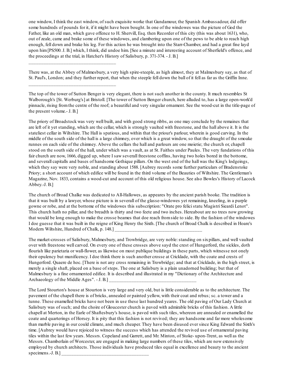one window, I think the east window, of such exquisite worke that Gundamour, the Spanish Ambassadour, did offer some hundreds of pounds for it, if it might have been bought. In one of the windowes was the picture of God the Father, like an old man, which gave offence to H. Shervill, Esq. then Recorder of this city (this was about 1631), who, out of zeale, came and brake some of these windowes, and clambering upon one of the pews to be able to reach high enough, fell down and brake his leg. For this action he was brought into the Starr-Chamber, and had a great fine layd upon him[PS500. J. B.] which, I think, did undoe him. [See a minute and interesting account of Sherfield's offence, and the proceedings at the trial, in Hatcher's History of Salisbury, p. 371-374. - J. B.]

There was, at the Abbey of Malmesbury, a very high spire-steeple, as high almost, they at Malmesbury say, as that of St. Paul's, London; and they further report, that when the steeple fell down the ball of it fell as far as the Griffin Inne.

\_\_\_\_\_\_\_\_\_\_\_\_\_\_\_\_\_\_\_\_\_\_\_\_\_\_\_\_\_\_\_\_\_\_\_

\_\_\_\_\_\_\_\_\_\_\_\_\_\_\_\_\_\_\_\_\_\_\_\_\_\_\_\_\_\_\_\_\_\_\_

The top of the tower of Sutton Benger is very elegant, there is not such another in the county. It much resembles St Walborough's [St. Werburg's] at Bristoll. [The tower of Sutton Benger church, here alluded to, has a large open-work'd pinnacle, rising fromthe centre of the roof; a beautiful and very singular ornament. See the wood-cut in the title-page of the present volume.- J. B.]

The priory of Broadstock was very well built, and with good strong ribbs, as one may conclude by the remaines that are left of it yet standing, which are the cellar, which is strongly vaulted with freestone, and the hall above it. It is the stateliest cellar in Wiltshire. The Hall is spatious, and within that the priour's parlour, wherein is good carving. In the middle of the south side of the hall is a large chimney, over which is a great window, so that the draught of the smoake runnes on each side of the chimney. Above the cellars the hall and parlours are one moietie; the church or, chapell stood on the south side of the hall, under which was a vault, as at St. Faithes under Paules. The very fundations of this fair church are now, 1666, digged up, where I saw severall freestone coffins, having two holes bored in the bottome, and severall capitalls and bases of handsome Gothique pillars. On the west end of the hall was the King's lodgeings, which they say were very noble, and standing about 1588. [Aubrey records some further particulars of Bradenstoke Priory; a short account of which edifice will be found in the third volume of the Beauties of Wiltshire. The Gentleman's Magazine, Nov. 1833, contains a wood-cut and account of this old religious house. See also Bowles's History of Lacock Abbey.-J. B.]

The church of Broad Chalke was dedicated to All-Hallowes, as appeares by the ancient parish booke. The tradition is that it was built by a lawyer, whose picture is in severall of the glasse-windowes yet remaining, kneeling, in a purple gowne or robe, and at the bottome of the windowes this subscription: "Orate pro felicistatu Magistri Sieardi Lenot". This church hath no pillar, and the breadth is thirty and two feete and two inches. Hereabout are no trees now growing that would be long enough to make the crosse beames that doe reach fromside to side. By the fashion of the windowes I doe guesse that it was built in the reigne of King Henry the Sixth. [The church of Broad Chalk is described in Hoare's Modern Wiltshire, Hundred of Chalk, p. 148.]

The market-crosses of Salisbury, Malmesbury, and Trowbridge, are very noble:standing on sixpillars, and well vaulted over with freestone well carved. On every one of these crosses above sayd the crest of Hungerford, the sickles, doth flourish like parietaria or wall-flower, as likewise on most publique buildings in these parts, which witnesse not onely their opulency but munificency. I doe think there is such another crosse at Cricklade, with the coate and crests of Hungerford. Quaere de hoc. [There is not any cross remaining in Trowbridge; and that at Cricklade, in the high street, is merely a single shaft, placed on a base of steps. The one at Salisbury is a plain unadorned building; but that of Malmesbury is a fine ornamented edifice. It is described and illustrated in my "Dictionary of the Architecture and Archaeology of the Middle Ages" $. - J. B.$ 

The Lord Stourton's house at Stourton is very large and very old, but is little considerable as to the architecture. The pavement of the chapell there is of bricks, annealed or painted yellow, with their coat and rebus; sc. a tower and a tunne. These enamelled bricks have not been in use these last hundred yeares. The old paving of Our Lady Church at Salisbury was of such; and the choire of Gloucester church is paved with admirable bricks of this fashion. A little chapell at Merton, in the Earle of Shaftesbury's house, is paved with such tiles, whereon are annealed or enamelled the coate and quarterings of Horsey. It is pity that this fashion is not revived; they are handsome and far more wholesome than marble paving in our could climate, and much cheaper. They have been disused ever since King Edward the Sixth's time. [Aubrey would have rejoiced to witness the success which has attended the revived use of ornamental paving tiles within the last few years. Messrs. Copeland and Garrett, and Mr. Minton, of Stoke- upon-Trent, as well as the Messrs. Chamberlain of Worcester, are engaged in making large numbers of these tiles, which are now extensively employed by church architects. Those individuals have produced tiles equal in excellence and beauty to the ancient specimens.-J.  $B$ .]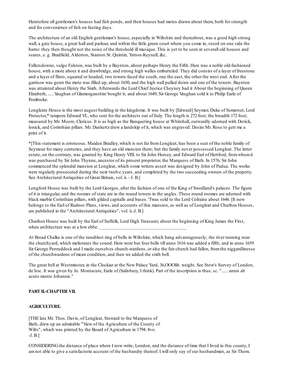Heretofore all gentlemen's houses had fish ponds, and their houses had motes drawn about them, both for strength and for convenience of fish on fasting days.

The architecture of an old English gentleman's house, especially in Wiltshire and thereabout, was a good high strong wall, a gate house, a great hall and parlour, and within the little green court where you come in, stood on one side the barne: they then thought not the noise of the threshold ill musique. This is yet to be seen at severall old houses and seates, e. g. Bradfield, Alderton, Stanton St. Quintin, Yatton-Keynell, &c.

Fallersdowne, vulgo Falston, was built by a Baynton, about perhaps Henry the Fifth. Here was a noble old-fashioned house, with a mote about it and drawbridge, and strong high walles embatteled. They did consist of a layer of freestone and a layer of flints, squared or headed; two towers faced the south, one the east, the other the west end. After the garrison was gonn the mote was filled up, about 1650, and the high wall pulled down and one of the towers. Baynton was attainted about Henry the Sixth. Afterwards the Lord Chief Justice Cheyney had it About the beginning of Queen Elizabeth, ..... Vaughan of Glamorganshire bought it; and about 1649, Sir George Vaughan sold it to Philip Earle of Pembroke.

Longleate House is the most august building in the kingdome. It was built by [Edward] Seymor, Duke of Somerset, Lord Protector,\* tempore Edward VI., who sent for the architects out of Italy. The length is 272 foot, the breadth 172 foot; measured by Mr. Moore, Clericus. It is as high as the Banqueting house at Whitehall, outwardly adorned with Dorick, lonick, and Corinthian pillars. Mr. Dankertz drew a landskip of it, which was engraved. Desire Mr. Rose to gett me a print of it.

\*[This statement is erroneous. Maiden Bradley, which is not far fromLongleat, has been a seat of the noble family of Seymour for many centuries, and they have an old mansion there; but the family never possessed Longleat. The latter estate, on the contrary, was granted by King Henry VIII. to Sir John Horsey, and Edward Earl of Hertford, fromwhomit was purchased by Sir John Thynne, ancestor of its present proprietor, the Marquess of Bath. In 1576, Sir John commenced the splendid mansion at Longleat, which some writers assert was designed by John of Padua. The works were regularly prosecuted during the next twelve years, and completed by the two succeeding owners of the property. See Architectural Antiquities of Great Britain, vol. ii. - J. B.]

Longford House was built by the Lord Georges, after the fashion of one of the King of Swedland's palaces. The figure of it is triangular, and the roomes of state are in the round towers in the angles. These round roomes are adorned with black marble Corinthian pillars, with gilded capitalls and bases. 'Twas sold to the Lord Colraine about 1646. [It now belongs to the Earl of Radnor. Plans, views, and accounts of this mansion, as well as of Longleat and Charlton Houses, are published in the "Architectural Antiquities", vol. ii.-J. B.]

Charlton House was built by the Earl of Suffolk, Lord High Treasurer, about the beginning of King James the First, when architecture was at a low ebbe.

At Broad Chalke is one of the tunablest ring of bells in Wiltshire, which hang advantageously; the river running near the churchyard, which meliorates the sound. Here were but four bells till anno 1616 was added a fifth; and in anno 1659 Sir George Penruddock and I made ourselves church-wardens, or else the fair church had fallen, fromthe niggardlinesse of the churchwardens of mean condition, and then we added the sixth bell.

The great bell at Westminster, in the Clockiar at the New Palace Yard, 36,OOOlib. weight. See Stow's Survey of London, de hoc. It was given by Jo. Montacute, Earle of (Salisbury, I think). Part of the inscription is thus, sc. "...... annis ab acuto monte Johannis."

# **PART II.-CHAPTER VII.**

## **AGRICULTURE.**

[THE late Mr. Thos. Davis, of Longleat, Steward to the Marquess of Bath, drew up an admirable "View of the Agriculture of the County of Wilts", which was printed by the Board of Agriculture in 1794. 8vo. -J. B.]

CONSIDERINGthe distance of place where I now write, London, and the distance of time that I lived in this county, I amnot able to give a satisfactorie account of the husbandry thereof. I will only say of our husbandmen, as Sir Thom.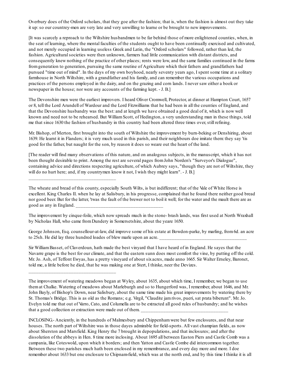Overbury does of the Oxford scholars, that they goe after the fashion; that is, when the fashion is almost out they take it up:so our countrey-men are very late and very unwilling to learne or be brought to new improvements.

[It was scarcely a reproach to the Wiltshire husbandmen to be far behind those of more enlightened counties, when, in the seat of learning, where the mental faculties of the students ought to have been continually exercised and cultivated, and not merely occupied in learning useless Greek and Latin, the "Oxford scholars" followed, rather than led, the fashion. Agricultural societies were then unknown, farmers had little communication with distant districts, and consequently knew nothing of the practice of other places; rents were low, and the same families continued in the farms fromgeneration to generation, pursuing the same routine of Agriculture which their fathers and grandfathers had pursued "time out of mind". In the days of my own boyhood, nearly seventy years ago, I spent some time at a solitary farmhouse in North Wiltshire, with a grandfather and his family, and can remember the various occupations and practices of the persons employed in the dairy, and on the grazing and corn lands. I never saw either a book or newspaper in the house; nor were any accounts of the farming kept. - J. B.]

The Devonshire men were the earliest improvers. I heard Oliver Cromwell, Protector, at dinner at Hampton Court, 1657 or 8, tell the Lord Arundell of Wardour and the Lord Fitzwilliams that he had been in all the counties of England, and that the Devonshire husbandry was the best: and at length we have obtained a good deal of it, which is now well known and need not to be rehearsed. But WilliamScott, of Hedington, a very understanding man in these things, told me that since 1630 the fashion of husbandry in this country had been altered three times over, still refining.

Mr. Bishop, of Merton, first brought into the south of Wiltshire the improvement by burn-beking or Denshiring, about 1639. He learnt it in Flanders; it is very much used in this parish, and their neighbours doe imitate them: they say 'tis good for the father, but naught for the son, by reason it does so weare out the heart of the land.

[The reader will find many observations of this nature, and on analogous subjects, in the manuscript, which it has not been thought desirable to print. Among the rest are several pages fromJohn Norden's "Surveyor's Dialogue", containing advice and directions respecting agriculture, of which Aubrey says, "though they are not of Wiltshire, they will do no hurt here; and, if my countrymen know it not, I wish they might learn". - J. B.]

\_\_\_\_\_\_\_\_\_\_\_\_\_\_\_\_\_\_\_\_\_\_\_\_\_\_\_\_\_\_\_\_\_\_\_

\_\_\_\_\_\_\_\_\_\_\_\_\_\_\_\_\_\_\_\_\_\_\_\_\_\_\_\_\_\_\_\_\_\_\_

The wheate and bread of this county, especially South Wilts, is but indifferent; that of the Vale of White Horse is excellent. King Charles II. when he lay at Salisbury, in his progresse, complained that he found there neither good bread nor good beer. But for the latter, 'twas the fault of the brewer not to boil it well; for the water and the mault there are as good as any in England.

The improvement by cinque-foile, which now spreads much in the stone- brash lands, was first used at North Wraxhall by Nicholas Hall, who came fromDundery in Somersetshire, about the yeare 1650.

George Johnson, Esq. counsellour-at-law, did improve some of his estate at Bowdon-parke, by marling, from6d. an acre to 25sh. He did lay three hundred loades of blew marle upon an acre.

Sir WilliamBasset, of Claverdoun, hath made the best vinyard that I have heard of in England. He sayes that the Navarre grape is the best for our climate, and that the eastern sunn does most comfort the vine, by putting off the cold. Mr. Jo. Ash, of Teffont Ewyas, has a pretty vineyard of about sixacres, made anno 1665. Sir Walter Erneley, Baronet, told me, a little before he died, that he was making one at Stert, I thinke, neer the Devizes.

The improvement of watering meadows began at Wyley, about 1635, about which time, I remember, we began to use themat Chalke. Watering of meadows about Marleburgh and so to Hungerford was, I remember, about 1646, and Mr. John Bayly, of Bishop's Down, near Salisbury, about the same time made his great improvements by watering there by St. Thomas's Bridge. This is as old as the Romans; e.g. Virgil, "Claudite jamrivos, pueri, sat prata biberunt". Mr. Jo. Evelyn told me that out of Varro, Cato, and Columella are to be extracted all good rules of husbandry; and he wishes that a good collection or extraction were made out of them.

INCLOSING.- Anciently, in the hundreds of Malmesbury and Chippenhamwere but few enclosures, and that near houses. The north part of Wiltshire was in those dayes admirable for field-sports. All vast champian fields, as now about Sherston and Marsfield. King Henry the 7 brought in depopulations, and that inclosures; and after the dissolution of the abbeys in Hen. 8 time more inclosing. About 1695 all between Easton Piers and Castle Comb was a campania, like Coteswold, upon which it borders; and then Yatton and Castle Combe did intercommon together. Between these two parishes much hath been enclosed in my remembrance, and every day more and more. I doe remember about 1633 but one enclosure to Chipnam-field, which was at the north end, and by this time I thinke it is all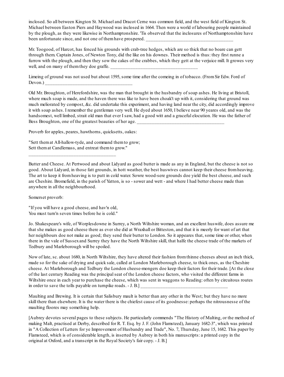inclosed. So all between Kington St. Michael and Dracot Cerne was common field, and the west field of Kington St. Michael between Easton Piers and Haywood was inclosed in 1664. Then were a world of labouring people maintained by the plough, as they were likewise in Northamptonshire. 'Tis observed that the inclosures of Northamptonshire have been unfortunate since, and not one of them have prospered.

Mr. Toogood, of Harcot, has fenced his grounds with crab-tree hedges, which are so thick that no boare can gett through them. Captain Jones, of Newton Tony, did the like on his downes. Their method is thus: they first runne a furrow with the plough, and then they sow the cakes of the crabbes, which they gett at the verjuice mill. It growes very well, and on many of them they doe graffe.

Limeing of ground was not used but about 1595, some time after the comeing in of tobacco. (FromSir Edw. Ford of  $Devon.$ )

Old Mr. Broughton, of Herefordshire, was the man that brought in the husbandry of soap ashes. He living at Bristoll, where much soap is made, and the haven there was like to have been choak't up with it, considering that ground was much meliorated by compost, &c. did undertake this experiment, and having land near the city, did accordingly improve it with soap ashes. I remember the gentleman very well. He dyed about 1650, I believe near 90 yeares old, and was the handsomest, well limbed, strait old man that ever I saw, had a good witt and a graceful elocution. He was the father of Bess Broughton, one of the greatest beauties of her age.

Proverb for apples, peares, hawthorns, quicksetts, oakes:

"Sett themat All-hallow-tyde, and command themto grow; Sett themat Candlemass, and entreat themto grow."

Butter and Cheese. At Pertwood and about Lidyard as good butter is made as any in England, but the cheese is not so good. About Lidyard, in those fatt grounds, in hott weather, the best huswives cannot keep their cheese fromheaving. The art to keep it fromheaving is to putt in cold water. Sowre wood-sere grounds doe yield the best cheese, and such are Cheshire. Bromefield, in the parish of Yatton, is so - sower and wett - and where I had better cheese made than anywhere in all the neighbourhood.

Somerset proverb:

"If you will have a good cheese, and hav'n old, You must turn'n seven times before he is cold."

\_\_\_\_\_\_\_\_\_\_\_\_\_\_\_\_\_\_\_\_\_\_\_\_\_\_\_\_\_\_\_\_\_\_\_

Jo. Shakespeare's wife, of Worplesdowne in Surrey, a North Wiltshire woman, and an excellent huswife, does assure me that she makes as good cheese there as ever she did at Wraxhall or Bitteston, and that it is meerly for want of art that her neighbours doe not make as good; they send their butter to London. So it appeares that, some time or other, when there in the vale of Sussexand Surrey they have the North Wiltshire skill, that halfe the cheese trade of the markets of Tedbury and Marleborough will be spoiled.

Now of late, sc. about 1680, in North Wiltshire, they have altered their fashion fromthinne cheeses about an inch thick, made so for the sake of drying and quick sale, called at London Marleborough cheese, to thick ones, as the Cheshire cheese. At Marleborough and Tedbury the London cheese-mongers doe keep their factors for their trade. [At the close of the last century Reading was the principalseat of the London cheese factors, who visited the different farms in Wiltshire once in each year to purchase the cheese, which was sent in waggons to Reading: often by circuitous routes in order to save the tolls payable on turnpike roads. - J. B.]

Maulting and Brewing. It is certain that Salisbury mault is better than any other in the West; but they have no more skill there than elsewhere. It is the water there is the chiefest cause of its goodnesse: perhaps the nitrousnesse of the maulting floores may something help.

[Aubrey devotes several pages to these subjects. He particularly commends "The History of Malting, or the method of making Malt, practised at Derby, described for R. T. Esq. by J. F. (John Flamsteed), January 1682-3", which was printed in "A Collection of Letters for ye Improvement of Husbandry and Trade", No. 7, Thursday, June 15, 1682. This paper by Flamsteed, which is of considerable length, is inserted by Aubrey in both his manuscripts: a printed copy in the original at Oxford, and a transcript in the Royal Society's fair copy. - J. B.]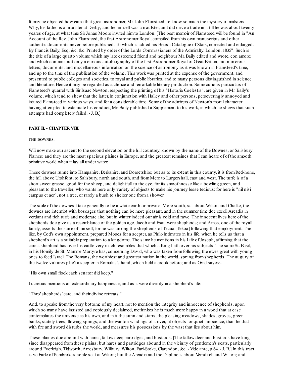It may be objected how came that great astronomer, Mr. John Flamsteed, to know so much the mystery of malsters. Why, his father is a maulster at Derby; and he himself was a maulster, and did drive a trade in it till he was about twenty yeares of age, at what time Sir Jonas Moore invited himto London. [The best memoir of Flamsteed will be found in "An Account of the Rev. John Flamsteed, the first Astronomer Royal, compiled fromhis own manuscripts and other authentic documents never before published. To which is added his British Catalogue of Stars, corrected and enlarged. By Francis Baily, Esq. &c. &c. Printed by order of the Lords Commissioners of the Admiralty. London, 1835". Such is the title of a large quarto volume which my late esteemed friend and neighbour Mr. Baily edited and wrote, con amore; and which contains not only a curious autobiography of the first Astronomer Royal of Great Britain, but numerous letters, documents, and miscellaneous information on the science of astronomy as it was known in Flamsteed's time, and up to the time of the publication of the volume. This work was printed at the expense of the government, and presented to public colleges and societies, to royal and public libraries, and to many persons distinguished in science and literature. Hence it may be regarded as a choice and remarkable literary production. Some curious particulars of Flamsteed's quarrel with Sir Isaac Newton, respecting the printing of his "Historia Coelestis", are given in Mr. Baily's volume, which tend to shew that the latter, in conjunction with Halley and other persons, perseveringly annoyed and injured Flamsteed in various ways, and for a considerable time. Some of the admirers of Newton's moral character having attempted to extenuate his conduct, Mr. Baily published a Supplement to his work, in which he shews that such attempts had completely failed. - J. B.]

## **PART II. - CHAPTER VIII.**

### **THE DOWNES.**

WE now make our ascent to the second elevation or the hill countrey, known by the name of the Downes, or Salisbury Plaines; and they are the most spacious plaines in Europe, and the greatest remaines that I can heare of of the smooth primitive world when it lay all under water.

These downes runne into Hampshire, Berkshire, and Dorsetshire; but as to its extent in this county, it is fromRed-hone, the hill above Urshfont, to Salisbury, north and south, and fromMere to Lurgershall, east and west. The turfe is of a short sweet grasse, good for the sheep, and delightfull to the eye, for its smoothnesse like a bowling green, and pleasant to the traveller; who wants here only variety of objects to make his journey lesse tedious: for here is "nil nisi campus et aer", not a tree, or rarely a bush to shelter one froma shower.

The soile of the downes I take generally to be a white earth or mawme. More south, sc. about Wilton and Chalke, the downes are intermixt with boscages that nothing can be more pleasant, and in the summer time doe excell Arcadia in verdant and rich turfe and moderate aire, but in winter indeed our air is cold and rawe. The innocent lives here of the shepherds doe give us a resemblance of the golden age. Jacob and Esau were shepherds; and Amos, one of the royall family, asserts the same of himself, for he was among the shepherds of Tecua [Tekoa] following that employment. The like, by God's own appointment, prepared Moses for a scepter, as Philo intimates in his life, when he tells us that a shepherd's art is a suitable preparation to a kingdome. The same he mentions in his Life of Joseph, affirming that the care a shepherd has over his cattle very much resembles that which a King hath over his subjects. The same St. Basil, in his Homily de St. Mamme Martyre has, concerning David, who was taken fromfollowing the ewes great with young ones to feed Israel. The Romans, the worthiest and greatest nation in the world, sprang fromshepherds. The augury of the twelve vultures plac't a scepter in Romulus's hand, which held a crook before; and as Ovid sayes:-

"His own small flock each senator did keep."

Lucretius mentions an extraordinary happinesse, and as it were divinity in a shepherd's life: -

"Thro' shepherds' care, and their divine retreats."

And, to speake fromthe very bottome of my heart, not to mention the integrity and innocence of shepherds, upon which so many have insisted and copiously declaimed, methinkes he is much more happy in a wood that at ease contemplates the universe as his own, and in it the sunn and starrs, the pleasing meadows, shades, groves, green banks, stately trees, flowing springs, and the wanton windings of a river, fit objects for quiet innocence, than he that with fire and sword disturbs the world, and measures his possessions by the wast that lies about him.

These plaines doe abound with hares, fallow deer, partridges, and bustards. [The fallow deer and bustards have long since disappeared from these plains; but hares and partridges abound in the vicinity of gentlemen's seats, particularly around Everleigh, Tidworth, Amesbury, Wilbury, Wilton, Earl-Stoke, Clarendon, &c. - Vide ante, p.64. - J. B.] In this tract is ye Earle of Pembroke's noble seat at Wilton; but the Arcadia and the Daphne is about Vernditch and Wilton; and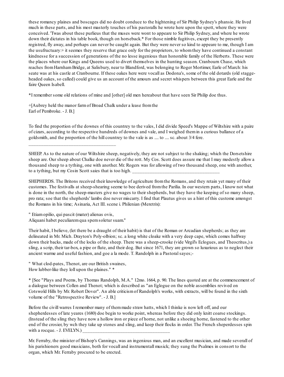these romancy plaines and boscages did no doubt conduce to the hightening of Sir Philip Sydney's phansie. He lived much in these parts, and his most masterly touches of his pastoralls he wrote here upon the spott, where they were conceived. 'Twas about these purlieus that the muses were wont to appeare to Sir Philip Sydney, and where he wrote down their dictates in his table book, though on horseback.\* For those nimble fugitives, except they be presently registred, fly away, and perhaps can never be caught again. But they were never so kind to appeare to me, though I am the usufructuary:+ it seemes they reserve that grace only for the proprietors, to whomthey have continued a constant kindnesse for a succession of generations of the no lesse ingenious than honorable family of the Herberts. These were the places where our Kings and Queens used to divert themselves in the hunting season. Cranbourn Chase, which reaches fromHarnhamBridge, at Salisbury, near to Blandford, was belonging to Roger Mortimer, Earle of March: his seate was at his castle at Cranbourne. If these oakes here were vocall as Dodona's, some of the old dotards (old staggeheaded oakes, so called) could give us an account of the amours and secret whispers between this great Earle and the faire Queen Isabell.

\*I remember some old relations of mine and [other] old men hereabout that have seen Sir Philip doe thus.

+[Aubrey held the manor farmof Broad Chalk under a lease fromthe Earl of Pembroke. - J. B.]

To find the proportion of the downes of this countrey to the vales, I did divide Speed's Mappe of Wiltshire with a paire of cizars, according to the respective hundreds of downes and vale, and I weighed themin a curious ballance of a goldsmith, and the proportion of the hill countrey to the vale is as .... to .... sc. about 3/4 fere.

SHEEP. As to the nature of our Wiltshire sheep, negatively, they are not subject to the shaking; which the Dorsetshire sheep are. Our sheep about Chalke doe never die of the rott. My Cos. Scott does assure me that I may modestly allow a thousand sheep to a tything, one with another. Mr. Rogers was for allowing of two thousand sheep, one with another, to a tything, but my Cosin Scott saies that is too high.

SHEPHERDS. The Britons received their knowledge of agriculture fromthe Romans, and they retain yet many of their customes. The festivalls at sheep-shearing seeme to bee derived fromthe Parilia. In our western parts, I know not what is done in the north, the sheep-masters give no wages to their shepherds, but they have the keeping of so many sheep, pro rata; soe that the shepherds' lambs doe never miscarry. I find that Plautus gives us a hint of this custome amongst the Romans in his time; Asinaria, Act III. scene i. Philenian (Meretrix):

" Etiamopilio, qui pascit (mater) alienas ovis,

\_\_\_\_\_\_\_\_\_\_\_\_\_\_\_\_\_\_\_\_\_\_\_\_\_\_\_\_\_\_\_\_\_\_\_

Aliquani habet peculiaremqua spemsoletur suam.''

Their habit, I believe, (let there be a draught of their habit) is that of the Roman or Arcadian shepherds; as they are delineated in Mr. Mich. Drayton's Poly-olbion; sc. a long white cloake with a very deep cape, which comes halfway down their backs, made of the locks of the sheep. There was a sheep-crooke (vide Virgil's Eclogues, and Theocritus,) a sling, a scrip, their tar-box, a pipe or flute, and their dog. But since 1671, they are grown so luxurious as to neglect their ancient warme and useful fashion, and goe a la mode. T. Randolph in a Pastoralsayes;-

" What clod-pates, Thenot, are our British swaines, How lubber-like they loll upon the plaines." \*

\* [See "Plays and Poems, by Thomas Randolph, M.A." 12mo. 1664, p. 90. The lines quoted are at the commencement of a dialogue between Collen and Thenot; which is described as "an Eglogue on the noble assemblies revived on Cotswold Hills by Mr. Robert Dover". An able criticismof Randolph's works, with extracts, will be found in the sixth volume of the "Retrospective Review". - J. B.]

Before the civill warres I remember many of themmade straw hatts, which I thinke is now left off, and our shepherdesses of late yeares (1680) doe begin to worke point, whereas before they did only knitt coarse stockings. (Instead of the sling they have now a hollow iron or piece of horne, not unlike a shoeing horne, fastened to the other end of the crosier, by wch they take up stones and sling, and keep their flocks in order. The French sheperdesses spin with a rocque. - J. EVELYN.)

Mr. Ferraby, the minister of Bishop's Cannings, was an ingenious man, and an excellent musician, and made severall of his parishioners good musicians, both for vocall and instrumentall musick; they sung the Psalmes in consort to the organ, which Mr. Ferraby procured to be erected.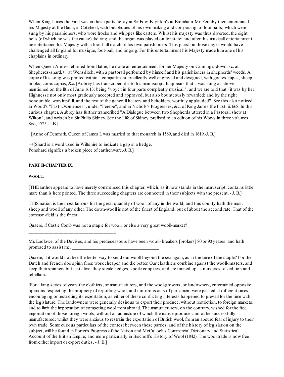When King James the First was in these parts he lay at Sir Edw. Baynton's at Bromham. Mr. Ferraby then entertained his Majesty at the Bush, in Cotefield, with bucoliques of his own making and composing, of four parts; which were sung by his parishioners, who wore frocks and whippes like carters. Whilst his majesty was thus diverted, the eight bells (of which he was the cause) did ring, and the organ was played on for state; and after this musicall entertainment he entertained his Majesty with a foot-ball match of his own parishioners. This parish in those dayes would have challenged all England for musique, foot-ball, and ringing. For this entertainment his Majesty made himone of his chaplains in ordinary.

When Queen Anne+ returned fromBathe, he made an entertainment for her Majesty on Canning's-down, sc. at Shepherds-shard,++ at Wensditch, with a pastorall performed by himself and his parishioners in shepherds' weeds. A copie of his song was printed within a compartment excellently well engraved and designed, with goates, pipes, sheep hooks, cornucopias, &c. [Aubrey has transcribed it into his manuscript. It appears that it was sung as above mentioned on the llth of June 1613; being "voyc't in four parts compleatly musicall"; and we are told that "it was by her Highnesse not only most gratiously accepted and approved, but also bounteously rewarded; and by the right honourable, worshipfull, and the rest of the generall hearers and beholders, worthily applauded". See this also noticed in Wood's "Fasti Oxonienses", under "Ferebe", and in Nichols's Progresses, &c. of King James the First, ii. 668. In this curious chapter, Aubrey has further transcribed "A Dialogue between two Shepherds uttered in a Pastorallshew at Wilton", and written by Sir Philip Sidney. See the Life of Sidney, prefixed to an edition of his Works in three volumes, 8vo, 1725.-J. B.]

+[Anne of Denmark, Queen of James I. was married to that monarch in 1589, and died in 1619.-J. B.]

 $+$ [Shard is a word used in Wiltshire to indicate a gap in a hedge. Ponshard signifies a broken piece of earthenware.-J. B.]

\_\_\_\_\_\_\_\_\_\_\_\_\_\_\_\_\_\_\_\_\_\_\_\_\_\_\_\_\_\_\_\_\_\_\_

# **PART II-CHAPTER IX.**

## **WOOLL.**

[THE author appears to have merely commenced this chapter; which, as it now stands in the manuscript, contains little more than is here printed. The three succeeding chapters are connected in their subjects with the present. - J. B.]

THIS nation is the most famous for the great quantity of wooll of any in the world; and this county hath the most sheep and wooll of any other. The down-wooll is not of the finest of England, but of about the second rate. That of the common-field is the finest.

Quaere, if Castle Comb was not a staple for wooll, or else a very great wooll-market?

Mr. Ludlowe, of the Devises, and his predecessours have been wooll- breakers [brokers] 80 or 90 yeares, and hath promised to assist me.

Quaere, if it would not bee the better way to send our wooll beyond the sea again, as in the time of the staple? For the Dutch and French doe spinn finer, work cheaper, and die better. Our cloathiers combine against the wooll-masters, and keep their spinners but just alive: they steale hedges, spoile coppices, and are trained up as nurseries of sedition and rebellion.

[For a long series of years the clothiers, or manufacturers, and the wool-growers, or landowners, entertained opposite opinions respecting the propriety of exporting wool; and numerous acts of parliament were passed at different times encouraging or restricting its exportation, as either of these conflicting interests happened to prevail for the time with the legislature. The landowners were generally desirous to export their produce, without restriction, to foreign markets, and to limit the importation of competing wool fromabroad. The manufacturers, on the contrary, wished for the free importation of those foreign wools, without an admixture of which the native produce cannot be successfully manufactured; whilst they were anxious to restrain the exportation of British wool, froman absurd fear of injury to their own trade. Some curious particulars of the contest between these parties, and of the history of legislation on the subject, will be found in Porter's Progress of the Nation and McCulloch's Commercial Dictionary and Statistical Account of the British Empire; and more particularly in Bischoff's History of Wool (1842). The wool trade is now free fromeither import or export duties. - J. B.]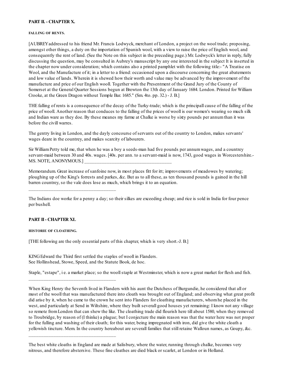## **PART II. - CHAPTER X.**

### **FALLING OF RENTS.**

[AUBREYaddressed to his friend Mr. Francis Lodwyck, merchant of London, a project on the wool trade; proposing, amongst other things, a duty on the importation of Spanish wool, with a view to raise the price of English wool, and consequently the rent of land. (See the Note on this subject in the preceding page.) Mr. Lodwyck's letter in reply, fully discussing the question, may be consulted in Aubrey's manuscript by any one interested in the subject It is inserted in the chapter now under consideration; which contains also a printed pamphlet with the following title:- "A Treatise on Wool, and the Manufacture of it; in a letter to a friend: occasioned upon a discourse concerning the great abatements and low value of lands. Wherein it is shewed how their worth and value may be advanced by the improvement of the manufacture and price of our English wooll. Together with the Presentment of the Grand Jury of the County of Somerset at the General Quarter Sessions begun at Brewton the 13th day of January 1684. London. Printed for William Crooke, at the Green Dragon without Temple Bar. 1685." (Sm. 4to. pp. 32.) - J. B.]

THE falling of rents is a consequence of the decay of the Turky-trade; which is the principall cause of the falling of the price of wooll. Another reason that conduces to the falling of the prices of wooll is our women's wearing so much silk and Indian ware as they doe. By these meanes my farme at Chalke is worse by sixty pounds per annumthan it was before the civill warres.

The gentry living in London, and the dayly concourse of servants out of the country to London, makes servants' wages deare in the countrey, and makes scarcity of labourers.

Sir WilliamPetty told me, that when he was a boy a seeds-man had five pounds per annumwages, and a countrey servant-maid between 30 and 40s. wages. [40s. per ann. to a servant-maid is now, 1743, good wages in Worcestershire.- MS. NOTE, ANONYMOUS.]

Memorandum. Great increase of sanfoine now, in most places fitt for itt; improvements of meadowes by watering; ploughing up of the King's forrests and parkes, &c. But as to all these, as ten thousand pounds is gained in the hill barren countrey, so the vale does lose as much, which brings it to an equation.

The Indians doe worke for a penny a day; so their silkes are exceeding cheap; and rice is sold in India for four pence per bushell.

# **PART II- CHAPTER XL**

\_\_\_\_\_\_\_\_\_\_\_\_\_\_\_\_\_\_\_\_\_\_\_\_\_\_\_\_\_\_\_\_\_\_\_

\_\_\_\_\_\_\_\_\_\_\_\_\_\_\_\_\_\_\_\_\_\_\_\_\_\_\_\_\_\_\_\_\_\_\_

\_\_\_\_\_\_\_\_\_\_\_\_\_\_\_\_\_\_\_\_\_\_\_\_\_\_\_\_\_\_\_\_\_\_\_

## **HISTORIE OF CLOATHING.**

[THE following are the only essential parts of this chapter, which is very short.-J. B.]

KINGEdward the Third first settled the staples of wooll in Flanders. See Hollinshead, Stowe, Speed, and the Statute Book, de hoc.

Staple, "estape", i.e. a market place; so the wooll staple at Westminster, which is now a great market for flesh and fish.

When King Henry the Seventh lived in Flanders with his aunt the Dutchess of Burgundie, he considered that all or most of the wooll that was manufactured there into cloath was brought out of England; and observing what great profit did arise by it, when he came to the crown he sent into Flanders for cloathing manufacturers, whomhe placed in the west, and particularly at Send in Wiltshire, where they built severall good houses yet remaining: I know not any village so remote fromLondon that can shew the like. The cloathing trade did flourish here till about 1580, when they removed to Troubridge, by reason of (I thinke) a plague; but I conjecture the main reason was that the water here was not proper for the fulling and washing of their cloath; for this water, being impregnated with iron, did give the white cloath a yellowish tincture. Mem. In the country hereabout are severall families that still retaine Walloun names, as Goupy, &c.

The best white cloaths in England are made at Salisbury, where the water, running through chalke, becomes very nitrous, and therefore abstersive. These fine cloathes are died black or scarlet, at London or in Holland.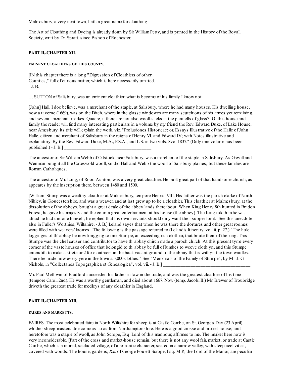Malmesbury, a very neat town, hath a great name for cloathing.

The Art of Cloathing and Dyeing is already donn by Sir William Petty, and is printed in the History of the Royall Society, writt by Dr. Spratt, since Bishop of Rochester.

# **PART II.-CHAPTER XII.**

## **EMINENT CLOATHIERS OF THIS COUNTY.**

[IN this chapter there is a long "Digression of Cloathiers of other Counties," full of curious matter, which is here necessarily omitted. - J. B.]

.. . SUTTON of Salisbury, was an eminent cloathier: what is become of his family I know not.

[John] Hall, I doe believe, was a merchant of the staple, at Salisbury, where he had many houses. His dwelling house, now a taverne (1669), was on the Ditch, where in the glasse windowes are many scutchions of his armes yet remaining, and severall merchant markes. Quaere, if there are not also wooll-sacks in the pannells of glass? [Of this house and family the reader will find many interesting particulars in a volume by my friend the Rev. Edward Duke, of Lake House, near Amesbury. Its title will explain the work, viz. "Prolusiones Historicae; or, Essays Illustrative of the Halle of John Halle, citizen and merchant of Salisbury in the reigns of Henry VI. and Edward IV.; with Notes illustrative and explanatory. By the Rev. Edward Duke, M.A., F.S.A., and L.S. in two vols. 8vo. 1837." (Only one volume has been published.) - J. B.]

The ancestor of Sir WilliamWebb of Odstock, near Salisbury, was a merchant of the staple in Salisbury. As Grevill and Wenman bought all the Coteswold wooll, so did Hall and Webb the wooll of Salisbury plaines; but these families are Roman Catholiques.

The ancestor of Mr. Long, of Rood Ashton, was a very great cloathier. He built great part of that handsome church, as appeares by the inscription there, between 1480 and 1500.

[William] Stump was a wealthy cloathier at Malmesbury, tempore Henrici VIII. His father was the parish clarke of North Nibley, in Gloucestershire, and was a weaver, and at last grew up to be a cloathier. This cloathier at Malmesbury, at the dissolution of the abbeys, bought a great deale of the abbey lands thereabout. When King Henry 8th hunted in Bradon Forest, he gave his majesty and the court a great entertainment at his house (the abbey). The King told himhe was afraid he had undone himself; he replied that his own servants should only want their supper for it. [See this anecdote also in Fuller's Worthies, Wiltshire. - J. B.] Leland sayes that when he was there the dortures and other great roomes were filled with weavers' loomes. [The following is the passage referred to (Leland's Itinerary, vol. ii. p. 27.) "The hole logginges of th' abbay be now longging to one Stumpe, an exceeding rich clothiar, that boute themof the king. This Stumpe was the chef causer and contributor to have th' abbay chirch made a paroch chirch. At this present tyme every corner of the vaste houses of office that belongid to th' abbay be full of lumbes to weeve cloth yn, and this Stumpe entendith to make a strete or 2 for cloathiers in the back vacant ground of the abbay that is withyn the town waulles. There be made now every yere in the town a 3,000 clothes." See "Memorials of the Family of Stumpe", by Mr. J. G. Nichols, in "Collectanea Topographica et Genealogica", vol. vii. - J. B.]

Mr. Paul Methwin of Bradford succeeded his father-in-law in the trade, and was the greatest cloathier of his time (tempore Caroli 2nd). He was a worthy gentleman, and died about 1667. Now (temp. Jacobi II.) Mr. Brewer of Troubridge driveth the greatest trade for medleys of any cloathier in England.

# **PART II.-CHAPTER XIII.**

## **FAIRES AND MARKETTS.**

FAIRES. The most celebrated faire in North Wiltshire for sheep is at Castle Combe, on St. George's Day (23 April), whither sheep-masters doe come as far as from Northamptonshire. Here is a good crosse and market-house; and heretofore was a staple of wooll, as John Scrope, Esq. Lord of this mannour, affirmes to me. The market here now is very inconsiderable. [Part of the cross and market-house remain, but there is not any wool fair, market, or trade at Castle Combe, which is a retired, secluded village, of a romantic character, seated in a narrow valley, with steep acclivities, covered with woods. The house, gardens, &c. of George Poulett Scrope, Esq. M.P., the Lord of the Manor, are peculiar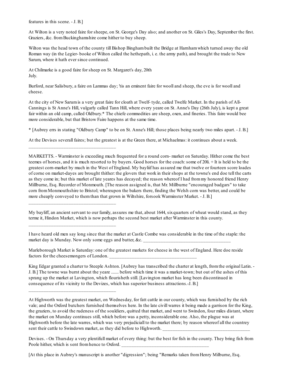features in this scene. - J. B.]

At Wilton is a very noted faire for sheepe, on St. George's Day also; and another on St. Giles's Day, September the first. Graziers, &c. from Buckinghamshire come hither to buy sheep.

Wilton was the head town of the county till Bishop Binghambuilt the Bridge at Harnhamwhich turned away the old Roman way (in the Legier- booke of Wilton called the hethepath, i. e. the army path), and brought the trade to New Sarum, where it hath ever since continued.

At Chilmarke is a good faire for sheep on St. Margaret's day, 20th July.

\_\_\_\_\_\_\_\_\_\_\_\_\_\_\_\_\_\_\_\_\_\_\_\_\_\_\_\_\_\_\_\_\_\_\_

\_\_\_\_\_\_\_\_\_\_\_\_\_\_\_\_\_\_\_\_\_\_\_\_\_\_\_\_\_\_\_\_\_\_\_

\_\_\_\_\_\_\_\_\_\_\_\_\_\_\_\_\_\_\_\_\_\_\_\_\_\_\_\_\_\_\_\_\_\_\_

\_\_\_\_\_\_\_\_\_\_\_\_\_\_\_\_\_\_\_\_\_\_\_\_\_\_\_\_\_\_\_\_\_\_\_

Burford, near Salisbury, a faire on Lammas day; 'tis an eminent faire for wooll and sheep, the eve is for wooll and cheese.

At the city of New Sarumis a very great faire for cloath at Twelf- tyde, called Twelfe Market. In the parish of All-Cannings is St Anne's Hill, vulgarly called Tann Hill, where every yeare on St. Anne's Day (26th July), is kept a great fair within an old camp, called Oldbury.\* The chiefe commodities are sheep, oxen, and fineries. This faire would bee more considerable, but that Bristow Faire happens at the same time.

\* [Aubrey errs in stating "Oldbury Camp" to be on St. Anne's Hill; those places being nearly two miles apart. - J. B.]

At the Devises severall faires; but the greatest is at the Green there, at Michaelmas: it continues about a week.

MARKETTS. - Warminster is exceeding much frequented for a round corn- market on Saturday. Hither come the best teemes of horses, and it is much resorted to by buyers. Good horses for the coach:some of 20li. + It is held to be the greatest corn-market by much in the West of England. My bayliif has assured me that twelve or fourteen score loades of corne on market-dayes are brought thither: the glovers that work in their shops at the towne's end doe tell the carts as they come in; but this market of late yeares has decayed; the reason whereof I had frommy honored friend Henry Millburne, Esq. Recorder of Monmouth. [The reason assigned is, that Mr. Millburne "encouraged badgars" to take corn fromMonmouthshire to Bristol; whereupon the bakers there, finding the Welsh corn was better, and could be more cheaply conveyed to themthan that grown in Wiltshire, forsook Warminster Market. - J. B.]

My bayliff, an ancient servant to our family, assures me that, about 1644, sixquarters of wheat would stand, as they terme it, Hindon Market, which is now perhaps the second best market after Warminster in this county.

I have heard old men say long since that the market at Castle Combe was considerable in the time of the staple: the market day is Munday. Now only some eggs and butter,  $&c$ .

Marleborough Market is Saturday: one of the greatest markets for cheese in the west of England. Here doe reside factors for the cheesemongers of London.

King Edgar granted a charter to Steeple Ashton. [Aubrey has transcribed the charter at length, fromthe original Latin. - J. B.] The towne was burnt about the yeare ....... before which time it was a market-town; but out of the ashes of this sprang up the market at Lavington, which flourisheth still. [Lavington market has long been discontinued in consequence of its vicinity to the Devizes, which has superior business attractions.-J. B.]

At Highworth was the greatest market, on Wednesday, for fatt cattle in our county, which was furnished by the rich vale; and the Oxford butchers furnished themselves here. In the late civill warres it being made a garrison for the King, the graziers, to avoid the rudeness of the souldiers, quitted that market, and went to Swindon, four miles distant, where the market on Munday continues still, which before was a petty, inconsiderable one. Also, the plague was at Highworth before the late warres, which was very prejudiciall to the market there; by reason whereof all the countrey sent their cattle to Swindown market, as they did before to Highworth.

Devises. - On Thursday a very plentifull market of every thing: but the best for fish in the county. They bring fish from Poole hither, which is sent from hence to Oxford.

[At this place in Aubrey's manuscript is another "digression"; being "Remarks taken fromHenry Milburne, Esq.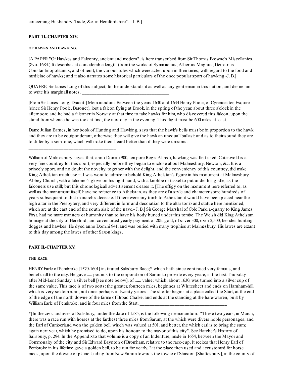# **PART 1I.-CHAPTER XIV.**

#### **OF HAWKS AND HAWKING.**

[A PAPER "Of Hawkes and Falconry, ancient and modern", is here transcribed fromSir Thomas Browne's Miscellanies, (8vo. 1684.) It describes at considerable length (fromthe works of Symmachus, Albertus Magnus, Demetrius Constantinopolitanus, and others), the various rules which were acted upon in their times, with regard to the food and medicine of hawks; and it also narrates some historical particulars of the once popular sport of hawking.-J. B.]

QUAERE, Sir James Long of this subject, for he understands it as well as any gentleman in this nation, and desire him to write his marginall notes.

[FromSir James Long, Dracot.] Memorandum. Between the years 1630 and 1634 Henry Poole, of Cyrencester, Esquire (since Sir Henry Poole, Baronet), lost a falcon flying at Brook, in the spring of the year, about three a'clock in the afternoon; and he had a falconer in Norway at that time to take hawks for him, who discovered this falcon, upon the stand fromwhence he was took at first, the next day in the evening. This flight must be 600 miles at least.

Dame Julian Barnes, in her book of Hunting and Hawking, says that the hawk's bells must be in proportion to the hawk, and they are to be equiponderant, otherwise they will give the hawk an unequall ballast: and as to their sound they are to differ by a semitone, which will make themheard better than if they were unisons.

\_\_\_\_\_\_\_\_\_\_\_\_\_\_\_\_\_\_\_\_\_\_\_\_\_\_\_\_\_\_\_\_\_\_\_

Williamof Malmesbury sayes that, anno Domini 900, tempore Regis Alfredi, hawking was first used. Coteswold is a very fine countrey for this sport, especially before they began to enclose about Malmesbury, Newton, &c. It is a princely sport, and no doubt the novelty, together with the delight, and the conveniency of this countrey, did make King Athelstan much use it. I was wont to admire to behold King Athelstan's figure in his monument at Malmesbury Abbey Church, with a falconer's glove on his right hand, with a knobbe or tassel to put under his girdle, as the falconers use still; but this chronologicall advertisement cleares it. [The effigy on the monument here referred to, as well as the monument itself, have no reference to Athelstan, as they are of a style and character some hundreds of years subsequent to that monarch's decease. If there were any tomb to Athelstan it would have been placed near the high altar in the Presbytery, and very different in formand decoration to the altar tomb and statue here mentioned, which are at the east end of the south aisle of the nave.- J. B.] Sir George Marshal of Cole Park, a-quarry to King James First, had no more manners or humanity than to have his body buried under this tombe. The Welsh did King Athelstan homage at the city of Hereford, and covenanted yearly payment of 20li. gold, of silver 300, oxen 2,500, besides hunting dogges and hawkes. He dyed anno Domini 941, and was buried with many trophies at Malmesbury. His lawes are extant to this day among the lawes of other Saxon kings.

# **PART II.-CHAPTER XV.**

## **THE RACE.**

HENRYEarle of Pembroke [1570-1601] instituted Salisbury Race;\* which hath since continued very famous, and beneficiall to the city. He gave ..... pounds to the corporation of Sarumto provide every yeare, in the first Thursday after Mid-Lent Sunday, a silver bell [see note below], of ...... value; which, about 1630, was turned into a silver cup of the same value. This race is of two sorts: the greater, fourteen miles, beginnes at Whitesheet and ends on Harnham-hill, which is very seldom runn, not once perhaps in twenty yeares. The shorter begins at a place called the Start, at the end of the edge of the north downe of the farme of Broad Chalke, and ends at the standing at the hare-warren, built by William Earle of Pembroke, and is four miles from the Start.

\*[In the civic archives of Salisbury, under the date of 1585, is the following memorandum:- "These two years, in March, there was a race run with horses at the farthest three miles fromSarum, at the which were divers noble personages, and the Earl of Cumberland won the golden bell, which was valued at 501. and better, the which earl is to bring the same again next year, which he promised to do, upon his honour, to the mayor of this city". See Hatcher's History of Salisbury, p. 294. In the Appendixto that volume is a copy of an Indenture, made in 1654, between the Mayor and Commonalty of the city and Sir Edward Baynton of Bromham, relative to the race-cup. It recites that Henry Earl of Pembroke in his lifetime gave a golden bell, to be run for yearly, "at the place then used and accustomed for horse races, upon the downe or plaine leading from New Sarum towards the towne of Shaston [Shaftesbury], in the county of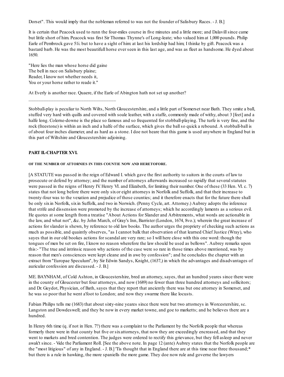Dorset". This would imply that the nobleman referred to was not the founder of Salisbury Races. - J. B.]

It is certain that Peacock used to runn the four-miles course in five minutes and a little more; and Dalavillsince came but little short of him. Peacock was first Sir Thomas Thynne's of Long-leate; who valued himat 1,000 pounds. Philip Earle of Pembrock gave 51i. but to have a sight of him: at last his lordship had him; I thinke by gift. Peacock was a bastard barb. He was the most beautifull horse ever seen in this last age, and was as fleet as handsome. He dyed about 1650.

"Here lies the man whose horse did gaine The bell in race on Salisbury plaine; Reader, I know not whether needs it, You or your horse rather to reade it."

\_\_\_\_\_\_\_\_\_\_\_\_\_\_\_\_\_\_\_\_\_\_\_\_\_\_\_\_\_\_\_\_\_\_\_

At Everly is another race. Quaere, if the Earle of Abington hath not set up another?

Stobball-play is peculiar to North Wilts, North Gloucestershire, and a little part of Somerset near Bath. They smite a ball, stuffed very hard with quills and covered with soale leather, with a staffe, commonly made of withy, about 3 [feet] and a halfe long. Colerne-downe is the place so famous and so frequented for stobball-playing. The turfe is very fine, and the rock (freestone) is within an inch and a halfe of the surface, which gives the ballso quick a rebound. A stobball-ball is of about four inches diameter, and as hard as a stone. I doe not heare that this game is used anywhere in England but in this part of Wiltshire and Gloucestershire adjoining.

# **PART II.-CHAPTER XVI.**

### **OF THE NUMBER OF ATTORNIES IN THIS COUNTIE NOW AND HERETOFORE.**

[A STATUTE was passed in the reign of Edward I. which gave the first authority to suitors in the courts of law to prosecute or defend by attorney; and the number of attorneys afterwards increased so rapidly that severalstatutes were passed in the reigns of Henry IV. Henry VI. and Elizabeth, for limiting their number. One of these (33 Hen. VI. c. 7) states that not long before there were only sixor eight attorneys in Norfolk and Suffolk, and that their increase to twenty-four was to the vexation and prejudice of those counties; and it therefore enacts that for the future there shall be only sixin Norfolk, sixin Suffolk, and two in Norwich. (Penny Cycle, art. Attorney.) Aubrey adopts the inference that strife and dissension were promoted by the increase of attorneys; which he accordingly laments as a serious evil. He quotes at some length froma treatise "About Actions for Slander and Arbitrements, what words are actionable in the law, and what not", &c. by John March, of Gray's Inn, Barrister (London, 1674, 8vo.); wherein the great increase of actions for slander is shewn, by reference to old law books. The author urges the propriety of checking such actions as much as possible, and quaintly observes, "as I cannot balk that observation of that learned Chief Justice (Wray), who sayes that in our old bookes actions for scandal are very rare; so I will here close with this one word: though the tongues of men be set on fire, I know no reason wherefore the law should be used as bellows". Aubrey remarks upon this:- "The true and intrinsic reason why actions of the case were so rare in those times above mentioned, was by reason that men's consciences were kept cleane and in awe by confession"; and he concludes the chapter with an extract from"Europae Speculum", by Sir Edwin Sandys, Knight, (1637,) in which the advantages and disadvantages of auricular confession are discussed. - J. B.]

ME. BAYNHAM, of Cold Ashton, in Gloucestershire, bred an attorney, sayes, that an hundred yeares since there were in the county of Gloucester but four attorneys, and now (1689) no fewer than three hundred attorneys and sollicitors; and Dr. Guydot, Physician, of Bath, sayes that they report that anciently there was but one attorney in Somerset, and he was so poor that he went a'foot to London; and now they swarme there like locusts.

Fabian Philips tells me (1683) that about sixty-nine yeares since there were but two attorneys in Worcestershire, sc. Langston and Dowdeswell; and they be now in every market towne, and goe to marketts; and he believes there are a hundred.

In Henry 6th time (q. if not in Hen. 7?) there was a complaint to the Parliament by the Norfolk people that whereas formerly there were in that county but five or sixattorneys, that now they are exceedingly encreased, and that they went to markets and bred contention. The judges were ordered to rectify this grievance, but they fell asleep and never awak't since. - Vide the Parliament Roll. [See the above note. In page 12 (ante) Aubrey states that the Norfolk people are the "most litigious" of any in England. - J. B.] 'Tis thought that in England there are at this time near three thousand;\* but there is a rule in hawking, the more spaniells the more game. They doe now rule and governe the lawyers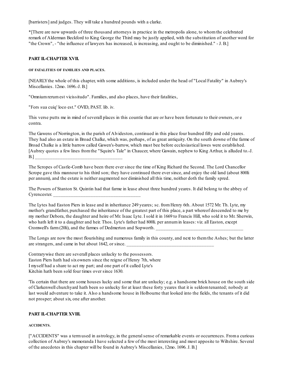[barristers] and judges. They will take a hundred pounds with a clarke.

\*[There are now upwards of three thousand attorneys in practice in the metropolis alone, to whomthe celebrated remark of Alderman Beckford to King George the Third may be justly applied, with the substitution of another word for "the Crown", - "the influence of lawyers has increased, is increasing, and ought to be diminished." - J. B.]

# **PART II.-CHAPTER XVII.**

## **OF FATALITIES OF FAMILIES AND PLACES.**

[NEARLYthe whole of this chapter, with some additions, is included under the head of "Local Fatality" in Aubrey's Miscellanies. 12mo. 1696.-J. B.]

"Omniumrerumest vicissitudo". Families, and also places, have their fatalities,

"Fors sua cuiq' loco est." OVID, PAST. lib. iv.

This verse putts me in mind of severall places in this countie that are or have been fortunate to their owners, or e contra.

The Gawens of Norrington, in the parish of Alvideston, continued in this place four hundred fifty and odd yeares. They had also an estate in Broad Chalke, which was, perhaps, of as great antiquity. On the south downe of the farme of Broad Chalke is a little barrow called Gawen's-barrow, which must bee before ecclesiastical lawes were established. [Aubrey quotes a few lines fromthe "Squire's Tale" in Chaucer, where Gawain, nephew to King Arthur, is alluded to.-J. B.] \_\_\_\_\_\_\_\_\_\_\_\_\_\_\_\_\_\_\_\_\_\_\_\_\_\_\_\_\_\_\_\_\_\_\_

The Scropes of Castle-Comb have been there ever since the time of King Richard the Second. The Lord Chancellor Scrope gave this mannour to his third son; they have continued there ever since, and enjoy the old land (about 800li per annum), and the estate is neither augmented nor diminished all this time, neither doth the family spred.

The Powers of Stanton St. Quintin had that farme in lease about three hundred yeares. It did belong to the abbey of Cyrencester.

The Lytes had Easton Piers in lease and in inheritance 249 yeares; sc. fromHenry 6th. About 1572 Mr. Th. Lyte, my mother's grandfather, purchased the inheritance of the greatest part of this place, a part whereof descended to me by my mother Debora, the daughter and heire of Mr. Isaac Lyte. I sold it in 1669 to Francis Hill, who sold it to Mr. Sherwin, who hath left it to a daughter and heir. Thos. Lyte's father had 800li. per annum in leases: viz. all Easton, except Cromwell's farm (20li), and the farmes of Dedmerton and Sopworth.

The Longs are now the most flourishing and numerous family in this county, and next to themthe Ashes; but the latter are strangers, and came in but about 1642, or since.

Contrarywise there are severall places unlucky to the possessors. Easton Piers hath had sixowners since the reigne of Henry 7th, where I myself had a share to act my part; and one part of it called Lyte's Kitchin hath been sold four times over since 1630.

'Tis certain that there are some houses lucky and some that are unlucky; e.g. a handsome brick house on the south side of Clarkenwell churchyard hath been so unlucky for at least these forty yeares that it is seldomtenanted; nobody at last would adventure to take it. Also a handsome house in Holbourne that looked into the fields, the tenants of it did not prosper; about six, one after another.

# **PART II.-CHAPTER XVIII.**

## **ACCIDENTS.**

["ACCIDENTS" was a termused in astrology, in the generalsense of remarkable events or occurrences. Froma curious collection of Aubrey's memoranda I have selected a few of the most interesting and most apposite to Wiltshire. Several of the anecdotes in this chapter will be found in Aubrey's Miscellanies, 12mo. 1696. J. B.]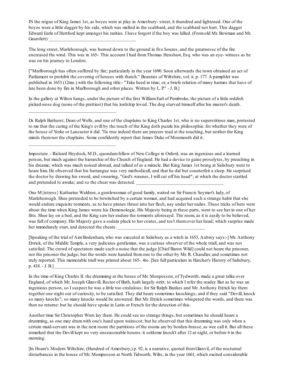IN the reigne of King James 1st, as boyes were at play in Amesbury- street, it thundred and lightened. One of the boyes wore a little dagger by his side, which was melted in the scabbard, and the scabbard not hurt. This dagger Edward Earle of Hertford kept amongst his rarities. I have forgott if the boy was killed. (Fromold Mr. Bowman and Mr. Gauntlett)

The long street, Marleborough, was burned down to the ground in five houres, and the greatnesse of the fire encreased the wind. This was in 165-. This account I had fromThomas Henshaw, Esq. who was an eye- witness as he was on his journey to London.

["Marlborough has often suffered by fire; particularly in the year 1690. Soon afterwards the town obtained an act of Parliament to prohibit the covering of houses with thatch." Beauties of Wiltshire, vol. ii. p. 177. A pamphlet was published in 1653 (12mo.) with the following title:- "Take heed in time; or, a briefe relation of many harmes that have of late been done by fire in Marlborough and other places. Written by L. P." - J. B.]

In the gallery at Wilton hangs, under the picture of the first William Earl of Pembroke, the picture of a little reddish picked-nose dog (none of the prettiest) that his lordship loved. The dog starved himself after his master's death.

\_\_\_\_\_\_\_\_\_\_\_\_\_\_\_\_\_\_\_\_\_\_\_\_\_\_\_\_\_\_\_\_\_\_\_

\_\_\_\_\_\_\_\_\_\_\_\_\_\_\_\_\_\_\_\_\_\_\_\_\_\_\_\_\_\_\_\_\_\_\_

Dr. Ralph Bathurst, Dean of Wells, and one of the chaplains to King Charles 1st, who is no superstitious man, protested to me that the curing of the King's evill by the touch of the King doth puzzle his philosophie: for whether they were of the house of Yorke or Lancaster it did. 'Tis true indeed there are prayers read at the touching, but neither the King minds themnor the chaplains. Some confidently report that James Duke of Monmouth did it.

Imposture. - Richard Heydock, M.D., quondamfellow of New College in Oxford, was an ingenious and a learned person, but much against the hierarchie of the Church of England. He had a device to gaine proselytes, by preaching in his dreame; which was much noised abroad, and talked of as a miracle. But King James 1st being at Salisbury went to heare him. He observed that his harrangue was very methodicall, and that he did but counterfeit a sleep. He surprised the doctor by drawing his sword, and swearing, "God's waunes, I will cut off his head"; at which the doctor startled and pretended to awake; and so the cheat was detected.

One M{istress} Katharine Waldron, a gentlewoman of good family, waited on Sir Francis Seymor's lady, of Marleborough. Shee pretended to be bewitched by a certain woman, and had acquired such a strange habit that she would endure exquisite torments, as to have pinnes thrust into her flesh, nay under her nailes. These tricks of hers were about the time when King James wrote his Demonologie. His Majesty being in these parts, went to see her in one of her fitts. Shee lay on a bed, and the King saw her endure the torments aforesayd. The room, as it is easily to be believed, was full of company. His Majesty gave a sodain pluck to her coates, and tos't themover her head; which surprise made her immediately start, and detected the cheate.

[Speaking of the trial of AimBodenham, who was executed at Salisbury as a witch in 1653, Aubrey says:-] Mr. Anthony Ettrick, of the Middle Temple, a very judicious gentleman, was a curious observer of the whole triall, and was not satisfied. The crowd of spectators made such a noise that the judge [Chief Baron Wild] could not heare the prisoner, nor the prisoner the judge; but the words were handed fromone to the other by Mr. R. Chandler, and sometimes not truly reported. This memorable triall was printed about 165-. 4to. [See full particulars in Hatcher's History of Salisbury, p.  $418. - J. B.$ 

In the time of King Charles II. the drumming at the house of Mr. Monpesson, of Tydworth, made a great talke over England, of which Mr. Joseph Glanvill, Rector of Bath, hath largely writt; to which I refer the reader. But as he was an ingenious person, so I suspect he was a little too credulous; for Sir Ralph Bankes and Mr. Anthony Ettrick lay there together one night out of curiosity, to be satisfied. They did heare sometimes knockings; and if they said "Devill, knock so many knocks"; so many knocks would be answered. But Mr. Ettrick sometimes whispered the words, and there was then no returne: but he should have spoke in Latin or French for the detection of this.

Another time Sir Christopher Wren lay there. He could see no strange things, but sometimes he should heare a drumming, as one may drumwith one's hand upon wainscot; but he observed that this drumming was only when a certain maid-servant was in the next room: the partitions of the rooms are by borden-brasse, as wee call it. But all these remarked that the Devill kept no very unseasonable houres: it seldome knock't after 12 at night, or before 6 in the morning.

[In Hoare's Modern Wiltshire, (Hundred of Amesbury,) p. 92, is a narrative, quoted fromGlanvil, of the nocturnal disturbances in the house of Mr. Mompesson at North Tidworth, Wilts, in the year 1661, which excited considerable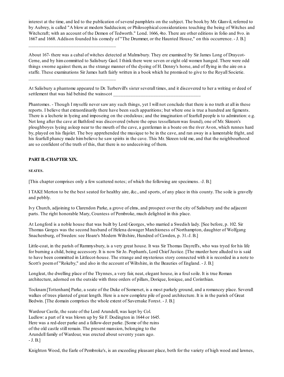interest at the time, and led to the publication of several pamphlets on the subject. The book by Mr. Glanvil, referred to by Aubrey, is called "A blow at modern Sadducism; or Philosophical considerations touching the being of Witches and Witchcraft; with an account of the Demon of Tedworth." Lond. 1666, 4to. There are other editions in folio and 8vo. in 1667 and 1668. Addison founded his comedy of "The Drummer, or the Haunted House," on this occurrence. - J. B.]

About 167- there was a cabal of witches detected at Malmsbury. They ere examined by Sir James Long of Draycot-Cerne, and by himcommitted to Salisbury Gaol. I think there were seven or eight old women hanged. There were odd things sworne against them, as the strange manner of the dyeing of H. Denny's horse, and of flying in the aire on a staffe. These examinations Sir James hath fairly written in a book which he promised to give to the Royall Societie.

At Salisbury a phantome appeared to Dr. Turbervill's sister severall times, and it discovered to her a writing or deed of settlement that was hid behind the wainscot

Phantomes. - Though I myselfe never saw any such things, yet I will not conclude that there is no truth at all in these reports. I believe that extraordinarily there have been such apparitions; but where one is true a hundred are figments. There is a lecherie in lyeing and imposeing on the credulous; and the imagination of fearfull people is to admiration: e.g. Not long after the cave at Bathford was discovered (where the opus tessellatumwas found), one of Mr. Skreen's ploughboyes lyeing asleep near to the mouth of the cave, a gentleman in a boate on the river Avon, which runnes hard by, played on his flajolet. The boy apprehended the musique to be in the cave, and ran away in a lamentable fright, and his fearfull phancy made himbelieve he saw spirits in the cave. This Mr. Skreen told me, and that the neighbourhood are so confident of the truth of this, that there is no undeceiving of them.

# **PART II.-CHAPTER XIX.**

\_\_\_\_\_\_\_\_\_\_\_\_\_\_\_\_\_\_\_\_\_\_\_\_\_\_\_\_\_\_\_\_\_\_\_

\_\_\_\_\_\_\_\_\_\_\_\_\_\_\_\_\_\_\_\_\_\_\_\_\_\_\_\_\_\_\_\_\_\_\_

**SEATES.**

[This chapter comprises only a few scattered notes; of which the following are specimens. -J. B.]

I TAKE Merton to be the best seated for healthy aire, &c., and sports, of any place in this county. The soile is gravelly and pebbly.

Ivy Church, adjoining to Clarendon Parke, a grove of elms, and prospect over the city of Salisbury and the adjacent parts. The right honorable Mary, Countess of Pembroke, much delighted in this place.

At Longford is a noble house that was built by Lord Georges, who married a Swedish lady. [See before, p. 102. Sir Thomas Gorges was the second husband of Helena dowager Marchioness of Northampton, daughter of Wolfgang Snachenburg, of Sweden: see Hoare's Modern Wiltshire, Hundred of Cawden, p. 31.-J. B.]

Little-coat, in the parish of Rammysbury, is a very great house. It was Sir Thomas Dayrell's, who was tryed for his life for burning a child, being accessory. It is now Sir Jo. Popham's, Lord Chief Justice. [The murder here alluded to is said to have been committed in Littlecot-house. The strange and mysterious story connected with it is recorded in a note to Scott's poemof "Rokeby," and also in the account of Wiltshire, in the Beauties of England. - J. B.]

Longleat, the dwelling place of the Thynnes, a very fair, neat, elegant house, in a foulsoile. It is true Roman architecture, adorned on the outside with three orders of pillars, Dorique, Ionique, and Corinthian.

Tocknam[Tottenham] Parke, a seate of the Duke of Somerset, is a most parkely ground, and a romancey place. Severall walkes of trees planted of great length. Here is a new complete pile of good architecture. It is in the parish of Great Bedwin. [The domain comprises the whole extent of Savernake Forest. - J. B.]

Wardour Castle, the seate of the Lord Arundell, was kept by Col. Ludlow: a part of it was blown up by Sir F. Dodington in 1644 or 1645. Here was a red-deer parke and a fallow-deer parke. [Some of the ruins of the old castle still remain. The present mansion, belonging to the Arundell family of Wardour, was erected about seventy years ago. - J. B.]

Knighton Wood, the Earle of Pembroke's, is an exceeding pleasant place, both for the variety of high wood and lawnes,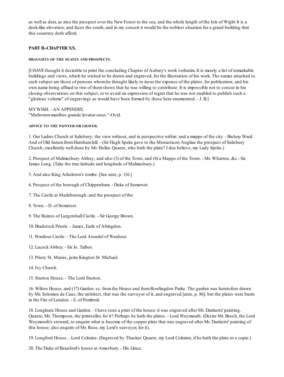as well as deer, as also the prospect over the New Forest to the sea, and the whole length of the Isle of Wight It is a desk-like elevation, and faces the south, and in my conceit it would be the noblest situation for a grand building that this countrey doth afford.

# **PART II.-CHAPTER XX.**

## **DRAUGHTS OF THE SEATES AND PROSPECTS.**

[I HAVE thought it desirable to print the concluding Chapter of Aubrey's work verbatim. It is merely a list of remarkable buildings and views, which he wished to be drawn and engraved, for the illustration of his work. The names attached to each subject are those of persons whomhe thought likely to incur the expence of the plates, for publication; and his own name being affixed to two of themshews that he was willing to contribute. It is impossible not to concur in his closing observations on this subject, or to avoid an expression of regret that he was not enabled to publish such a "glorious volume" of engravings as would have been formed by those here enumerated. - J. B.]

MYWISH. - AN APPENDIX. "Multorummanibus grande levatur onus."-Ovid.

## **ADVICE TO THE PAINTER OR GRAVER.**

1. Our Ladies Church at Salisbury; the view without, and in perspective within: and a mappe of the city. - Bishop Ward. And of Old SarumfromHarnhamhill. - (Sir Hugh Speke gave to the Monasticon Angliae the prospect of Salisbury Church, excellently well done by Mr. Hollar. Quaere, who hath the plate? I doe believe, my Lady Speke.)

2. Prospect of Malmesbury Abbey; and also (3) of the Town, and (4) a Mappe of the Town. - Mr. Wharton, &c.- Sir James Long. (Take the true latitude and longitude of Malmesbury.)

- 5. And also King Athelston's tombe. [See ante, p. 116.]
- 6. Prospect of the borough of Chippenham. Duke of Somerset.
- 7. The Castle at Marleborough, and the prospect of the
- 8. Town. D. of Somerset.
- 9. The Ruines of Lurgershall Castle. Sir George Brown.
- 10. Bradstock Priorie. James, Earle of Abingdon.
- 11. Wardour Castle. The Lord Arundel of Wardour.
- 12. Lacock Abbey. Sir Jo. Talbot.
- 13. Priory St. Maries, juxta Kington St. Michael.
- 14. Ivy Church.
- 15. Sturton House. The Lord Sturton.

16. Wilton House, and (17) Garden:sc. fromthe House and fromRowlingdon Parke. The garden was heretofore drawn by Mr. Solomon de Caus, the architect, that was the surveyor of it, and engraved [ante, p. 86]; but the plates were burnt in the Fire of London. - E. of Pembrok

18. Longleate House and Garden. - I have seen a print of the house: it was engraved after Mr. Dankertz' painting. Quaere, Mr. Thompson, the printseller, for it? Perhaps he hath the plates. - Lord Weymouth. (Desire Mr. Beech, the Lord Weymouth's steward, to enquire what is become of the copper plate that was engraved after Mr. Dankertz' painting of this house; also enquire of Mr. Rose, my Lord's surveyor, for it).

19. Longford House. - Lord Colraine. (Engraved by Thacker. Quaere, my Lord Colraine, if he hath the plate or a copie.)

20. The Duke of Beauford's house at Amesbury. - His Grace.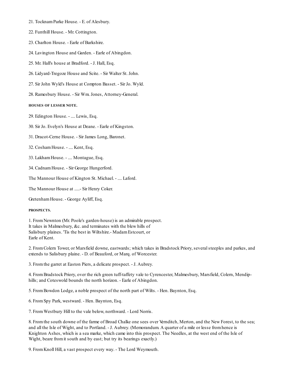- 21. TocknamParke House. E. of Alesbury.
- 22. Funthill House. Mr. Cottington.
- 23. Charlton House. Earle of Barkshire.
- 24. Lavington House and Garden. Earle of Abingdon.
- 25. Mr. Hall's house at Bradford. J. Hall, Esq.
- 26. Lidyard-Tregoze House and Scite. Sir Walter St. John.
- 27. Sir John Wyld's House at Compton Basset. Sir Jo. Wyld.
- 28. Ramesbury House. Sir Wm. Jones, Attorney-General.

# **HOUSES OF LESSER NOTE.**

29. Edington House. - .... Lewis, Esq.

30. Sir Jo. Evelyn's House at Deane. - Earle of Kingston.

31. Dracot-Cerne House. - Sir James Long, Baronet.

32. CoshamHouse. - .... Kent, Esq.

33. LakhamHouse. - .... Montague, Esq.

34. CadnamHouse. - Sir George Hungerford.

The Mannour House of Kington St. Michael. - .... Laford.

The Mannour House at .....- Sir Henry Coker.

GretenhamHouse. - George Ayliff, Esq.

## **PROSPECTS.**

1. FromNewnton (Mr. Poole's garden-house) is an admirable prospect. It takes in Malmesbury, &c. and terminates with the blew hills of Salisbury plaines. 'Tis the best in Wiltshire.- MadamEstcourt, or Earle of Kent.

2. FromColern Tower, or Marsfield downe, eastwards; which takes in Bradstock Priory, severalsteeples and parkes, and extends to Salisbury plaine. - D. of Beauford, or Marq. of Worcester.

3. Fromthe garret at Easton Piers, a delicate prospect. - J. Aubrey.

4. FromBradstock Priory, over the rich green tuff-taffety vale to Cyrencester, Malmesbury, Marsfield, Colern, Mendiphills; and Coteswold bounds the north horizon. - Earle of Abingdon.

5. FromBowdon Lodge, a noble prospect of the north part of Wilts. - Hen. Baynton, Esq.

6. FromSpy Park, westward. - Hen. Baynton, Esq.

7. FromWestbury Hill to the vale below, northward. - Lord Norris.

8. Fromthe south downe of the farme of Broad Chalke one sees over Vernditch, Merton, and the New Forest, to the sea; and all the Isle of Wight, and to Portland. - J. Aubrey. (Memorandum. A quarter of a mile or lesse fromhence is Knighton Ashes, which is a sea marke, which came into this prospect. The Needles, at the west end of the Isle of Wight, beare from it south and by east; but try its bearings exactly.)

9. FromKnoll Hill, a vast prospect every way. - The Lord Weymouth.